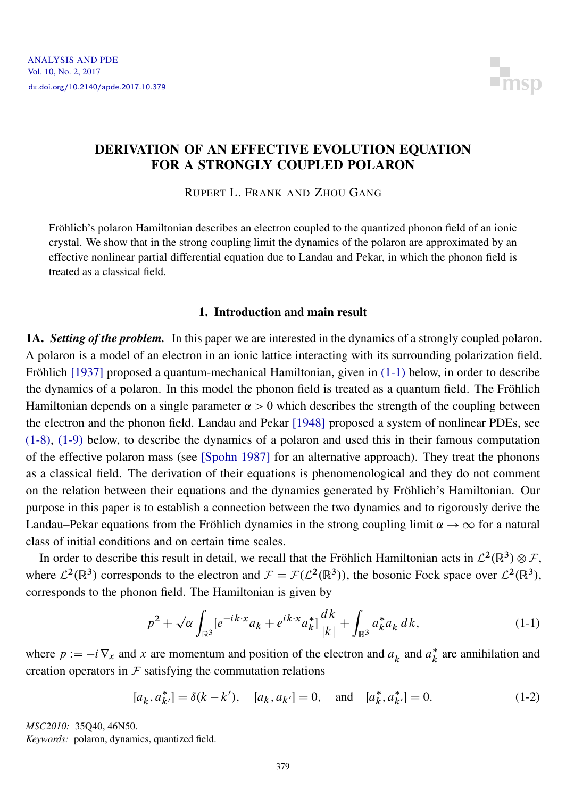

## DERIVATION OF AN EFFECTIVE EVOLUTION EQUATION FOR A STRONGLY COUPLED POLARON

RUPERT L. FRANK AND ZHOU GANG

Fröhlich's polaron Hamiltonian describes an electron coupled to the quantized phonon field of an ionic crystal. We show that in the strong coupling limit the dynamics of the polaron are approximated by an effective nonlinear partial differential equation due to Landau and Pekar, in which the phonon field is treated as a classical field.

## 1. Introduction and main result

1A. *Setting of the problem.* In this paper we are interested in the dynamics of a strongly coupled polaron. A polaron is a model of an electron in an ionic lattice interacting with its surrounding polarization field. Fröhlich [\[1937\]](#page-43-0) proposed a quantum-mechanical Hamiltonian, given in [\(1-1\)](#page-0-0) below, in order to describe the dynamics of a polaron. In this model the phonon field is treated as a quantum field. The Fröhlich Hamiltonian depends on a single parameter  $\alpha > 0$  which describes the strength of the coupling between the electron and the phonon field. Landau and Pekar [\[1948\]](#page-43-1) proposed a system of nonlinear PDEs, see [\(1-8\),](#page-1-0) [\(1-9\)](#page-1-1) below, to describe the dynamics of a polaron and used this in their famous computation of the effective polaron mass (see [\[Spohn 1987\]](#page-43-2) for an alternative approach). They treat the phonons as a classical field. The derivation of their equations is phenomenological and they do not comment on the relation between their equations and the dynamics generated by Fröhlich's Hamiltonian. Our purpose in this paper is to establish a connection between the two dynamics and to rigorously derive the Landau–Pekar equations from the Fröhlich dynamics in the strong coupling limit  $\alpha \to \infty$  for a natural class of initial conditions and on certain time scales.

In order to describe this result in detail, we recall that the Fröhlich Hamiltonian acts in  $\mathcal{L}^2(\mathbb{R}^3) \otimes \mathcal{F}$ , where  $\mathcal{L}^2(\mathbb{R}^3)$  corresponds to the electron and  $\mathcal{F} = \mathcal{F}(\mathcal{L}^2(\mathbb{R}^3))$ , the bosonic Fock space over  $\mathcal{L}^2(\mathbb{R}^3)$ , corresponds to the phonon field. The Hamiltonian is given by

<span id="page-0-0"></span>
$$
p^{2} + \sqrt{\alpha} \int_{\mathbb{R}^{3}} [e^{-ik \cdot x} a_{k} + e^{ik \cdot x} a_{k}^{*}] \frac{dk}{|k|} + \int_{\mathbb{R}^{3}} a_{k}^{*} a_{k} dk, \qquad (1-1)
$$

where  $p := -i \nabla_x$  and x are momentum and position of the electron and  $a_k$  and  $a_k^*$  $\stackrel{*}{\phantom{*}}_k$  are annihilation and creation operators in  $\mathcal F$  satisfying the commutation relations

$$
[a_k, a_{k'}^*] = \delta(k - k'), \quad [a_k, a_{k'}] = 0, \quad \text{and} \quad [a_k^*, a_{k'}^*] = 0.
$$
 (1-2)

*MSC2010:* 35Q40, 46N50.

*Keywords:* polaron, dynamics, quantized field.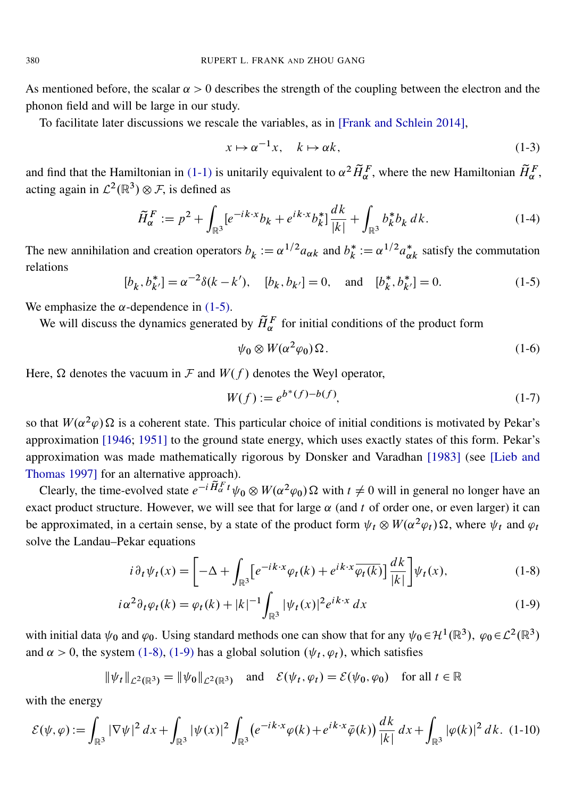As mentioned before, the scalar  $\alpha > 0$  describes the strength of the coupling between the electron and the phonon field and will be large in our study.

To facilitate later discussions we rescale the variables, as in [\[Frank and Schlein 2014\]](#page-43-3),

$$
x \mapsto \alpha^{-1}x, \quad k \mapsto \alpha k,\tag{1-3}
$$

and find that the Hamiltonian in [\(1-1\)](#page-0-0) is unitarily equivalent to  $\alpha^2 \tilde{H}_{\alpha}^F$ , where the new Hamiltonian  $\tilde{H}_{\alpha}^F$ , acting again in  $\mathcal{L}^2(\mathbb{R}^3) \otimes \mathcal{F}$ , is defined as

$$
\widetilde{H}_{\alpha}^{F} := p^2 + \int_{\mathbb{R}^3} \left[ e^{-ik \cdot x} b_k + e^{ik \cdot x} b_k^* \right] \frac{dk}{|k|} + \int_{\mathbb{R}^3} b_k^* b_k \, dk. \tag{1-4}
$$

<span id="page-1-2"></span>The new annihilation and creation operators  $b_k := \alpha^{1/2} a_{\alpha k}$  and  $b_k^*$  $k^* := \alpha^{1/2} a_{\alpha k}^*$  satisfy the commutation relations

$$
[b_k, b_{k'}^*] = \alpha^{-2}\delta(k - k'), \quad [b_k, b_{k'}] = 0, \quad \text{and} \quad [b_k^*, b_{k'}^*] = 0.
$$
 (1-5)

We emphasize the  $\alpha$ -dependence in [\(1-5\).](#page-1-2)

We will discuss the dynamics generated by  $\tilde{H}_{\alpha}^{F}$  for initial conditions of the product form

<span id="page-1-3"></span>
$$
\psi_0 \otimes W(\alpha^2 \varphi_0) \Omega. \tag{1-6}
$$

Here,  $\Omega$  denotes the vacuum in F and  $W(f)$  denotes the Weyl operator,

<span id="page-1-1"></span><span id="page-1-0"></span>
$$
W(f) := e^{b^*(f) - b(f)},\tag{1-7}
$$

so that  $W(\alpha^2 \varphi) \Omega$  is a coherent state. This particular choice of initial conditions is motivated by Pekar's approximation [\[1946;](#page-43-4) [1951\]](#page-43-5) to the ground state energy, which uses exactly states of this form. Pekar's approximation was made mathematically rigorous by Donsker and Varadhan [\[1983\]](#page-43-6) (see [\[Lieb and](#page-43-7) [Thomas 1997\]](#page-43-7) for an alternative approach).

Clearly, the time-evolved state  $e^{-i\tilde{H}_{\alpha}^F t}\psi_0 \otimes W(\alpha^2\varphi_0) \Omega$  with  $t \neq 0$  will in general no longer have an exact product structure. However, we will see that for large  $\alpha$  (and t of order one, or even larger) it can be approximated, in a certain sense, by a state of the product form  $\psi_t \otimes W(\alpha^2 \varphi_t) \Omega$ , where  $\psi_t$  and  $\varphi_t$ solve the Landau–Pekar equations

$$
i\,\partial_t\psi_t(x) = \left[ -\Delta + \int_{\mathbb{R}^3} \left[ e^{-ik \cdot x} \varphi_t(k) + e^{ik \cdot x} \overline{\varphi_t(k)} \right] \frac{dk}{|k|} \right] \psi_t(x),\tag{1-8}
$$

$$
i\alpha^2 \partial_t \varphi_t(k) = \varphi_t(k) + |k|^{-1} \int_{\mathbb{R}^3} |\psi_t(x)|^2 e^{ik \cdot x} dx \qquad (1-9)
$$

with initial data  $\psi_0$  and  $\varphi_0$ . Using standard methods one can show that for any  $\psi_0 \in H^1(\mathbb{R}^3)$ ,  $\varphi_0 \in L^2(\mathbb{R}^3)$ and  $\alpha > 0$ , the system [\(1-8\),](#page-1-0) [\(1-9\)](#page-1-1) has a global solution  $(\psi_t, \varphi_t)$ , which satisfies

$$
\|\psi_t\|_{\mathcal{L}^2(\mathbb{R}^3)} = \|\psi_0\|_{\mathcal{L}^2(\mathbb{R}^3)} \quad \text{and} \quad \mathcal{E}(\psi_t, \varphi_t) = \mathcal{E}(\psi_0, \varphi_0) \quad \text{for all } t \in \mathbb{R}
$$

with the energy

$$
\mathcal{E}(\psi,\varphi) := \int_{\mathbb{R}^3} |\nabla \psi|^2 \, dx + \int_{\mathbb{R}^3} |\psi(x)|^2 \int_{\mathbb{R}^3} \left( e^{-ik \cdot x} \varphi(k) + e^{ik \cdot x} \bar{\varphi}(k) \right) \frac{dk}{|k|} \, dx + \int_{\mathbb{R}^3} |\varphi(k)|^2 \, dk. \tag{1-10}
$$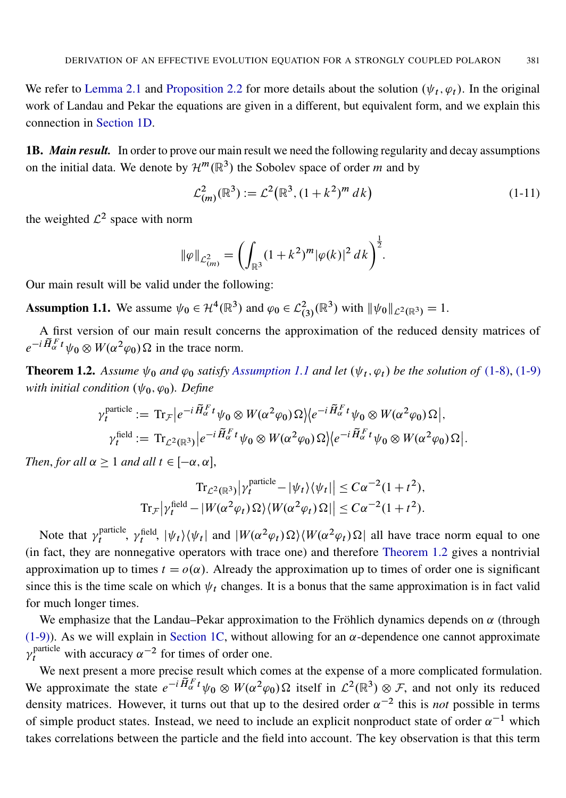We refer to [Lemma 2.1](#page-7-0) and [Proposition 2.2](#page-8-0) for more details about the solution  $(\psi_t, \varphi_t)$ . In the original work of Landau and Pekar the equations are given in a different, but equivalent form, and we explain this connection in [Section 1D.](#page-6-0)

1B. *Main result.* In order to prove our main result we need the following regularity and decay assumptions on the initial data. We denote by  $\mathcal{H}^m(\mathbb{R}^3)$  the Sobolev space of order m and by

<span id="page-2-2"></span>
$$
\mathcal{L}^2_{(m)}(\mathbb{R}^3) := \mathcal{L}^2(\mathbb{R}^3, (1+k^2)^m dk)
$$
 (1-11)

the weighted  $\mathcal{L}^2$  space with norm

$$
\|\varphi\|_{\mathcal{L}^2_{(m)}} = \left(\int_{\mathbb{R}^3} (1+k^2)^m |\varphi(k)|^2 \, dk\right)^{\frac{1}{2}}.
$$

Our main result will be valid under the following:

<span id="page-2-0"></span>**Assumption 1.1.** We assume  $\psi_0 \in \mathcal{H}^4(\mathbb{R}^3)$  and  $\varphi_0 \in \mathcal{L}^2_{(3)}(\mathbb{R}^3)$  with  $\|\psi_0\|_{\mathcal{L}^2(\mathbb{R}^3)} = 1$ .

A first version of our main result concerns the approximation of the reduced density matrices of  $e^{-i\tilde{H}_{\alpha}^F t}\psi_0 \otimes W(\alpha^2\varphi_0)\Omega$  in the trace norm.

<span id="page-2-1"></span>**Theorem 1.2.** Assume  $\psi_0$  and  $\varphi_0$  satisfy [Assumption 1.1](#page-2-0) and let  $(\psi_t, \varphi_t)$  be the solution of [\(1-8\),](#page-1-0) [\(1-9\)](#page-1-1) *with initial condition*  $(\psi_0, \varphi_0)$ *. Define* 

$$
\gamma_t^{\text{particle}} := \text{Tr}_{\mathcal{F}} \Big| e^{-i \widetilde{H}_{\alpha}^F t} \psi_0 \otimes W(\alpha^2 \varphi_0) \Omega \Big| \Big\langle e^{-i \widetilde{H}_{\alpha}^F t} \psi_0 \otimes W(\alpha^2 \varphi_0) \Omega \Big|,
$$
  

$$
\gamma_t^{\text{field}} := \text{Tr}_{\mathcal{L}^2(\mathbb{R}^3)} \Big| e^{-i \widetilde{H}_{\alpha}^F t} \psi_0 \otimes W(\alpha^2 \varphi_0) \Omega \Big| \Big\langle e^{-i \widetilde{H}_{\alpha}^F t} \psi_0 \otimes W(\alpha^2 \varphi_0) \Omega \Big|.
$$

*Then, for all*  $\alpha \geq 1$  *and all*  $t \in [-\alpha, \alpha]$ ,

$$
\mathrm{Tr}_{\mathcal{L}^2(\mathbb{R}^3)} |\gamma_t^{\text{particle}} - |\psi_t\rangle \langle \psi_t| \le C\alpha^{-2} (1+t^2),
$$
  
\n
$$
\mathrm{Tr}_{\mathcal{F}} |\gamma_t^{\text{field}} - |W(\alpha^2 \varphi_t) \Omega\rangle \langle W(\alpha^2 \varphi_t) \Omega| \le C\alpha^{-2} (1+t^2).
$$

Note that  $\gamma_t^{\text{particle}}$ particle,  $\gamma_t^{\text{field}}$ ,  $|\psi_t\rangle \langle \psi_t|$  and  $|W(\alpha^2 \varphi_t) \Omega \rangle \langle W(\alpha^2 \varphi_t) \Omega|$  all have trace norm equal to one (in fact, they are nonnegative operators with trace one) and therefore [Theorem 1.2](#page-2-1) gives a nontrivial approximation up to times  $t = o(\alpha)$ . Already the approximation up to times of order one is significant since this is the time scale on which  $\psi_t$  changes. It is a bonus that the same approximation is in fact valid for much longer times.

We emphasize that the Landau–Pekar approximation to the Fröhlich dynamics depends on  $\alpha$  (through [\(1-9\)\)](#page-1-1). As we will explain in [Section 1C,](#page-4-0) without allowing for an  $\alpha$ -dependence one cannot approximate  $\gamma_t^{\text{particle}}$  with accuracy  $\alpha^{-2}$  for times of order one.

We next present a more precise result which comes at the expense of a more complicated formulation. We approximate the state  $e^{-i\tilde{H}_{\alpha}^F t}\psi_0 \otimes W(\alpha^2\varphi_0)\Omega$  itself in  $\mathcal{L}^2(\mathbb{R}^3) \otimes \mathcal{F}$ , and not only its reduced density matrices. However, it turns out that up to the desired order  $\alpha^{-2}$  this is *not* possible in terms of simple product states. Instead, we need to include an explicit nonproduct state of order  $\alpha^{-1}$  which takes correlations between the particle and the field into account. The key observation is that this term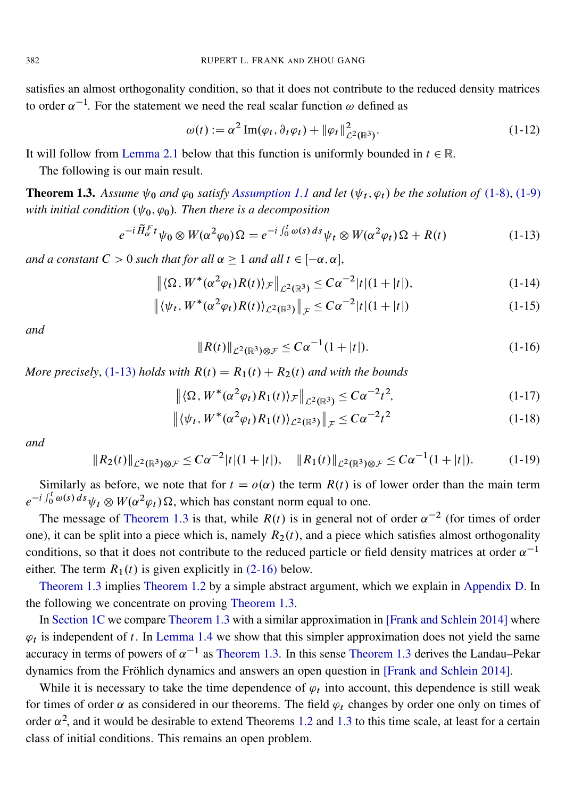satisfies an almost orthogonality condition, so that it does not contribute to the reduced density matrices to order  $\alpha^{-1}$ . For the statement we need the real scalar function  $\omega$  defined as

<span id="page-3-5"></span><span id="page-3-0"></span>
$$
\omega(t) := \alpha^2 \operatorname{Im}(\varphi_t, \partial_t \varphi_t) + \|\varphi_t\|_{\mathcal{L}^2(\mathbb{R}^3)}^2.
$$
 (1-12)

It will follow from [Lemma 2.1](#page-7-0) below that this function is uniformly bounded in  $t \in \mathbb{R}$ .

The following is our main result.

<span id="page-3-1"></span>**Theorem 1.3.** Assume  $\psi_0$  and  $\varphi_0$  satisfy [Assumption 1.1](#page-2-0) and let  $(\psi_t, \varphi_t)$  be the solution of [\(1-8\),](#page-1-0) [\(1-9\)](#page-1-1) *with initial condition*  $(\psi_0, \varphi_0)$ . Then there is a decomposition

$$
e^{-i\widetilde{H}_{\alpha}^F t}\psi_0 \otimes W(\alpha^2\varphi_0)\Omega = e^{-i\int_0^t \omega(s)\,ds}\psi_t \otimes W(\alpha^2\varphi_t)\Omega + R(t)
$$
\n(1-13)

*and a constant*  $C > 0$  *such that for all*  $\alpha \geq 1$  *and all*  $t \in [-\alpha, \alpha]$ ,

$$
\left\| \langle \Omega, W^*(\alpha^2 \varphi_t) R(t) \rangle_{\mathcal{F}} \right\|_{\mathcal{L}^2(\mathbb{R}^3)} \leq C \alpha^{-2} |t| (1+|t|), \tag{1-14}
$$

$$
\left\| \langle \psi_t, W^*(\alpha^2 \varphi_t) R(t) \rangle_{\mathcal{L}^2(\mathbb{R}^3)} \right\|_{\mathcal{F}} \leq C \alpha^{-2} |t| (1 + |t|)
$$
 (1-15)

<span id="page-3-4"></span>*and*

<span id="page-3-8"></span><span id="page-3-7"></span><span id="page-3-3"></span><span id="page-3-2"></span>
$$
||R(t)||_{\mathcal{L}^2(\mathbb{R}^3)\otimes\mathcal{F}} \leq C\alpha^{-1}(1+|t|). \tag{1-16}
$$

*More precisely,* [\(1-13\)](#page-3-0) *holds with*  $R(t) = R_1(t) + R_2(t)$  *and with the bounds* 

$$
\left\| \langle \Omega, W^*(\alpha^2 \varphi_t) R_1(t) \rangle_{\mathcal{F}} \right\|_{\mathcal{L}^2(\mathbb{R}^3)} \leq C \alpha^{-2} t^2, \tag{1-17}
$$

$$
\left\| \langle \psi_t, W^*(\alpha^2 \varphi_t) R_1(t) \rangle_{\mathcal{L}^2(\mathbb{R}^3)} \right\|_{\mathcal{F}} \leq C \alpha^{-2} t^2 \tag{1-18}
$$

<span id="page-3-6"></span>*and*

$$
||R_2(t)||_{\mathcal{L}^2(\mathbb{R}^3)\otimes\mathcal{F}} \leq C\alpha^{-2}|t|(1+|t|), \quad ||R_1(t)||_{\mathcal{L}^2(\mathbb{R}^3)\otimes\mathcal{F}} \leq C\alpha^{-1}(1+|t|). \tag{1-19}
$$

Similarly as before, we note that for  $t = o(\alpha)$  the term  $R(t)$  is of lower order than the main term  $e^{-i \int_0^t \omega(s) ds} \psi_t \otimes W(\alpha^2 \varphi_t) \Omega$ , which has constant norm equal to one.

The message of [Theorem 1.3](#page-3-1) is that, while  $R(t)$  is in general not of order  $\alpha^{-2}$  (for times of order one), it can be split into a piece which is, namely  $R_2(t)$ , and a piece which satisfies almost orthogonality conditions, so that it does not contribute to the reduced particle or field density matrices at order  $\alpha^{-1}$ either. The term  $R_1(t)$  is given explicitly in [\(2-16\)](#page-9-0) below.

[Theorem 1.3](#page-3-1) implies [Theorem 1.2](#page-2-1) by a simple abstract argument, which we explain in [Appendix D.](#page-40-0) In the following we concentrate on proving [Theorem 1.3.](#page-3-1)

In [Section 1C](#page-4-0) we compare [Theorem 1.3](#page-3-1) with a similar approximation in [\[Frank and Schlein 2014\]](#page-43-3) where  $\varphi_t$  is independent of t. In [Lemma 1.4](#page-5-0) we show that this simpler approximation does not yield the same accuracy in terms of powers of  $\alpha^{-1}$  as [Theorem 1.3.](#page-3-1) In this sense [Theorem 1.3](#page-3-1) derives the Landau–Pekar dynamics from the Fröhlich dynamics and answers an open question in [\[Frank and Schlein 2014\]](#page-43-3).

While it is necessary to take the time dependence of  $\varphi_t$  into account, this dependence is still weak for times of order  $\alpha$  as considered in our theorems. The field  $\varphi_t$  changes by order one only on times of order  $\alpha^2$ , and it would be desirable to extend Theorems [1.2](#page-2-1) and [1.3](#page-3-1) to this time scale, at least for a certain class of initial conditions. This remains an open problem.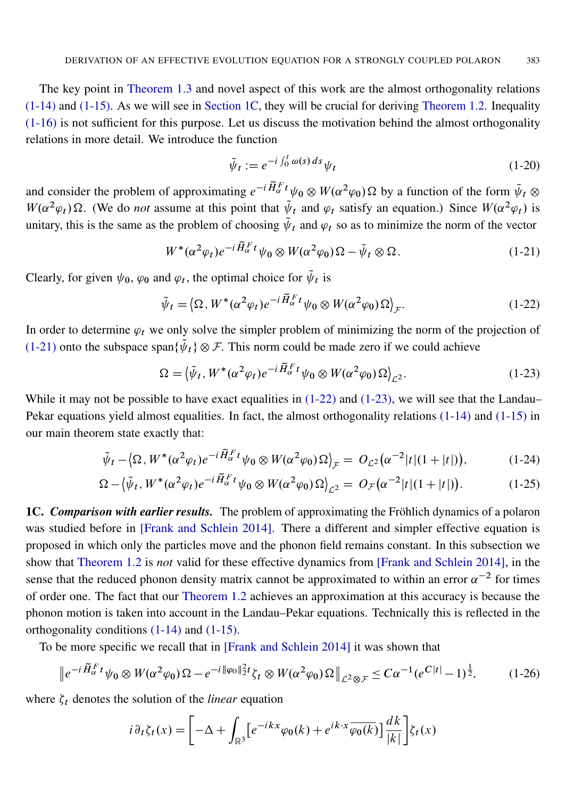The key point in [Theorem 1.3](#page-3-1) and novel aspect of this work are the almost orthogonality relations [\(1-14\)](#page-3-2) and [\(1-15\).](#page-3-3) As we will see in [Section 1C,](#page-4-0) they will be crucial for deriving [Theorem 1.2.](#page-2-1) Inequality [\(1-16\)](#page-3-4) is not sufficient for this purpose. Let us discuss the motivation behind the almost orthogonality relations in more detail. We introduce the function

<span id="page-4-5"></span><span id="page-4-3"></span><span id="page-4-2"></span><span id="page-4-1"></span>
$$
\tilde{\psi}_t := e^{-i \int_0^t \omega(s) \, ds} \psi_t \tag{1-20}
$$

and consider the problem of approximating  $e^{-i\tilde{H}_{\alpha}^F t}\psi_0 \otimes W(\alpha^2\varphi_0) \Omega$  by a function of the form  $\tilde{\psi}_t \otimes$  $W(\alpha^2 \varphi_t) \Omega$ . (We do *not* assume at this point that  $\tilde{\psi}_t$  and  $\varphi_t$  satisfy an equation.) Since  $W(\alpha^2 \varphi_t)$  is unitary, this is the same as the problem of choosing  $\tilde{\psi}_t$  and  $\varphi_t$  so as to minimize the norm of the vector

$$
W^*(\alpha^2 \varphi_t) e^{-i \widetilde{H}_\alpha^F t} \psi_0 \otimes W(\alpha^2 \varphi_0) \Omega - \tilde{\psi}_t \otimes \Omega.
$$
 (1-21)

Clearly, for given  $\psi_0$ ,  $\varphi_0$  and  $\varphi_t$ , the optimal choice for  $\tilde{\psi}_t$  is

$$
\tilde{\psi}_t = \langle \Omega, W^*(\alpha^2 \varphi_t) e^{-i \tilde{H}_\alpha^F t} \psi_0 \otimes W(\alpha^2 \varphi_0) \Omega \rangle_{\mathcal{F}}.
$$
\n(1-22)

In order to determine  $\varphi_t$  we only solve the simpler problem of minimizing the norm of the projection of [\(1-21\)](#page-4-1) onto the subspace span $\{\psi_t\} \otimes \mathcal{F}$ . This norm could be made zero if we could achieve

$$
\Omega = \left\langle \tilde{\psi}_t, W^*(\alpha^2 \varphi_t) e^{-i \tilde{H}_\alpha^F t} \psi_0 \otimes W(\alpha^2 \varphi_0) \Omega \right\rangle_{\mathcal{L}^2}.
$$
\n(1-23)

While it may not be possible to have exact equalities in  $(1-22)$  and  $(1-23)$ , we will see that the Landau– Pekar equations yield almost equalities. In fact, the almost orthogonality relations [\(1-14\)](#page-3-2) and [\(1-15\)](#page-3-3) in our main theorem state exactly that:

$$
\tilde{\psi}_t - \langle \Omega, W^*(\alpha^2 \varphi_t) e^{-i \tilde{H}_\alpha^F t} \psi_0 \otimes W(\alpha^2 \varphi_0) \Omega \rangle_{\mathcal{F}} = O_{\mathcal{L}^2}(\alpha^{-2}|t|(1+|t|)), \tag{1-24}
$$

$$
\Omega - \left\langle \tilde{\psi}_t, W^*(\alpha^2 \varphi_t) e^{-i \tilde{H}_\alpha^F t} \psi_0 \otimes W(\alpha^2 \varphi_0) \Omega \right\rangle_{\mathcal{L}^2} = O_{\mathcal{F}}(\alpha^{-2}|t|(1+|t|)). \tag{1-25}
$$

<span id="page-4-0"></span>1C. *Comparison with earlier results.* The problem of approximating the Fröhlich dynamics of a polaron was studied before in [\[Frank and Schlein 2014\]](#page-43-3). There a different and simpler effective equation is proposed in which only the particles move and the phonon field remains constant. In this subsection we show that [Theorem 1.2](#page-2-1) is *not* valid for these effective dynamics from [\[Frank and Schlein 2014\]](#page-43-3), in the sense that the reduced phonon density matrix cannot be approximated to within an error  $\alpha^{-2}$  for times of order one. The fact that our [Theorem 1.2](#page-2-1) achieves an approximation at this accuracy is because the phonon motion is taken into account in the Landau–Pekar equations. Technically this is reflected in the orthogonality conditions [\(1-14\)](#page-3-2) and [\(1-15\).](#page-3-3)

To be more specific we recall that in [\[Frank and Schlein 2014\]](#page-43-3) it was shown that

$$
\left\|e^{-i\widetilde{H}_{\alpha}^{\,F}t}\psi_{0}\otimes W(\alpha^{2}\varphi_{0})\Omega - e^{-i\|\varphi_{0}\|_{2}^{2}t}\zeta_{t}\otimes W(\alpha^{2}\varphi_{0})\Omega\right\|_{\mathcal{L}^{2}\otimes\mathcal{F}} \leq C\alpha^{-1}(e^{C|t|}-1)^{\frac{1}{2}},\tag{1-26}
$$

where  $\zeta_t$  denotes the solution of the *linear* equation

<span id="page-4-4"></span>
$$
i \partial_t \zeta_t(x) = \left[ -\Delta + \int_{\mathbb{R}^3} \left[ e^{-ikx} \varphi_0(k) + e^{ik \cdot x} \overline{\varphi_0(k)} \right] \frac{dk}{|k|} \right] \zeta_t(x)
$$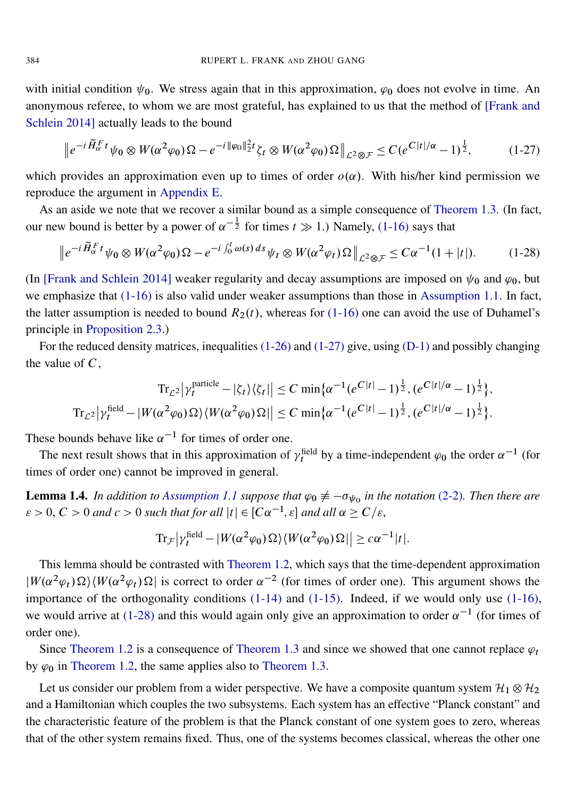with initial condition  $\psi_0$ . We stress again that in this approximation,  $\varphi_0$  does not evolve in time. An anonymous referee, to whom we are most grateful, has explained to us that the method of [\[Frank and](#page-43-3) [Schlein 2014\]](#page-43-3) actually leads to the bound

<span id="page-5-1"></span>
$$
\left\|e^{-i\widetilde{H}_{\alpha}^F t}\psi_0 \otimes W(\alpha^2\varphi_0)\Omega - e^{-i\|\varphi_0\|_2^2 t}\zeta_t \otimes W(\alpha^2\varphi_0)\Omega\right\|_{\mathcal{L}^2 \otimes \mathcal{F}} \leq C(e^{C|t|/\alpha} - 1)^{\frac{1}{2}},\tag{1-27}
$$

which provides an approximation even up to times of order  $o(\alpha)$ . With his/her kind permission we reproduce the argument in [Appendix E.](#page-42-0)

As an aside we note that we recover a similar bound as a simple consequence of [Theorem 1.3.](#page-3-1) (In fact, our new bound is better by a power of  $\alpha^{-\frac{1}{2}}$  for times  $t \gg 1$ .) Namely, [\(1-16\)](#page-3-4) says that

<span id="page-5-2"></span>
$$
\left\|e^{-i\widetilde{H}_{\alpha}^F t}\psi_0 \otimes W(\alpha^2\varphi_0)\Omega - e^{-i\int_0^t \omega(s)\,ds}\psi_t \otimes W(\alpha^2\varphi_t)\Omega\right\|_{\mathcal{L}^2\otimes\mathcal{F}} \leq C\alpha^{-1}(1+|t|). \tag{1-28}
$$

(In [\[Frank and Schlein 2014\]](#page-43-3) weaker regularity and decay assumptions are imposed on  $\psi_0$  and  $\varphi_0$ , but we emphasize that [\(1-16\)](#page-3-4) is also valid under weaker assumptions than those in [Assumption 1.1.](#page-2-0) In fact, the latter assumption is needed to bound  $R_2(t)$ , whereas for [\(1-16\)](#page-3-4) one can avoid the use of Duhamel's principle in [Proposition 2.3.](#page-9-1))

For the reduced density matrices, inequalities [\(1-26\)](#page-4-4) and [\(1-27\)](#page-5-1) give, using [\(D-1\)](#page-40-1) and possibly changing the value of  $C$ ,

$$
\mathrm{Tr}_{\mathcal{L}^{2}}\left|\gamma_{t}^{\text{particle}}-|\zeta_{t}\rangle\langle\zeta_{t}|\right| \leq C \min\{\alpha^{-1}(e^{C|t|}-1)^{\frac{1}{2}},(e^{C|t|/\alpha}-1)^{\frac{1}{2}}\},\
$$
  

$$
\mathrm{Tr}_{\mathcal{L}^{2}}\left|\gamma_{t}^{\text{field}}-|W(\alpha^{2}\varphi_{0})\Omega\rangle\langle W(\alpha^{2}\varphi_{0})\Omega|\right| \leq C \min\{\alpha^{-1}(e^{C|t|}-1)^{\frac{1}{2}},(e^{C|t|/\alpha}-1)^{\frac{1}{2}}\}.
$$

These bounds behave like  $\alpha^{-1}$  for times of order one.

The next result shows that in this approximation of  $\gamma_t^{\text{field}}$  by a time-independent  $\varphi_0$  the order  $\alpha^{-1}$  (for times of order one) cannot be improved in general.

<span id="page-5-0"></span>**Lemma 1.4.** In addition to [Assumption 1.1](#page-2-0) suppose that  $\varphi_0 \neq -\sigma_{\psi_0}$  in the notation [\(2-2\)](#page-7-1). Then there are  $\epsilon > 0, C > 0$  and  $c > 0$  such that for all  $|t| \in [C\alpha^{-1}, \epsilon]$  and all  $\alpha \ge C/\epsilon$ ,

$$
\mathrm{Tr}_{\mathcal{F}}\left|\gamma_t^{\text{field}} - |W(\alpha^2 \varphi_0) \,\Omega\rangle \langle W(\alpha^2 \varphi_0) \,\Omega|\right| \geq c \alpha^{-1} |t|.
$$

This lemma should be contrasted with [Theorem 1.2,](#page-2-1) which says that the time-dependent approximation  $|W(\alpha^2 \varphi_t) \Omega \rangle \langle W(\alpha^2 \varphi_t) \Omega|$  is correct to order  $\alpha^{-2}$  (for times of order one). This argument shows the importance of the orthogonality conditions [\(1-14\)](#page-3-2) and [\(1-15\).](#page-3-3) Indeed, if we would only use [\(1-16\),](#page-3-4) we would arrive at [\(1-28\)](#page-5-2) and this would again only give an approximation to order  $\alpha^{-1}$  (for times of order one).

Since [Theorem 1.2](#page-2-1) is a consequence of [Theorem 1.3](#page-3-1) and since we showed that one cannot replace  $\varphi_t$ by  $\varphi_0$  in [Theorem 1.2,](#page-2-1) the same applies also to [Theorem 1.3.](#page-3-1)

Let us consider our problem from a wider perspective. We have a composite quantum system  $\mathcal{H}_1 \otimes \mathcal{H}_2$ and a Hamiltonian which couples the two subsystems. Each system has an effective "Planck constant" and the characteristic feature of the problem is that the Planck constant of one system goes to zero, whereas that of the other system remains fixed. Thus, one of the systems becomes classical, whereas the other one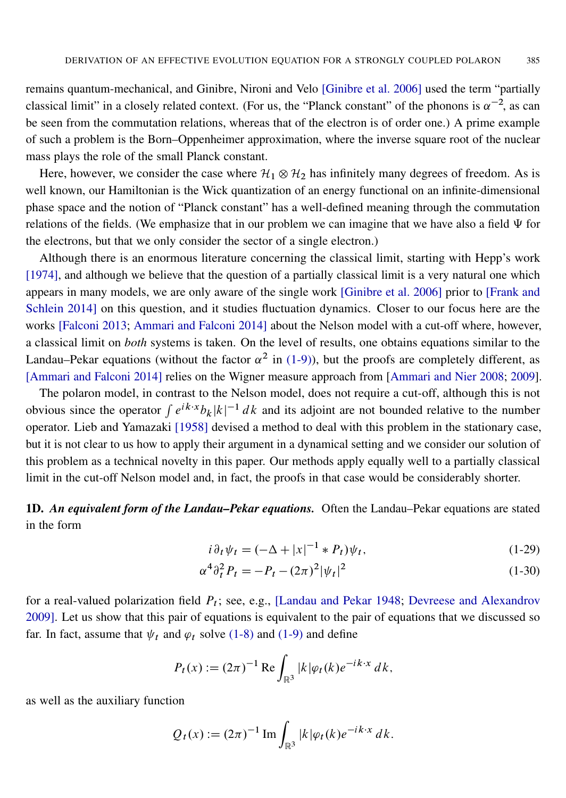remains quantum-mechanical, and Ginibre, Nironi and Velo [\[Ginibre et al. 2006\]](#page-43-8) used the term "partially classical limit" in a closely related context. (For us, the "Planck constant" of the phonons is  $\alpha^{-2}$ , as can be seen from the commutation relations, whereas that of the electron is of order one.) A prime example of such a problem is the Born–Oppenheimer approximation, where the inverse square root of the nuclear mass plays the role of the small Planck constant.

Here, however, we consider the case where  $\mathcal{H}_1 \otimes \mathcal{H}_2$  has infinitely many degrees of freedom. As is well known, our Hamiltonian is the Wick quantization of an energy functional on an infinite-dimensional phase space and the notion of "Planck constant" has a well-defined meaning through the commutation relations of the fields. (We emphasize that in our problem we can imagine that we have also a field  $\Psi$  for the electrons, but that we only consider the sector of a single electron.)

Although there is an enormous literature concerning the classical limit, starting with Hepp's work [\[1974\]](#page-43-9), and although we believe that the question of a partially classical limit is a very natural one which appears in many models, we are only aware of the single work [\[Ginibre et al. 2006\]](#page-43-8) prior to [\[Frank and](#page-43-3) [Schlein 2014\]](#page-43-3) on this question, and it studies fluctuation dynamics. Closer to our focus here are the works [\[Falconi 2013;](#page-43-10) [Ammari and Falconi 2014\]](#page-43-11) about the Nelson model with a cut-off where, however, a classical limit on *both* systems is taken. On the level of results, one obtains equations similar to the Landau–Pekar equations (without the factor  $\alpha^2$  in [\(1-9\)\)](#page-1-1), but the proofs are completely different, as [\[Ammari and Falconi 2014\]](#page-43-11) relies on the Wigner measure approach from [\[Ammari and Nier 2008;](#page-43-12) [2009\]](#page-43-13).

The polaron model, in contrast to the Nelson model, does not require a cut-off, although this is not obvious since the operator  $\int e^{ik \cdot x} b_k |k|^{-1} dk$  and its adjoint are not bounded relative to the number operator. Lieb and Yamazaki [\[1958\]](#page-43-14) devised a method to deal with this problem in the stationary case, but it is not clear to us how to apply their argument in a dynamical setting and we consider our solution of this problem as a technical novelty in this paper. Our methods apply equally well to a partially classical limit in the cut-off Nelson model and, in fact, the proofs in that case would be considerably shorter.

<span id="page-6-0"></span>1D. *An equivalent form of the Landau–Pekar equations.* Often the Landau–Pekar equations are stated in the form

<span id="page-6-2"></span><span id="page-6-1"></span>
$$
i\,\partial_t\,\psi_t = (-\Delta + |x|^{-1} * P_t)\psi_t,\tag{1-29}
$$

$$
\alpha^4 \partial_t^2 P_t = -P_t - (2\pi)^2 |\psi_t|^2 \tag{1-30}
$$

for a real-valued polarization field  $P_t$ ; see, e.g., [\[Landau and Pekar 1948;](#page-43-1) [Devreese and Alexandrov](#page-43-15) [2009\]](#page-43-15). Let us show that this pair of equations is equivalent to the pair of equations that we discussed so far. In fact, assume that  $\psi_t$  and  $\varphi_t$  solve [\(1-8\)](#page-1-0) and [\(1-9\)](#page-1-1) and define

$$
P_t(x) := (2\pi)^{-1} \operatorname{Re} \int_{\mathbb{R}^3} |k| \varphi_t(k) e^{-ik \cdot x} dk,
$$

as well as the auxiliary function

$$
Q_t(x) := (2\pi)^{-1} \operatorname{Im} \int_{\mathbb{R}^3} |k| \varphi_t(k) e^{-ik \cdot x} \, dk.
$$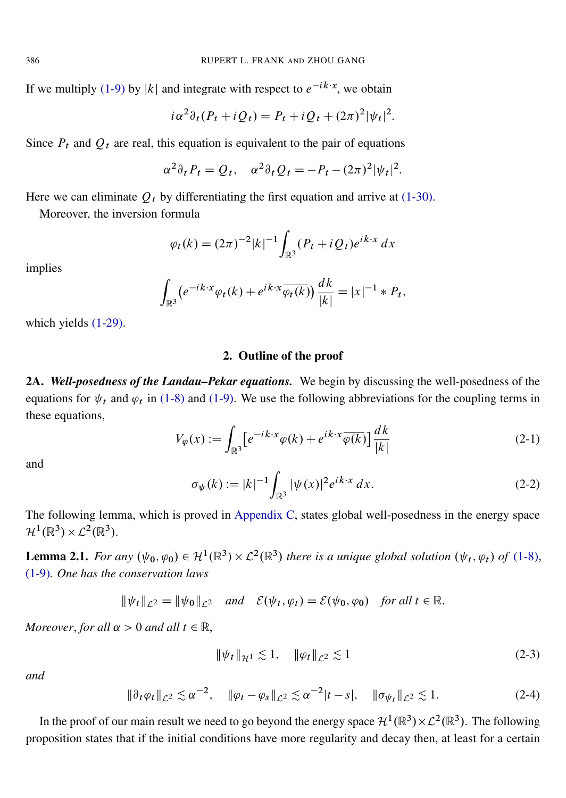If we multiply [\(1-9\)](#page-1-1) by |k| and integrate with respect to  $e^{-ik \cdot x}$ , we obtain

$$
i\alpha^2\partial_t(P_t + iQ_t) = P_t + iQ_t + (2\pi)^2|\psi_t|^2.
$$

Since  $P_t$  and  $Q_t$  are real, this equation is equivalent to the pair of equations

$$
\alpha^2 \partial_t P_t = Q_t, \quad \alpha^2 \partial_t Q_t = -P_t - (2\pi)^2 |\psi_t|^2.
$$

Here we can eliminate  $Q_t$  by differentiating the first equation and arrive at [\(1-30\).](#page-6-1)

Moreover, the inversion formula

$$
\varphi_t(k) = (2\pi)^{-2} |k|^{-1} \int_{\mathbb{R}^3} (P_t + i Q_t) e^{ik \cdot x} dx
$$

implies

$$
\int_{\mathbb{R}^3} \left( e^{-ik \cdot x} \varphi_t(k) + e^{ik \cdot x} \overline{\varphi_t(k)} \right) \frac{dk}{|k|} = |x|^{-1} * P_t,
$$

which yields [\(1-29\).](#page-6-2)

## 2. Outline of the proof

2A. *Well-posedness of the Landau–Pekar equations.* We begin by discussing the well-posedness of the equations for  $\psi_t$  and  $\varphi_t$  in [\(1-8\)](#page-1-0) and [\(1-9\).](#page-1-1) We use the following abbreviations for the coupling terms in these equations,

<span id="page-7-2"></span>
$$
V_{\varphi}(x) := \int_{\mathbb{R}^3} \left[ e^{-ik \cdot x} \varphi(k) + e^{ik \cdot x} \overline{\varphi(k)} \right] \frac{dk}{|k|}
$$
 (2-1)

<span id="page-7-1"></span>and

$$
\sigma_{\psi}(k) := |k|^{-1} \int_{\mathbb{R}^3} |\psi(x)|^2 e^{ik \cdot x} dx.
$$
 (2-2)

The following lemma, which is proved in [Appendix C,](#page-35-0) states global well-posedness in the energy space  $\mathcal{H}^1(\mathbb{R}^3)\times\mathcal{L}^2(\mathbb{R}^3).$ 

<span id="page-7-0"></span>**Lemma 2.1.** For any  $(\psi_0, \varphi_0) \in \mathcal{H}^1(\mathbb{R}^3) \times \mathcal{L}^2(\mathbb{R}^3)$  there is a unique global solution  $(\psi_t, \varphi_t)$  of [\(1-8\),](#page-1-0) [\(1-9\)](#page-1-1)*. One has the conservation laws*

$$
\|\psi_t\|_{\mathcal{L}^2} = \|\psi_0\|_{\mathcal{L}^2} \quad \text{and} \quad \mathcal{E}(\psi_t, \varphi_t) = \mathcal{E}(\psi_0, \varphi_0) \quad \text{for all } t \in \mathbb{R}.
$$

*Moreover, for all*  $\alpha > 0$  *and all*  $t \in \mathbb{R}$ ,

<span id="page-7-3"></span>
$$
\|\psi_t\|_{\mathcal{H}^1} \lesssim 1, \quad \|\varphi_t\|_{\mathcal{L}^2} \lesssim 1 \tag{2-3}
$$

<span id="page-7-4"></span>*and*

$$
\|\partial_t \varphi_t\|_{\mathcal{L}^2} \lesssim \alpha^{-2}, \quad \|\varphi_t - \varphi_s\|_{\mathcal{L}^2} \lesssim \alpha^{-2}|t-s|, \quad \|\sigma_{\psi_t}\|_{\mathcal{L}^2} \lesssim 1.
$$
 (2-4)

In the proof of our main result we need to go beyond the energy space  $H^1(\mathbb{R}^3) \times L^2(\mathbb{R}^3)$ . The following proposition states that if the initial conditions have more regularity and decay then, at least for a certain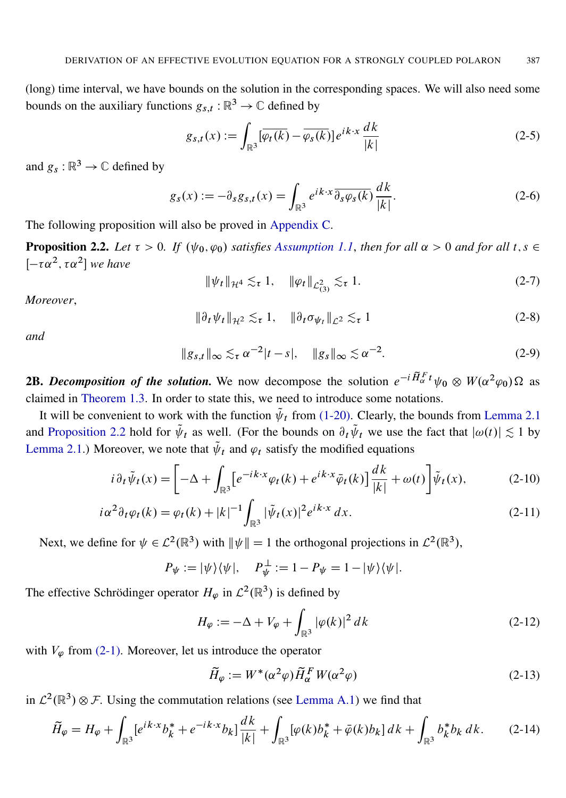(long) time interval, we have bounds on the solution in the corresponding spaces. We will also need some bounds on the auxiliary functions  $g_{s,t} : \mathbb{R}^3 \to \mathbb{C}$  defined by

<span id="page-8-5"></span>
$$
g_{s,t}(x) := \int_{\mathbb{R}^3} [\overline{\varphi_t(k)} - \overline{\varphi_s(k)}] e^{ik \cdot x} \frac{dk}{|k|}
$$
 (2-5)

and  $g_s : \mathbb{R}^3 \to \mathbb{C}$  defined by

<span id="page-8-7"></span>
$$
g_s(x) := -\partial_s g_{s,t}(x) = \int_{\mathbb{R}^3} e^{ik \cdot x} \overline{\partial_s \varphi_s(k)} \frac{dk}{|k|}.
$$
 (2-6)

The following proposition will also be proved in [Appendix C.](#page-35-0)

<span id="page-8-0"></span>**Proposition 2.2.** Let  $\tau > 0$ . If  $(\psi_0, \varphi_0)$  satisfies [Assumption 1.1](#page-2-0), then for all  $\alpha > 0$  and for all  $t, s \in \mathbb{R}$  $[-\tau \alpha^2, \tau \alpha^2]$  we have

$$
\|\psi_t\|_{\mathcal{H}^4} \lesssim_{\tau} 1, \quad \|\varphi_t\|_{\mathcal{L}^2_{(3)}} \lesssim_{\tau} 1. \tag{2-7}
$$

<span id="page-8-9"></span>*Moreover*,

$$
\|\partial_t \psi_t\|_{\mathcal{H}^2} \lesssim_{\tau} 1, \quad \|\partial_t \sigma_{\psi_t}\|_{\mathcal{L}^2} \lesssim_{\tau} 1 \tag{2-8}
$$

<span id="page-8-10"></span>*and*

$$
||g_{s,t}||_{\infty} \lesssim_{\tau} \alpha^{-2}|t-s|, \quad ||g_s||_{\infty} \lesssim \alpha^{-2}.
$$
 (2-9)

<span id="page-8-6"></span>**2B.** Decomposition of the solution. We now decompose the solution  $e^{-i\widetilde{H}_{\alpha}^T t}\psi_0 \otimes W(\alpha^2\varphi_0) \Omega$  as claimed in [Theorem 1.3.](#page-3-1) In order to state this, we need to introduce some notations.

It will be convenient to work with the function  $\tilde{\psi}_t$  from [\(1-20\).](#page-4-5) Clearly, the bounds from [Lemma 2.1](#page-7-0) and [Proposition 2.2](#page-8-0) hold for  $\tilde{\psi}_t$  as well. (For the bounds on  $\partial_t \tilde{\psi}_t$  we use the fact that  $|\omega(t)| \lesssim 1$  by [Lemma 2.1.](#page-7-0)) Moreover, we note that  $\tilde{\psi}_t$  and  $\varphi_t$  satisfy the modified equations

$$
i\,\partial_t\tilde{\psi}_t(x) = \left[ -\Delta + \int_{\mathbb{R}^3} \left[ e^{-ik \cdot x} \varphi_t(k) + e^{ik \cdot x} \bar{\varphi}_t(k) \right] \frac{dk}{|k|} + \omega(t) \right] \tilde{\psi}_t(x),\tag{2-10}
$$

$$
i\alpha^{2}\partial_{t}\varphi_{t}(k) = \varphi_{t}(k) + |k|^{-1} \int_{\mathbb{R}^{3}} |\tilde{\psi}_{t}(x)|^{2} e^{ik \cdot x} dx.
$$
 (2-11)

Next, we define for  $\psi \in \mathcal{L}^2(\mathbb{R}^3)$  with  $\|\psi\| = 1$  the orthogonal projections in  $\mathcal{L}^2(\mathbb{R}^3)$ ,

$$
P_{\psi} := |\psi\rangle\langle\psi|, \quad P_{\psi}^{\perp} := 1 - P_{\psi} = 1 - |\psi\rangle\langle\psi|.
$$

The effective Schrödinger operator  $H_{\varphi}$  in  $\mathcal{L}^2(\mathbb{R}^3)$  is defined by

<span id="page-8-8"></span><span id="page-8-2"></span><span id="page-8-1"></span>
$$
H_{\varphi} := -\Delta + V_{\varphi} + \int_{\mathbb{R}^3} |\varphi(k)|^2 \, dk \tag{2-12}
$$

with  $V_{\varphi}$  from [\(2-1\).](#page-7-2) Moreover, let us introduce the operator

<span id="page-8-4"></span><span id="page-8-3"></span>
$$
\widetilde{H}_{\varphi} := W^*(\alpha^2 \varphi) \widetilde{H}_{\alpha}^F W(\alpha^2 \varphi) \tag{2-13}
$$

in  $\mathcal{L}^2(\mathbb{R}^3) \otimes \mathcal{F}$ . Using the commutation relations (see [Lemma A.1\)](#page-33-0) we find that

$$
\widetilde{H}_{\varphi} = H_{\varphi} + \int_{\mathbb{R}^3} [e^{ik \cdot x} b_k^* + e^{-ik \cdot x} b_k] \frac{dk}{|k|} + \int_{\mathbb{R}^3} [\varphi(k) b_k^* + \bar{\varphi}(k) b_k] dk + \int_{\mathbb{R}^3} b_k^* b_k dk. \tag{2-14}
$$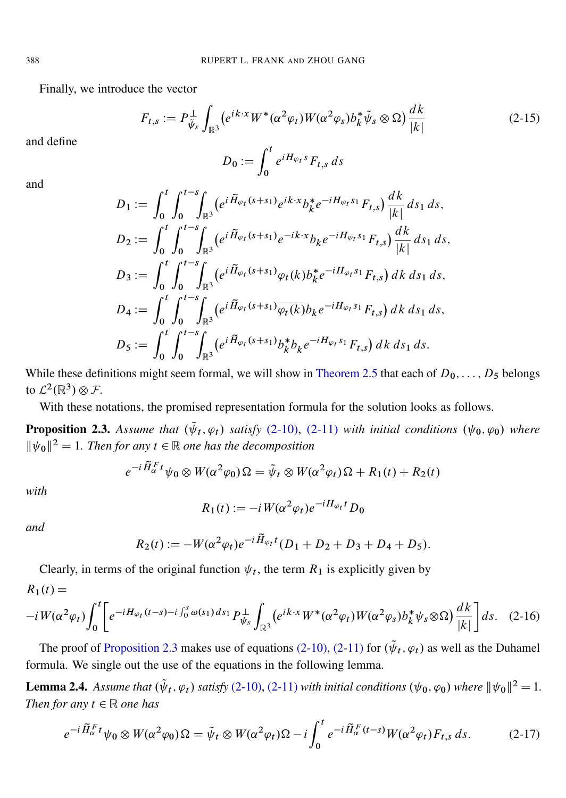Finally, we introduce the vector

<span id="page-9-4"></span>
$$
F_{t,s} := P_{\tilde{\psi}_s}^{\perp} \int_{\mathbb{R}^3} \left( e^{ik \cdot x} W^*(\alpha^2 \varphi_t) W(\alpha^2 \varphi_s) b_k^* \tilde{\psi}_s \otimes \Omega \right) \frac{dk}{|k|}
$$
(2-15)

and define

$$
D_0 := \int_0^t e^{iH_{\varphi_t}s} F_{t,s} ds
$$

and

$$
D_1 := \int_0^t \int_0^{t-s} \int_{\mathbb{R}^3} (e^{i \tilde{H}_{\varphi_t}(s+s_1)} e^{ik \cdot x} b_k^* e^{-i H_{\varphi_t} s_1} F_{t,s}) \frac{dk}{|k|} ds_1 ds,
$$
  
\n
$$
D_2 := \int_0^t \int_0^{t-s} \int_{\mathbb{R}^3} (e^{i \tilde{H}_{\varphi_t}(s+s_1)} e^{-ik \cdot x} b_k e^{-i H_{\varphi_t} s_1} F_{t,s}) \frac{dk}{|k|} ds_1 ds,
$$
  
\n
$$
D_3 := \int_0^t \int_0^{t-s} \int_{\mathbb{R}^3} (e^{i \tilde{H}_{\varphi_t}(s+s_1)} \varphi_t(k) b_k^* e^{-i H_{\varphi_t} s_1} F_{t,s}) dk ds_1 ds,
$$
  
\n
$$
D_4 := \int_0^t \int_0^{t-s} \int_{\mathbb{R}^3} (e^{i \tilde{H}_{\varphi_t}(s+s_1)} \overline{\varphi_t(k)} b_k e^{-i H_{\varphi_t} s_1} F_{t,s}) dk ds_1 ds,
$$
  
\n
$$
D_5 := \int_0^t \int_0^{t-s} \int_{\mathbb{R}^3} (e^{i \tilde{H}_{\varphi_t}(s+s_1)} b_k^* b_k e^{-i H_{\varphi_t} s_1} F_{t,s}) dk ds_1 ds.
$$

While these definitions might seem formal, we will show in [Theorem 2.5](#page-11-0) that each of  $D_0, \ldots, D_5$  belongs to  $\mathcal{L}^2(\mathbb{R}^3)\otimes \mathcal{F}$ .

With these notations, the promised representation formula for the solution looks as follows.

<span id="page-9-1"></span>**Proposition 2.3.** Assume that  $(\tilde{\psi}_t, \varphi_t)$  satisfy [\(2-10\),](#page-8-1) [\(2-11\)](#page-8-2) with initial conditions  $(\psi_0, \varphi_0)$  where  $\|\psi_0\|^2 = 1$ . Then for any  $t \in \mathbb{R}$  one has the decomposition

$$
e^{-i\widetilde{H}_{\alpha}^F t}\psi_0 \otimes W(\alpha^2\varphi_0)\Omega = \widetilde{\psi}_t \otimes W(\alpha^2\varphi_t)\Omega + R_1(t) + R_2(t)
$$

*with*

<span id="page-9-0"></span>
$$
R_1(t) := -i W(\alpha^2 \varphi_t) e^{-iH_{\varphi_t}t} D_0
$$

*and*

$$
R_2(t) := -W(\alpha^2 \varphi_t) e^{-i \tilde{H}_{\varphi_t} t} (D_1 + D_2 + D_3 + D_4 + D_5).
$$

Clearly, in terms of the original function  $\psi_t$ , the term  $R_1$  is explicitly given by  $R_1(t) =$ 

$$
-iW(\alpha^2\varphi_t)\int_0^t \left[e^{-iH_{\varphi_t}(t-s)-i\int_0^s \omega(s_1)ds_1}P_{\psi_s}^{\perp}\int_{\mathbb{R}^3}(e^{ik\cdot x}W^*(\alpha^2\varphi_t)W(\alpha^2\varphi_s)b_k^*\psi_s\otimes\Omega)\frac{dk}{|k|}\right]ds. \quad (2-16)
$$

The proof of [Proposition 2.3](#page-9-1) makes use of equations [\(2-10\),](#page-8-1) [\(2-11\)](#page-8-2) for  $(\tilde{\psi}_t, \varphi_t)$  as well as the Duhamel formula. We single out the use of the equations in the following lemma.

<span id="page-9-2"></span>**Lemma 2.4.** Assume that  $(\tilde{\psi}_t, \varphi_t)$  satisfy [\(2-10\),](#page-8-1) [\(2-11\)](#page-8-2) with initial conditions  $(\psi_0, \varphi_0)$  where  $||\psi_0||^2 = 1$ . *Then for any*  $t \in \mathbb{R}$  *one has* 

<span id="page-9-3"></span>
$$
e^{-i\widetilde{H}_{\alpha}^F t}\psi_0 \otimes W(\alpha^2\varphi_0)\Omega = \widetilde{\psi}_t \otimes W(\alpha^2\varphi_t)\Omega - i\int_0^t e^{-i\widetilde{H}_{\alpha}^F (t-s)}W(\alpha^2\varphi_t)F_{t,s} ds.
$$
 (2-17)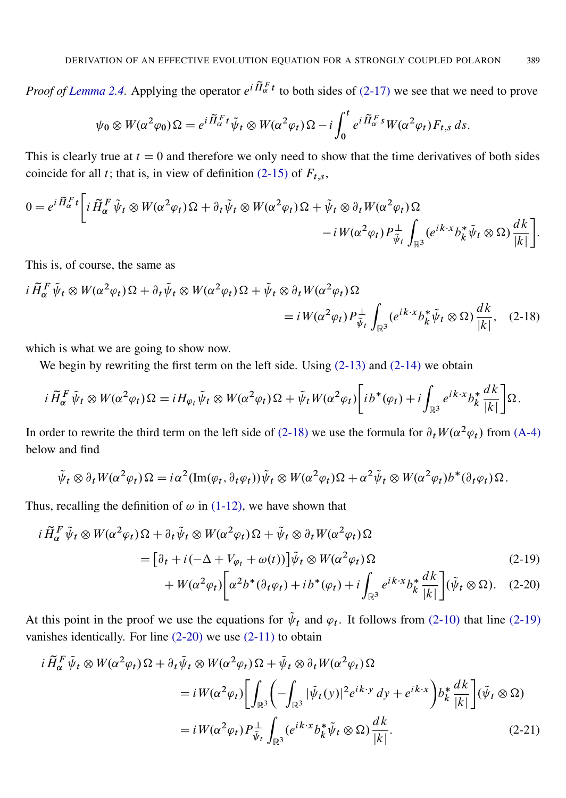*Proof of [Lemma 2.4.](#page-9-2)* Applying the operator  $e^{i\tilde{H}_{\alpha}^F t}$  to both sides of [\(2-17\)](#page-9-3) we see that we need to prove

$$
\psi_0 \otimes W(\alpha^2 \varphi_0) \Omega = e^{i \widetilde{H}_\alpha^F t} \widetilde{\psi}_t \otimes W(\alpha^2 \varphi_t) \Omega - i \int_0^t e^{i \widetilde{H}_\alpha^F s} W(\alpha^2 \varphi_t) F_{t,s} ds.
$$

This is clearly true at  $t = 0$  and therefore we only need to show that the time derivatives of both sides coincide for all t; that is, in view of definition [\(2-15\)](#page-9-4) of  $F_{t,s}$ ,

$$
0 = e^{i \widetilde{H}_{\alpha}^F t} \bigg[ i \widetilde{H}_{\alpha}^F \widetilde{\psi}_t \otimes W(\alpha^2 \varphi_t) \Omega + \partial_t \widetilde{\psi}_t \otimes W(\alpha^2 \varphi_t) \Omega + \widetilde{\psi}_t \otimes \partial_t W(\alpha^2 \varphi_t) \Omega - i W(\alpha^2 \varphi_t) P_{\widetilde{\psi}_t}^{\perp} \int_{\mathbb{R}^3} (e^{ik \cdot x} b_k^* \widetilde{\psi}_t \otimes \Omega) \frac{dk}{|k|} \bigg].
$$

<span id="page-10-0"></span>This is, of course, the same as

$$
i \tilde{H}_{\alpha}^{F} \tilde{\psi}_{t} \otimes W(\alpha^{2} \varphi_{t}) \Omega + \partial_{t} \tilde{\psi}_{t} \otimes W(\alpha^{2} \varphi_{t}) \Omega + \tilde{\psi}_{t} \otimes \partial_{t} W(\alpha^{2} \varphi_{t}) \Omega
$$
  
=  $i W(\alpha^{2} \varphi_{t}) P_{\tilde{\psi}_{t}}^{\perp} \int_{\mathbb{R}^{3}} (e^{ik \cdot x} b_{k}^{*} \tilde{\psi}_{t} \otimes \Omega) \frac{dk}{|k|}, \quad (2-18)$ 

which is what we are going to show now.

We begin by rewriting the first term on the left side. Using  $(2-13)$  and  $(2-14)$  we obtain

$$
i\,\tilde{H}_{\alpha}^F\tilde{\psi}_t \otimes W(\alpha^2\varphi_t)\Omega = iH_{\varphi_t}\tilde{\psi}_t \otimes W(\alpha^2\varphi_t)\Omega + \tilde{\psi}_t W(\alpha^2\varphi_t)\bigg[i\,b^*(\varphi_t) + i\int_{\mathbb{R}^3}e^{ik\cdot x}b^*_k\frac{dk}{|k|}\bigg]\Omega.
$$

In order to rewrite the third term on the left side of [\(2-18\)](#page-10-0) we use the formula for  $\partial_t W(\alpha^2 \varphi_t)$  from [\(A-4\)](#page-33-1) below and find

<span id="page-10-2"></span><span id="page-10-1"></span>
$$
\tilde{\psi}_t \otimes \partial_t W(\alpha^2 \varphi_t) \Omega = i \alpha^2 (\text{Im}(\varphi_t, \partial_t \varphi_t)) \tilde{\psi}_t \otimes W(\alpha^2 \varphi_t) \Omega + \alpha^2 \tilde{\psi}_t \otimes W(\alpha^2 \varphi_t) b^*(\partial_t \varphi_t) \Omega.
$$

Thus, recalling the definition of  $\omega$  in [\(1-12\),](#page-3-5) we have shown that

$$
i\widetilde{H}_{\alpha}^{F}\widetilde{\psi}_{t}\otimes W(\alpha^{2}\varphi_{t})\Omega+\partial_{t}\widetilde{\psi}_{t}\otimes W(\alpha^{2}\varphi_{t})\Omega+\widetilde{\psi}_{t}\otimes\partial_{t}W(\alpha^{2}\varphi_{t})\Omega
$$
\n
$$
=\left[\partial_{t}+i(-\Delta+V_{\varphi_{t}}+\omega(t))\right]\widetilde{\psi}_{t}\otimes W(\alpha^{2}\varphi_{t})\Omega
$$
\n
$$
+W(\alpha^{2}\varphi_{t})\left[\alpha^{2}b^{*}(\partial_{t}\varphi_{t})+ib^{*}(\varphi_{t})+i\int_{\mathbb{R}^{3}}e^{ik\cdot x}b_{k}^{*}\frac{dk}{|k|}\right](\widetilde{\psi}_{t}\otimes\Omega). \quad (2-20)
$$

At this point in the proof we use the equations for  $\tilde{\psi}_t$  and  $\varphi_t$ . It follows from [\(2-10\)](#page-8-1) that line [\(2-19\)](#page-10-1) vanishes identically. For line [\(2-20\)](#page-10-2) we use [\(2-11\)](#page-8-2) to obtain

<span id="page-10-3"></span>
$$
i\widetilde{H}_{\alpha}^{F}\widetilde{\psi}_{t}\otimes W(\alpha^{2}\varphi_{t})\Omega+\partial_{t}\widetilde{\psi}_{t}\otimes W(\alpha^{2}\varphi_{t})\Omega+\widetilde{\psi}_{t}\otimes\partial_{t}W(\alpha^{2}\varphi_{t})\Omega
$$
  

$$
=iW(\alpha^{2}\varphi_{t})\bigg[\int_{\mathbb{R}^{3}}\bigg(-\int_{\mathbb{R}^{3}}|\widetilde{\psi}_{t}(y)|^{2}e^{ik\cdot y}dy+e^{ik\cdot x}\bigg)b_{k}^{*}\frac{dk}{|k|}\bigg](\widetilde{\psi}_{t}\otimes\Omega)
$$

$$
=iW(\alpha^{2}\varphi_{t})P_{\widetilde{\psi}_{t}}^{\perp}\int_{\mathbb{R}^{3}}(e^{ik\cdot x}b_{k}^{*}\widetilde{\psi}_{t}\otimes\Omega)\frac{dk}{|k|}.
$$
 (2-21)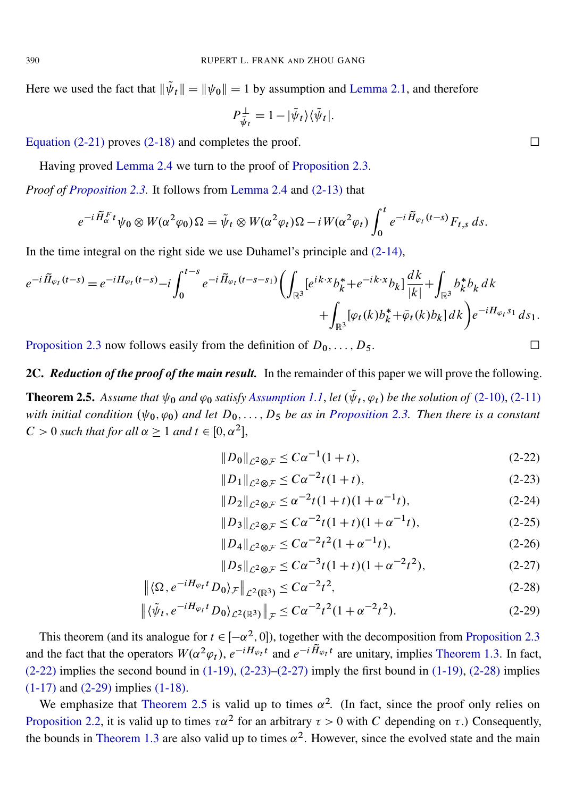Here we used the fact that  $\|\tilde{\psi}_t\| = \|\psi_0\| = 1$  by assumption and [Lemma 2.1,](#page-7-0) and therefore

$$
P_{\tilde{\psi}_t}^{\perp} = 1 - |\tilde{\psi}_t\rangle \langle \tilde{\psi}_t|.
$$

[Equation \(2-21\)](#page-10-3) proves [\(2-18\)](#page-10-0) and completes the proof.  $\Box$ 

Having proved [Lemma 2.4](#page-9-2) we turn to the proof of [Proposition 2.3.](#page-9-1)

*Proof of [Proposition 2.3.](#page-9-1)* It follows from [Lemma 2.4](#page-9-2) and [\(2-13\)](#page-8-3) that

$$
e^{-i\widetilde{H}_\alpha^F t}\psi_0 \otimes W(\alpha^2\varphi_0)\Omega = \widetilde{\psi}_t \otimes W(\alpha^2\varphi_t)\Omega - iW(\alpha^2\varphi_t)\int_0^t e^{-i\widetilde{H}_{\varphi_t}(t-s)}F_{t,s} ds.
$$

In the time integral on the right side we use Duhamel's principle and  $(2-14)$ ,

$$
e^{-i\widetilde{H}_{\varphi_{t}}(t-s)} = e^{-iH_{\varphi_{t}}(t-s)} - i \int_{0}^{t-s} e^{-i\widetilde{H}_{\varphi_{t}}(t-s-s_{1})} \left( \int_{\mathbb{R}^{3}} [e^{ik \cdot x} b_{k}^{*} + e^{-ik \cdot x} b_{k}] \frac{dk}{|k|} + \int_{\mathbb{R}^{3}} b_{k}^{*} b_{k} dk + \int_{\mathbb{R}^{3}} [\varphi_{t}(k) b_{k}^{*} + \overline{\varphi}_{t}(k) b_{k}] dk \right) e^{-iH_{\varphi_{t}}s_{1}} ds_{1}.
$$

[Proposition 2.3](#page-9-1) now follows easily from the definition of  $D_0, \ldots, D_5$ .

## 2C. *Reduction of the proof of the main result.* In the remainder of this paper we will prove the following.

<span id="page-11-0"></span>**Theorem 2.5.** Assume that  $\psi_0$  and  $\varphi_0$  satisfy [Assumption 1.1](#page-2-0), let  $(\tilde{\psi}_t, \varphi_t)$  be the solution of [\(2-10\),](#page-8-1) [\(2-11\)](#page-8-2) *with initial condition*  $(\psi_0, \varphi_0)$  *and let*  $D_0, \ldots, D_5$  *be as in [Proposition 2.3.](#page-9-1) Then there is a constant*  $C > 0$  such that for all  $\alpha \geq 1$  and  $t \in [0, \alpha^2]$ ,

<span id="page-11-1"></span>
$$
||D_0||_{\mathcal{L}^2 \otimes \mathcal{F}} \le C\alpha^{-1}(1+t),\tag{2-22}
$$

<span id="page-11-2"></span>
$$
||D_1||_{\mathcal{L}^2 \otimes \mathcal{F}} \le C\alpha^{-2} t (1+t), \tag{2-23}
$$

$$
||D_2||_{\mathcal{L}^2 \otimes \mathcal{F}} \le \alpha^{-2} t (1+t)(1+\alpha^{-1}t), \tag{2-24}
$$

$$
||D_3||_{\mathcal{L}^2 \otimes \mathcal{F}} \leq C\alpha^{-2}t(1+t)(1+\alpha^{-1}t), \tag{2-25}
$$

$$
||D_4||_{\mathcal{L}^2 \otimes \mathcal{F}} \le C\alpha^{-2} t^2 (1 + \alpha^{-1} t), \tag{2-26}
$$

<span id="page-11-5"></span><span id="page-11-4"></span><span id="page-11-3"></span>
$$
||D_5||_{\mathcal{L}^2 \otimes \mathcal{F}} \leq C\alpha^{-3}t(1+t)(1+\alpha^{-2}t^2), \tag{2-27}
$$

$$
\left\| \langle \Omega, e^{-iH_{\varphi_t}t} D_0 \rangle_{\mathcal{F}} \right\|_{\mathcal{L}^2(\mathbb{R}^3)} \leq C\alpha^{-2} t^2,
$$
\n(2-28)

$$
\left\| \langle \tilde{\psi}_t, e^{-iH_{\varphi_t}t} D_0 \rangle_{\mathcal{L}^2(\mathbb{R}^3)} \right\|_{\mathcal{F}} \leq C\alpha^{-2} t^2 (1 + \alpha^{-2} t^2). \tag{2-29}
$$

This theorem (and its analogue for  $t \in [-\alpha^2, 0]$ ), together with the decomposition from [Proposition 2.3](#page-9-1) and the fact that the operators  $W(\alpha^2 \varphi_t)$ ,  $e^{-iH_{\varphi_t}t}$  and  $e^{-i\widetilde{H}_{\varphi_t}t}$  are unitary, implies [Theorem 1.3.](#page-3-1) In fact,  $(2-22)$  implies the second bound in  $(1-19)$ ,  $(2-23)$ – $(2-27)$  imply the first bound in  $(1-19)$ ,  $(2-28)$  implies [\(1-17\)](#page-3-7) and [\(2-29\)](#page-11-5) implies [\(1-18\).](#page-3-8)

We emphasize that [Theorem 2.5](#page-11-0) is valid up to times  $\alpha^2$ . (In fact, since the proof only relies on [Proposition 2.2,](#page-8-0) it is valid up to times  $\tau \alpha^2$  for an arbitrary  $\tau > 0$  with C depending on  $\tau$ .) Consequently, the bounds in [Theorem 1.3](#page-3-1) are also valid up to times  $\alpha^2$ . However, since the evolved state and the main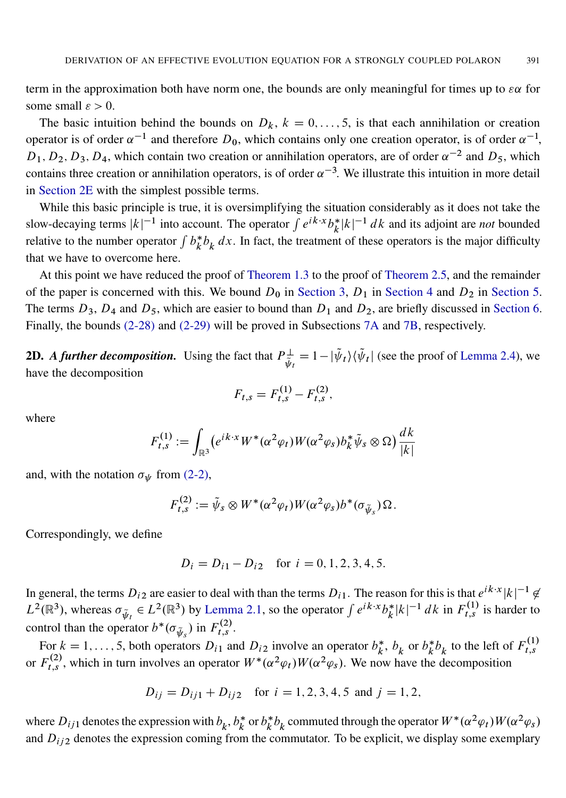term in the approximation both have norm one, the bounds are only meaningful for times up to  $\epsilon \alpha$  for some small  $\varepsilon > 0$ .

The basic intuition behind the bounds on  $D_k$ ,  $k = 0, \ldots, 5$ , is that each annihilation or creation operator is of order  $\alpha^{-1}$  and therefore  $D_0$ , which contains only one creation operator, is of order  $\alpha^{-1}$ ,  $D_1, D_2, D_3, D_4$ , which contain two creation or annihilation operators, are of order  $\alpha^{-2}$  and  $D_5$ , which contains three creation or annihilation operators, is of order  $\alpha^{-3}$ . We illustrate this intuition in more detail in [Section 2E](#page-13-0) with the simplest possible terms.

While this basic principle is true, it is oversimplifying the situation considerably as it does not take the slow-decaying terms  $|k|^{-1}$  into account. The operator  $\int e^{ik \cdot x} b_k^*$  $\int_{k}^{*} |k|^{-1} dk$  and its adjoint are *not* bounded relative to the number operator  $\int b_k^*$  $\partial_k^* b_k dx$ . In fact, the treatment of these operators is the major difficulty that we have to overcome here.

At this point we have reduced the proof of [Theorem 1.3](#page-3-1) to the proof of [Theorem 2.5,](#page-11-0) and the remainder of the paper is concerned with this. We bound  $D_0$  in [Section 3,](#page-15-0)  $D_1$  in [Section 4](#page-18-0) and  $D_2$  in [Section 5.](#page-25-0) The terms  $D_3$ ,  $D_4$  and  $D_5$ , which are easier to bound than  $D_1$  and  $D_2$ , are briefly discussed in [Section 6.](#page-28-0) Finally, the bounds [\(2-28\)](#page-11-4) and [\(2-29\)](#page-11-5) will be proved in Subsections [7A](#page-28-1) and [7B,](#page-29-0) respectively.

**2D.** A further decomposition. Using the fact that  $P_{\tilde{x}}^{\perp}$  $\psi_{\tilde{\psi}_t}^{\perp} = 1 - |\tilde{\psi}_t\rangle \langle \tilde{\psi}_t|$  (see the proof of [Lemma 2.4\)](#page-9-2), we have the decomposition

$$
F_{t,s} = F_{t,s}^{(1)} - F_{t,s}^{(2)},
$$

where

$$
F_{t,s}^{(1)} := \int_{\mathbb{R}^3} \left( e^{ik \cdot x} W^*(\alpha^2 \varphi_t) W(\alpha^2 \varphi_s) b_k^* \tilde{\psi}_s \otimes \Omega \right) \frac{dk}{|k|}
$$

and, with the notation  $\sigma_{\psi}$  from [\(2-2\),](#page-7-1)

$$
F_{t,s}^{(2)} := \tilde{\psi}_s \otimes W^*(\alpha^2 \varphi_t) W(\alpha^2 \varphi_s) b^*(\sigma_{\tilde{\psi}_s}) \Omega.
$$

Correspondingly, we define

$$
D_i = D_{i1} - D_{i2} \quad \text{for } i = 0, 1, 2, 3, 4, 5.
$$

In general, the terms  $D_{i2}$  are easier to deal with than the terms  $D_{i1}$ . The reason for this is that  $e^{ik \cdot x} |k|^{-1} \notin$  $L^2(\mathbb{R}^3)$ , whereas  $\sigma_{\tilde{\psi}_t} \in L^2(\mathbb{R}^3)$  by [Lemma 2.1,](#page-7-0) so the operator  $\int e^{ik \cdot x} b_k^*$  $\int_{k}^{*} |k|^{-1} dk$  in  $F_{t,s}^{(1)}$  is harder to control than the operator  $b^*(\sigma_{\tilde{\psi}_s})$  in  $F_{t,s}^{(2)}$ .

For  $k = 1, ..., 5$ , both operators  $D_{i1}$  and  $D_{i2}$  involve an operator  $b_k^*$  $\frac{k}{k}$ ,  $b_k$  or  $b_k^*$  $k \atop k b_k$  to the left of  $F_{t,s}^{(1)}$  $t,s$ or  $F_{t,s}^{(2)}$ , which in turn involves an operator  $W^*(\alpha^2 \varphi_t)W(\alpha^2 \varphi_s)$ . We now have the decomposition

$$
D_{ij} = D_{ij1} + D_{ij2}
$$
 for  $i = 1, 2, 3, 4, 5$  and  $j = 1, 2$ ,

where  $D_{ij1}$  denotes the expression with  $b_k$ ,  $b_k^*$  $\underset{k}{\ast}$  or  $b_k^*$  $\int_{k}^{*} b_{k}$  commuted through the operator  $W^{*}(\alpha^{2}\varphi_{t})W(\alpha^{2}\varphi_{s})$ and  $D_{ij2}$  denotes the expression coming from the commutator. To be explicit, we display some exemplary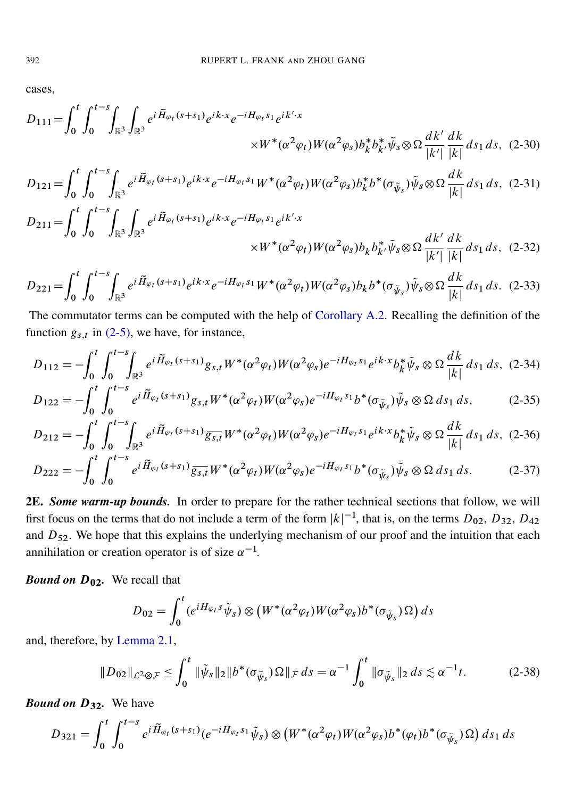cases,

0

0

 $\mathbb{R}^3$ 

$$
D_{111} = \int_0^t \int_0^{t-s} \int_{\mathbb{R}^3} \int_{\mathbb{R}^3} e^{i \tilde{H}_{\varphi_t}(s+s_1)} e^{ik \cdot x} e^{-i H_{\varphi_t s_1}} e^{ik' \cdot x} \times W^*(\alpha^2 \varphi_t) W(\alpha^2 \varphi_s) b_k^* b_k^* \tilde{\psi}_s \otimes \Omega \frac{dk'}{|k'|} \frac{dk}{|k|} ds_1 ds, (2-30)
$$

$$
D_{121} = \int_0^t \int_0^{t-s} \int_{\mathbb{R}^3} e^{i \tilde{H}_{\varphi_t}(s+s_1)} e^{ik \cdot x} e^{-i H_{\varphi_t} s_1} W^*(\alpha^2 \varphi_t) W(\alpha^2 \varphi_s) b_k^* b^*(\sigma_{\tilde{\psi}_s}) \tilde{\psi}_s \otimes \Omega \frac{dk}{|k|} ds_1 ds, (2-31)
$$
  
\n
$$
D_{211} = \int_0^t \int_0^{t-s} \int_{\mathbb{R}^3} \int_{\mathbb{R}^3} e^{i \tilde{H}_{\varphi_t}(s+s_1)} e^{ik \cdot x} e^{-i H_{\varphi_t} s_1} e^{ik' \cdot x}
$$

<span id="page-13-7"></span><span id="page-13-6"></span><span id="page-13-5"></span><span id="page-13-4"></span><span id="page-13-3"></span><span id="page-13-2"></span>
$$
\times W^*(\alpha^2 \varphi_t) W(\alpha^2 \varphi_s) b_k b_{k'}^* \tilde{\psi}_s \otimes \Omega \frac{dk'}{|k'|} \frac{dk}{|k|} ds_1 ds, \quad (2-32)
$$

$$
D_{221} = \int_0^t \int_0^{t-s} \int_{\mathbb{R}^3} e^{i \tilde{H}_{\varphi_t}(s+s_1)} e^{ik \cdot x} e^{-i H_{\varphi_t} s_1} W^*(\alpha^2 \varphi_t) W(\alpha^2 \varphi_s) b_k b^*(\sigma_{\tilde{\psi}_s}) \tilde{\psi}_s \otimes \Omega \frac{dk}{|k|} ds_1 ds. (2-33)
$$

The commutator terms can be computed with the help of [Corollary A.2.](#page-33-2) Recalling the definition of the function  $g_{s,t}$  in [\(2-5\),](#page-8-5) we have, for instance,

$$
D_{112} = -\int_0^t \int_0^{t-s} \int_{\mathbb{R}^3} e^{i\tilde{H}_{\varphi_t}(s+s_1)} g_{s,t} W^*(\alpha^2 \varphi_t) W(\alpha^2 \varphi_s) e^{-iH_{\varphi_t}s_1} e^{ik \cdot x} b_k^* \tilde{\psi}_s \otimes \Omega \frac{dk}{|k|} ds_1 ds, (2-34)
$$

$$
D_{122} = -\int_0^t \int_0^{t-s} e^{i\widetilde{H}_{\varphi_t}(s+s_1)} g_{s,t} W^*(\alpha^2 \varphi_t) W(\alpha^2 \varphi_s) e^{-iH_{\varphi_t}s_1} b^*(\sigma_{\widetilde{\psi}_s}) \widetilde{\psi}_s \otimes \Omega \, ds_1 \, ds, \tag{2-35}
$$

$$
D_{212} = -\int_0^t \int_0^{t-s} \int_{\mathbb{R}^3} e^{i \tilde{H}_{\varphi_t}(s+s_1)} \overline{g_{s,t}} W^*(\alpha^2 \varphi_t) W(\alpha^2 \varphi_s) e^{-i H_{\varphi_t} s_1} e^{ik \cdot x} b_k^* \tilde{\psi}_s \otimes \Omega \frac{dk}{|k|} ds_1 ds, (2-36)
$$

$$
D_{222} = -\int_0^t \int_0^{t-s} e^{i\tilde{H}_{\varphi_t}(s+s_1)} \overline{g_{s,t}} W^*(\alpha^2 \varphi_t) W(\alpha^2 \varphi_s) e^{-iH_{\varphi_t} s_1} b^*(\sigma_{\tilde{\psi}_s}) \tilde{\psi}_s \otimes \Omega \, ds_1 \, ds. \tag{2-37}
$$

<span id="page-13-0"></span>2E. *Some warm-up bounds.* In order to prepare for the rather technical sections that follow, we will first focus on the terms that do not include a term of the form  $|k|^{-1}$ , that is, on the terms  $D_{02}$ ,  $D_{32}$ ,  $D_{42}$ and  $D_{52}$ . We hope that this explains the underlying mechanism of our proof and the intuition that each annihilation or creation operator is of size  $\alpha^{-1}$ .

*Bound on*  $D_{02}$ . We recall that

<span id="page-13-1"></span>
$$
D_{02} = \int_0^t (e^{iH_{\varphi_t}S}\tilde{\psi}_s) \otimes (W^*(\alpha^2 \varphi_t)W(\alpha^2 \varphi_s)b^*(\sigma_{\tilde{\psi}_s})\Omega) ds
$$

and, therefore, by [Lemma 2.1,](#page-7-0)

$$
||D_{02}||_{\mathcal{L}^{2}\otimes\mathcal{F}} \leq \int_{0}^{t} ||\tilde{\psi}_{s}||_{2} ||b^{*}(\sigma_{\tilde{\psi}_{s}}) \Omega||_{\mathcal{F}} ds = \alpha^{-1} \int_{0}^{t} ||\sigma_{\tilde{\psi}_{s}}||_{2} ds \lesssim \alpha^{-1} t.
$$
 (2-38)

*Bound on*  $D_{32}$ . We have

$$
D_{321} = \int_0^t \int_0^{t-s} e^{i\widetilde{H}_{\varphi_t}(s+s_1)} (e^{-iH_{\varphi_t}s_1}\widetilde{\psi}_s) \otimes \left(W^*(\alpha^2\varphi_t)W(\alpha^2\varphi_s)b^*(\varphi_t)b^*(\sigma_{\widetilde{\psi}_s})\Omega\right) ds_1 ds
$$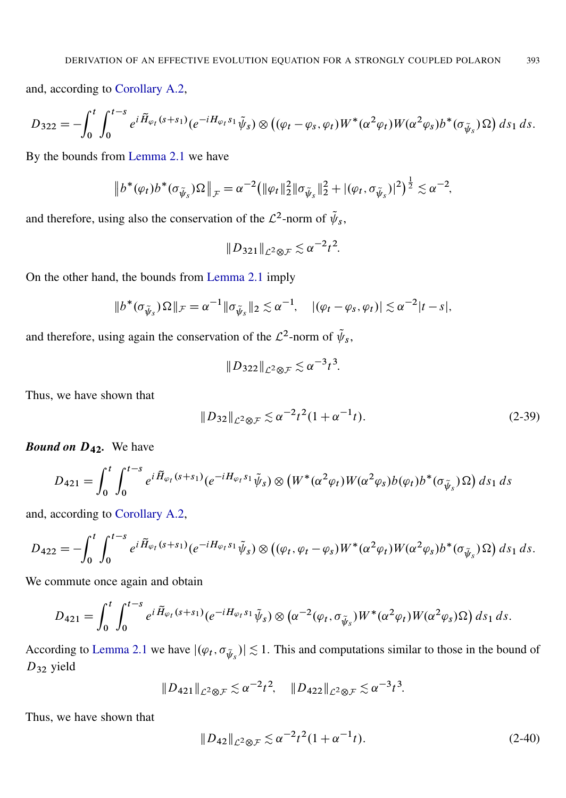and, according to [Corollary A.2,](#page-33-2)

$$
D_{322} = -\int_0^t \int_0^{t-s} e^{i\widetilde{H}_{\varphi_t}(s+s_1)} (e^{-iH_{\varphi_t}s_1}\widetilde{\psi}_s) \otimes ((\varphi_t - \varphi_s, \varphi_t)W^*(\alpha^2 \varphi_t)W(\alpha^2 \varphi_s) b^*(\sigma_{\widetilde{\psi}_s}) \Omega) ds_1 ds.
$$

By the bounds from [Lemma 2.1](#page-7-0) we have

$$
\|b^*(\varphi_t)b^*(\sigma_{\tilde{\psi}_s})\Omega\|_{\mathcal{F}} = \alpha^{-2} \big( \|\varphi_t\|_2^2 \|\sigma_{\tilde{\psi}_s}\|_2^2 + |(\varphi_t, \sigma_{\tilde{\psi}_s})|^2 \big)^{\frac{1}{2}} \lesssim \alpha^{-2},
$$

and therefore, using also the conservation of the  $\mathcal{L}^2$ -norm of  $\tilde{\psi}_s$ ,

$$
||D_{321}||_{\mathcal{L}^2\otimes\mathcal{F}}\lesssim\alpha^{-2}t^2.
$$

On the other hand, the bounds from [Lemma 2.1](#page-7-0) imply

$$
||b^*(\sigma_{\tilde{\psi}_s})\Omega||_{\mathcal{F}} = \alpha^{-1}||\sigma_{\tilde{\psi}_s}||_2 \lesssim \alpha^{-1}, \quad |(\varphi_t - \varphi_s, \varphi_t)| \lesssim \alpha^{-2}|t - s|,
$$

and therefore, using again the conservation of the  $\mathcal{L}^2$ -norm of  $\tilde{\psi}_s$ ,

$$
||D_{322}||_{\mathcal{L}^2\otimes\mathcal{F}}\lesssim\alpha^{-3}t^3.
$$

Thus, we have shown that

<span id="page-14-0"></span>
$$
||D_{32}||_{\mathcal{L}^2 \otimes \mathcal{F}} \lesssim \alpha^{-2} t^2 (1 + \alpha^{-1} t). \tag{2-39}
$$

*Bound on* D42*.* We have

$$
D_{421} = \int_0^t \int_0^{t-s} e^{i \widetilde{H}_{\varphi_t}(s+s_1)} (e^{-i H_{\varphi_t} s_1} \widetilde{\psi}_s) \otimes \left( W^*(\alpha^2 \varphi_t) W(\alpha^2 \varphi_s) b(\varphi_t) b^*(\sigma_{\widetilde{\psi}_s}) \Omega \right) ds_1 ds
$$

and, according to [Corollary A.2,](#page-33-2)

$$
D_{422} = -\int_0^t \int_0^{t-s} e^{i\widetilde{H}_{\varphi_t}(s+s_1)} (e^{-iH_{\varphi_t}s_1}\widetilde{\psi}_s) \otimes ((\varphi_t, \varphi_t - \varphi_s)W^*(\alpha^2\varphi_t)W(\alpha^2\varphi_s)b^*(\sigma_{\widetilde{\psi}_s})\Omega) ds_1 ds.
$$

We commute once again and obtain

$$
D_{421} = \int_0^t \int_0^{t-s} e^{i\widetilde{H}_{\varphi_t}(s+s_1)} (e^{-iH_{\varphi_t}s_1}\widetilde{\psi}_s) \otimes (\alpha^{-2}(\varphi_t,\sigma_{\widetilde{\psi}_s})W^*(\alpha^2\varphi_t)W(\alpha^2\varphi_s)\Omega) ds_1 ds.
$$

According to [Lemma 2.1](#page-7-0) we have  $|(\varphi_t, \sigma_{\tilde{\psi}_s})| \lesssim 1$ . This and computations similar to those in the bound of D<sup>32</sup> yield

<span id="page-14-1"></span>
$$
||D_{421}||_{\mathcal{L}^2 \otimes \mathcal{F}} \lesssim \alpha^{-2} t^2
$$
,  $||D_{422}||_{\mathcal{L}^2 \otimes \mathcal{F}} \lesssim \alpha^{-3} t^3$ .

Thus, we have shown that

$$
||D_{42}||_{\mathcal{L}^2 \otimes \mathcal{F}} \lesssim \alpha^{-2} t^2 (1 + \alpha^{-1} t). \tag{2-40}
$$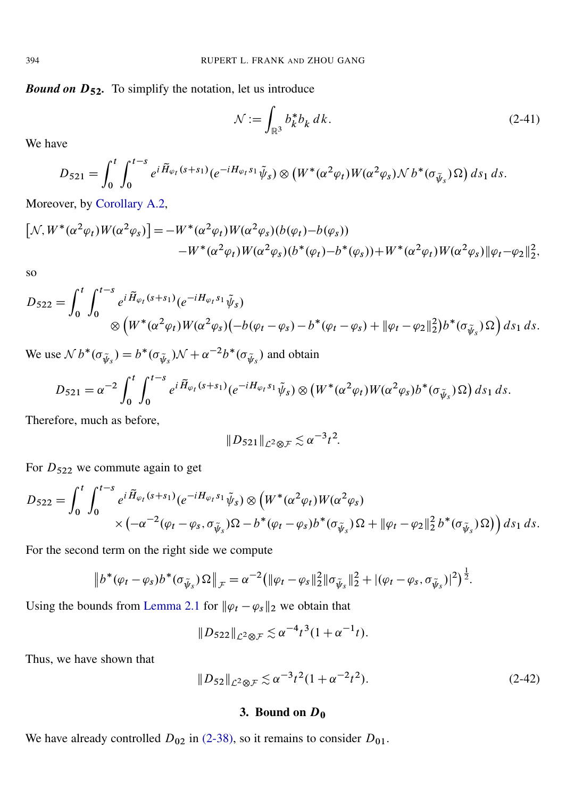**Bound on D<sub>52</sub>.** To simplify the notation, let us introduce

<span id="page-15-1"></span>
$$
\mathcal{N} := \int_{\mathbb{R}^3} b_k^* b_k \, dk. \tag{2-41}
$$

We have

$$
D_{521} = \int_0^t \int_0^{t-s} e^{i \widetilde{H}_{\varphi_t}(s+s_1)} (e^{-i H_{\varphi_t} s_1} \widetilde{\psi}_s) \otimes \left( W^*(\alpha^2 \varphi_t) W(\alpha^2 \varphi_s) \mathcal{N} b^*(\sigma_{\widetilde{\psi}_s}) \Omega \right) ds_1 ds.
$$

Moreover, by [Corollary A.2,](#page-33-2)

$$
\[N, W^*(\alpha^2 \varphi_t) W(\alpha^2 \varphi_s)\] = -W^*(\alpha^2 \varphi_t) W(\alpha^2 \varphi_s) (b(\varphi_t) - b(\varphi_s)) -W^*(\alpha^2 \varphi_t) W(\alpha^2 \varphi_s) (b^*(\varphi_t) - b^*(\varphi_s)) + W^*(\alpha^2 \varphi_t) W(\alpha^2 \varphi_s) \|\varphi_t - \varphi_2\|_2^2,
$$

so

$$
D_{522} = \int_0^t \int_0^{t-s} e^{i \widetilde{H}_{\varphi_t}(s+s_1)} (e^{-i H_{\varphi_t} s_1} \widetilde{\psi}_s)
$$
  
\$\otimes \left( W^\*(\alpha^2 \varphi\_t) W(\alpha^2 \varphi\_s)(-b(\varphi\_t - \varphi\_s) - b^\*(\varphi\_t - \varphi\_s) + ||\varphi\_t - \varphi\_2||\_2^2\right) b^\*(\sigma\_{\widetilde{\psi}\_s}) \Omega\$] ds\_1 ds.

We use  $N b^* (\sigma_{\tilde{\psi}_s}) = b^* (\sigma_{\tilde{\psi}_s}) \mathcal{N} + \alpha^{-2} b^* (\sigma_{\tilde{\psi}_s})$  and obtain

$$
D_{521} = \alpha^{-2} \int_0^t \int_0^{t-s} e^{i \widetilde{H}_{\varphi_t}(s+s_1)} (e^{-i H_{\varphi_t} s_1} \widetilde{\psi}_s) \otimes \left( W^*(\alpha^2 \varphi_t) W(\alpha^2 \varphi_s) b^*(\sigma_{\widetilde{\psi}_s}) \Omega \right) ds_1 ds.
$$

Therefore, much as before,

$$
||D_{521}||_{\mathcal{L}^2\otimes\mathcal{F}}\lesssim\alpha^{-3}t^2.
$$

For  $D_{522}$  we commute again to get

$$
D_{522} = \int_0^t \int_0^{t-s} e^{i \widetilde{H}_{\varphi_t}(s+s_1)} (e^{-i H_{\varphi_t} s_1} \widetilde{\psi}_s) \otimes \left( W^*(\alpha^2 \varphi_t) W(\alpha^2 \varphi_s) \times \left( -\alpha^{-2} (\varphi_t - \varphi_s, \sigma_{\widetilde{\psi}_s}) \Omega - b^*(\varphi_t - \varphi_s) b^*(\sigma_{\widetilde{\psi}_s}) \Omega + \|\varphi_t - \varphi_2\|_2^2 b^*(\sigma_{\widetilde{\psi}_s}) \Omega \right) ds_1 ds.
$$

For the second term on the right side we compute

$$
\|b^*(\varphi_t - \varphi_s)b^*(\sigma_{\tilde{\psi}_s})\Omega\|_{\mathcal{F}} = \alpha^{-2}(\|\varphi_t - \varphi_s\|_2^2 \|\sigma_{\tilde{\psi}_s}\|_2^2 + |(\varphi_t - \varphi_s, \sigma_{\tilde{\psi}_s})|^2)^{\frac{1}{2}}.
$$

Using the bounds from [Lemma 2.1](#page-7-0) for  $\|\varphi_t - \varphi_s\|_2$  we obtain that

<span id="page-15-2"></span>
$$
||D_{522}||_{\mathcal{L}^2 \otimes \mathcal{F}} \lesssim \alpha^{-4} t^3 (1 + \alpha^{-1} t).
$$

Thus, we have shown that

$$
||D_{52}||_{\mathcal{L}^2 \otimes \mathcal{F}} \lesssim \alpha^{-3} t^2 (1 + \alpha^{-2} t^2). \tag{2-42}
$$

#### 3. Bound on  $D_0$

<span id="page-15-0"></span>We have already controlled  $D_{02}$  in [\(2-38\),](#page-13-1) so it remains to consider  $D_{01}$ .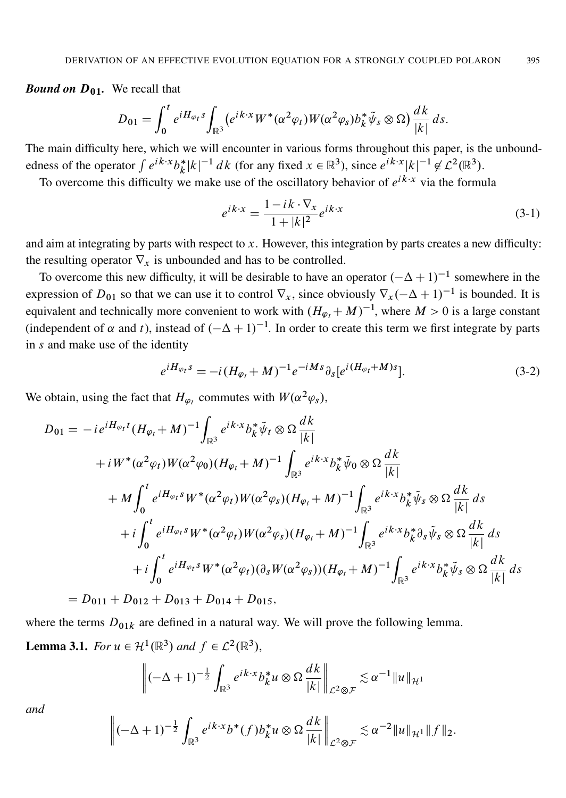*Bound on*  $D_{01}$ . We recall that

$$
D_{01} = \int_0^t e^{iH_{\varphi_t s}} \int_{\mathbb{R}^3} (e^{ik \cdot x} W^* (\alpha^2 \varphi_t) W(\alpha^2 \varphi_s) b_k^* \tilde{\psi}_s \otimes \Omega) \frac{dk}{|k|} ds.
$$

The main difficulty here, which we will encounter in various forms throughout this paper, is the unboundedness of the operator  $\int e^{ik \cdot x} b_k^*$  $|k|^{k} |k|^{-1} dk$  (for any fixed  $x \in \mathbb{R}^3$ ), since  $e^{ik \cdot x} |k|^{-1} \notin \mathcal{L}^2(\mathbb{R}^3)$ .

To overcome this difficulty we make use of the oscillatory behavior of  $e^{ik \cdot x}$  via the formula

<span id="page-16-1"></span>
$$
e^{ik \cdot x} = \frac{1 - ik \cdot \nabla_x}{1 + |k|^2} e^{ik \cdot x}
$$
\n(3-1)

and aim at integrating by parts with respect to  $x$ . However, this integration by parts creates a new difficulty: the resulting operator  $\nabla_x$  is unbounded and has to be controlled.

To overcome this new difficulty, it will be desirable to have an operator  $(-\Delta + 1)^{-1}$  somewhere in the expression of  $D_{01}$  so that we can use it to control  $\nabla_x$ , since obviously  $\nabla_x(-\Delta+1)^{-1}$  is bounded. It is equivalent and technically more convenient to work with  $(H_{\varphi_t} + M)^{-1}$ , where  $M > 0$  is a large constant (independent of  $\alpha$  and t), instead of  $(-\Delta + 1)^{-1}$ . In order to create this term we first integrate by parts in s and make use of the identity

$$
e^{iH_{\varphi_t}S} = -i(H_{\varphi_t} + M)^{-1}e^{-iMs}\partial_s[e^{i(H_{\varphi_t} + M)s}].
$$
\n(3-2)

We obtain, using the fact that  $H_{\varphi_t}$  commutes with  $W(\alpha^2 \varphi_s)$ ,

$$
D_{01} = -ie^{iH_{\varphi_{t}}t} (H_{\varphi_{t}} + M)^{-1} \int_{\mathbb{R}^{3}} e^{ik \cdot x} b_{k}^{*} \tilde{\psi}_{t} \otimes \Omega \frac{dk}{|k|} + iW^{*} (\alpha^{2} \varphi_{t}) W (\alpha^{2} \varphi_{0}) (H_{\varphi_{t}} + M)^{-1} \int_{\mathbb{R}^{3}} e^{ik \cdot x} b_{k}^{*} \tilde{\psi}_{0} \otimes \Omega \frac{dk}{|k|} + M \int_{0}^{t} e^{iH_{\varphi_{t}} s} W^{*} (\alpha^{2} \varphi_{t}) W (\alpha^{2} \varphi_{s}) (H_{\varphi_{t}} + M)^{-1} \int_{\mathbb{R}^{3}} e^{ik \cdot x} b_{k}^{*} \tilde{\psi}_{s} \otimes \Omega \frac{dk}{|k|} ds + i \int_{0}^{t} e^{iH_{\varphi_{t}} s} W^{*} (\alpha^{2} \varphi_{t}) W (\alpha^{2} \varphi_{s}) (H_{\varphi_{t}} + M)^{-1} \int_{\mathbb{R}^{3}} e^{ik \cdot x} b_{k}^{*} \partial_{s} \tilde{\psi}_{s} \otimes \Omega \frac{dk}{|k|} ds + i \int_{0}^{t} e^{iH_{\varphi_{t}} s} W^{*} (\alpha^{2} \varphi_{t}) (\partial_{s} W (\alpha^{2} \varphi_{s})) (H_{\varphi_{t}} + M)^{-1} \int_{\mathbb{R}^{3}} e^{ik \cdot x} b_{k}^{*} \tilde{\psi}_{s} \otimes \Omega \frac{dk}{|k|} ds = D_{011} + D_{012} + D_{013} + D_{014} + D_{015},
$$

<span id="page-16-0"></span>where the terms  $D_{01k}$  are defined in a natural way. We will prove the following lemma. **Lemma 3.1.** *For*  $u \in \mathcal{H}^1(\mathbb{R}^3)$  *and*  $f \in \mathcal{L}^2(\mathbb{R}^3)$ ,

$$
\left\|(-\Delta+1)^{-\frac{1}{2}}\int_{\mathbb{R}^3}e^{ik\cdot x}b_k^*u\otimes\Omega\frac{dk}{|k|}\right\|_{\mathcal{L}^2\otimes\mathcal{F}}\lesssim\alpha^{-1}\|u\|_{\mathcal{H}^1}
$$

*and*

$$
\left\|(-\Delta+1)^{-\frac{1}{2}}\int_{\mathbb{R}^3}e^{ik\cdot x}b^*(f)b_k^*u\otimes\Omega\frac{dk}{|k|}\right\|_{\mathcal{L}^2\otimes\mathcal{F}}\lesssim\alpha^{-2}\|u\|_{\mathcal{H}^1}\|f\|_2.
$$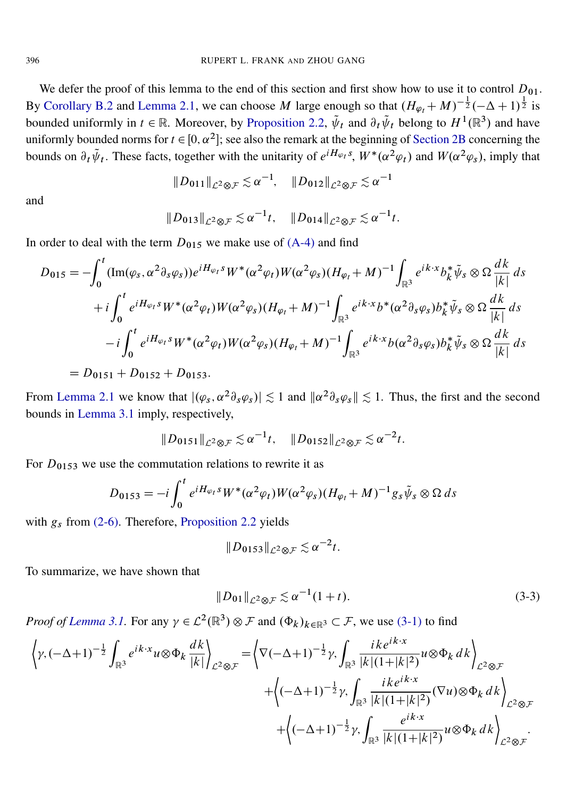We defer the proof of this lemma to the end of this section and first show how to use it to control  $D_{01}$ . By [Corollary B.2](#page-35-1) and [Lemma 2.1,](#page-7-0) we can choose M large enough so that  $(H_{\varphi_t} + M)^{-\frac{1}{2}}(-\Delta + 1)^{\frac{1}{2}}$  is bounded uniformly in  $t \in \mathbb{R}$ . Moreover, by [Proposition 2.2,](#page-8-0)  $\tilde{\psi}_t$  and  $\partial_t \tilde{\psi}_t$  belong to  $H^1(\mathbb{R}^3)$  and have uniformly bounded norms for  $t \in [0, \alpha^2]$ ; see also the remark at the beginning of [Section 2B](#page-8-6) concerning the bounds on  $\partial_t \tilde{\psi}_t$ . These facts, together with the unitarity of  $e^{iH_{\varphi_t} s}$ ,  $W^*(\alpha^2 \varphi_t)$  and  $W(\alpha^2 \varphi_s)$ , imply that

$$
||D_{011}||_{\mathcal{L}^2\otimes\mathcal{F}} \lesssim \alpha^{-1}, \quad ||D_{012}||_{\mathcal{L}^2\otimes\mathcal{F}} \lesssim \alpha^{-1}
$$

and

$$
||D_{013}||_{\mathcal{L}^2 \otimes \mathcal{F}} \lesssim \alpha^{-1}t, \quad ||D_{014}||_{\mathcal{L}^2 \otimes \mathcal{F}} \lesssim \alpha^{-1}t.
$$

In order to deal with the term  $D_{015}$  we make use of [\(A-4\)](#page-33-1) and find

$$
D_{015} = -\int_0^t (\text{Im}(\varphi_s, \alpha^2 \partial_s \varphi_s)) e^{iH_{\varphi_t} s} W^* (\alpha^2 \varphi_t) W (\alpha^2 \varphi_s) (H_{\varphi_t} + M)^{-1} \int_{\mathbb{R}^3} e^{i k \cdot x} b_k^* \tilde{\psi}_s \otimes \Omega \frac{dk}{|k|} ds + i \int_0^t e^{iH_{\varphi_t} s} W^* (\alpha^2 \varphi_t) W (\alpha^2 \varphi_s) (H_{\varphi_t} + M)^{-1} \int_{\mathbb{R}^3} e^{i k \cdot x} b^* (\alpha^2 \partial_s \varphi_s) b_k^* \tilde{\psi}_s \otimes \Omega \frac{dk}{|k|} ds - i \int_0^t e^{iH_{\varphi_t} s} W^* (\alpha^2 \varphi_t) W (\alpha^2 \varphi_s) (H_{\varphi_t} + M)^{-1} \int_{\mathbb{R}^3} e^{i k \cdot x} b (\alpha^2 \partial_s \varphi_s) b_k^* \tilde{\psi}_s \otimes \Omega \frac{dk}{|k|} ds = D_{0151} + D_{0152} + D_{0153}.
$$

From [Lemma 2.1](#page-7-0) we know that  $|(\varphi_s, \alpha^2 \partial_s \varphi_s)| \lesssim 1$  and  $\|\alpha^2 \partial_s \varphi_s\| \lesssim 1$ . Thus, the first and the second bounds in [Lemma 3.1](#page-16-0) imply, respectively,

$$
||D_{0151}||_{\mathcal{L}^2 \otimes \mathcal{F}} \lesssim \alpha^{-1}t, \quad ||D_{0152}||_{\mathcal{L}^2 \otimes \mathcal{F}} \lesssim \alpha^{-2}t.
$$

For  $D_{0153}$  we use the commutation relations to rewrite it as

$$
D_{0153} = -i \int_0^t e^{iH_{\varphi_t}S} W^*(\alpha^2 \varphi_t) W(\alpha^2 \varphi_s) (H_{\varphi_t} + M)^{-1} g_s \tilde{\psi}_s \otimes \Omega ds
$$

with  $g_s$  from [\(2-6\).](#page-8-7) Therefore, [Proposition 2.2](#page-8-0) yields

$$
||D_{0153}||_{\mathcal{L}^2\otimes\mathcal{F}}\lesssim\alpha^{-2}t.
$$

To summarize, we have shown that

$$
||D_{01}||_{\mathcal{L}^2 \otimes \mathcal{F}} \lesssim \alpha^{-1}(1+t). \tag{3-3}
$$

*Proof of Lemma 3.1*. For any  $\gamma \in L^2(\mathbb{R}^3) \otimes \mathcal{F}$  and  $(\Phi_k)_{k \in \mathbb{R}^3} \subset \mathcal{F}$ , we use [\(3-1\)](#page-16-1) to find

$$
\left\langle \gamma, (-\Delta+1)^{-\frac{1}{2}} \int_{\mathbb{R}^3} e^{ik \cdot x} u \otimes \Phi_k \frac{dk}{|k|} \right\rangle_{\mathcal{L}^2 \otimes \mathcal{F}} = \left\langle \nabla(-\Delta+1)^{-\frac{1}{2}} \gamma, \int_{\mathbb{R}^3} \frac{i k e^{ik \cdot x}}{|k| (1+|k|^2)} u \otimes \Phi_k dk \right\rangle_{\mathcal{L}^2 \otimes \mathcal{F}} + \left\langle (-\Delta+1)^{-\frac{1}{2}} \gamma, \int_{\mathbb{R}^3} \frac{i k e^{ik \cdot x}}{|k| (1+|k|^2)} (\nabla u) \otimes \Phi_k dk \right\rangle_{\mathcal{L}^2 \otimes \mathcal{F}} + \left\langle (-\Delta+1)^{-\frac{1}{2}} \gamma, \int_{\mathbb{R}^3} \frac{e^{ik \cdot x}}{|k| (1+|k|^2)} u \otimes \Phi_k dk \right\rangle_{\mathcal{L}^2 \otimes \mathcal{F}}.
$$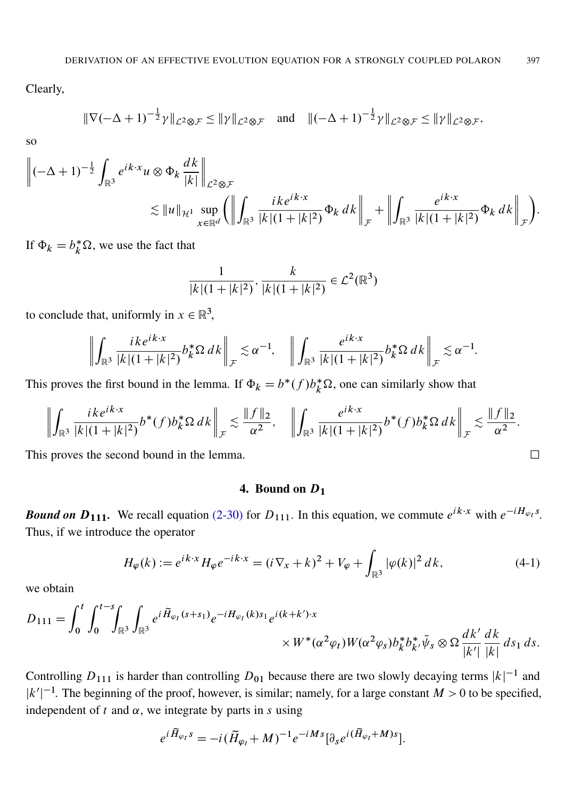Clearly,

$$
\|\nabla(-\Delta+1)^{-\frac{1}{2}}\gamma\|_{\mathcal{L}^2\otimes\mathcal{F}} \le \|\gamma\|_{\mathcal{L}^2\otimes\mathcal{F}} \quad \text{and} \quad \|(-\Delta+1)^{-\frac{1}{2}}\gamma\|_{\mathcal{L}^2\otimes\mathcal{F}} \le \|\gamma\|_{\mathcal{L}^2\otimes\mathcal{F}},
$$

so

$$
\begin{split} \left\| (-\Delta + 1)^{-\frac{1}{2}} \int_{\mathbb{R}^3} e^{ik \cdot x} u \otimes \Phi_k \frac{dk}{|k|} \right\|_{\mathcal{L}^2 \otimes \mathcal{F}} \\ &\lesssim \|u\|_{\mathcal{H}^1} \sup_{x \in \mathbb{R}^d} \left( \left\| \int_{\mathbb{R}^3} \frac{ik e^{ik \cdot x}}{|k| (1 + |k|^2)} \Phi_k \, dk \right\|_{\mathcal{F}} + \left\| \int_{\mathbb{R}^3} \frac{e^{ik \cdot x}}{|k| (1 + |k|^2)} \Phi_k \, dk \right\|_{\mathcal{F}} \right). \end{split}
$$

If  $\Phi_k = b_k^* \Omega$ , we use the fact that

$$
\frac{1}{|k|(1+|k|^2)}, \frac{k}{|k|(1+|k|^2)} \in \mathcal{L}^2(\mathbb{R}^3)
$$

to conclude that, uniformly in  $x \in \mathbb{R}^3$ ,

$$
\left\| \int_{\mathbb{R}^3} \frac{ik e^{ik \cdot x}}{|k|(1+|k|^2)} b_k^* \Omega \, dk \right\|_{\mathcal{F}} \lesssim \alpha^{-1}, \quad \left\| \int_{\mathbb{R}^3} \frac{e^{ik \cdot x}}{|k|(1+|k|^2)} b_k^* \Omega \, dk \right\|_{\mathcal{F}} \lesssim \alpha^{-1}
$$

This proves the first bound in the lemma. If  $\Phi_k = b^*(f) b_k^* \Omega$ , one can similarly show that

$$
\left\| \int_{\mathbb{R}^3} \frac{ik e^{ik \cdot x}}{|k|(1+|k|^2)} b^*(f) b_k^* \Omega \, dk \right\|_{\mathcal{F}} \lesssim \frac{\|f\|_2}{\alpha^2}, \quad \left\| \int_{\mathbb{R}^3} \frac{e^{ik \cdot x}}{|k|(1+|k|^2)} b^*(f) b_k^* \Omega \, dk \right\|_{\mathcal{F}} \lesssim \frac{\|f\|_2}{\alpha^2}.
$$

This proves the second bound in the lemma.

## <span id="page-18-1"></span>4. Bound on  $D_1$

<span id="page-18-0"></span>**Bound on**  $D_{111}$ **.** We recall equation [\(2-30\)](#page-13-2) for  $D_{111}$ . In this equation, we commute  $e^{ik \cdot x}$  with  $e^{-iH_{\varphi_t}s}$ . Thus, if we introduce the operator

$$
H_{\varphi}(k) := e^{ik \cdot x} H_{\varphi} e^{-ik \cdot x} = (i \nabla_x + k)^2 + V_{\varphi} + \int_{\mathbb{R}^3} |\varphi(k)|^2 \, dk,\tag{4-1}
$$

:

we obtain

$$
D_{111} = \int_0^t \int_0^{t-s} \int_{\mathbb{R}^3} \int_{\mathbb{R}^3} e^{i \widetilde{H}_{\varphi_t}(s+s_1)} e^{-i H_{\varphi_t}(k)s_1} e^{i(k+k')\cdot x} \times W^*(\alpha^2 \varphi_t) W(\alpha^2 \varphi_s) b_k^* b_{k'}^* \widetilde{\psi}_s \otimes \Omega \frac{dk'}{|k'|} \frac{dk}{|k|} ds_1 ds.
$$

Controlling  $D_{111}$  is harder than controlling  $D_{01}$  because there are two slowly decaying terms  $|k|^{-1}$  and  $|k'|^{-1}$ . The beginning of the proof, however, is similar; namely, for a large constant  $M > 0$  to be specified, independent of t and  $\alpha$ , we integrate by parts in s using

$$
e^{i\widetilde{H}_{\varphi_l}s} = -i(\widetilde{H}_{\varphi_l}+M)^{-1}e^{-iMs}[\partial_s e^{i(\widetilde{H}_{\varphi_l}+M)s}].
$$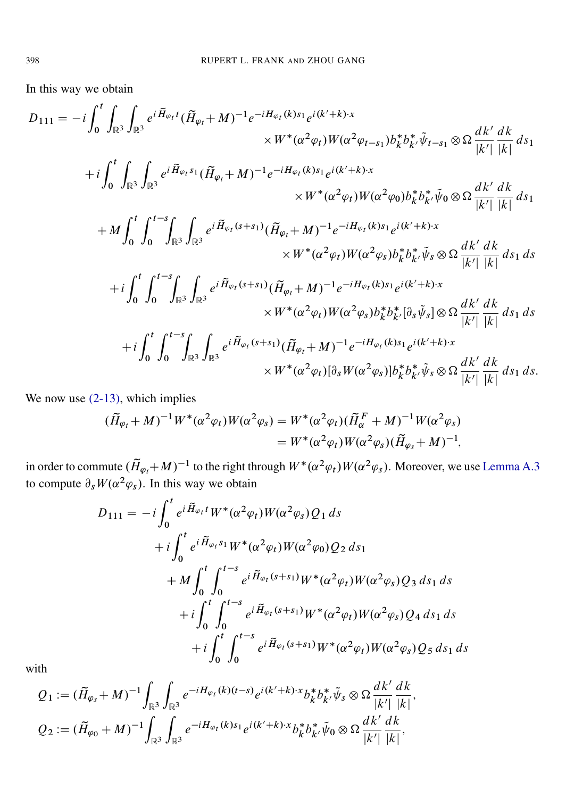In this way we obtain

$$
D_{111} = -i \int_{0}^{t} \int_{\mathbb{R}^{3}} \int_{\mathbb{R}^{3}} e^{i \tilde{H}_{\varphi_{I}} t} (\tilde{H}_{\varphi_{I}} + M)^{-1} e^{-i H_{\varphi_{I}}(k) s_{1}} e^{i (k' + k) \cdot x} \times W^{*} (\alpha^{2} \varphi_{t}) W (\alpha^{2} \varphi_{t-s_{1}}) b_{k}^{*} b_{k'}^{*} \tilde{\psi}_{t-s_{1}} \otimes \Omega \frac{dk'}{|k'|} \frac{dk}{|k|} ds_{1}
$$
  
+  $i \int_{0}^{t} \int_{\mathbb{R}^{3}} \int_{\mathbb{R}^{3}} e^{i \tilde{H}_{\varphi_{I}} s_{1}} (\tilde{H}_{\varphi_{I}} + M)^{-1} e^{-i H_{\varphi_{I}}(k) s_{1}} e^{i (k' + k) \cdot x} \times W^{*} (\alpha^{2} \varphi_{t}) W (\alpha^{2} \varphi_{0}) b_{k}^{*} b_{k'}^{*} \tilde{\psi}_{0} \otimes \Omega \frac{dk'}{|k'|} \frac{dk}{|k|} ds_{1}$   
+  $M \int_{0}^{t} \int_{0}^{t-s} \int_{\mathbb{R}^{3}} \int_{\mathbb{R}^{3}} e^{i \tilde{H}_{\varphi_{I}}(s+s_{1})} (\tilde{H}_{\varphi_{I}} + M)^{-1} e^{-i H_{\varphi_{I}}(k) s_{1}} e^{i (k' + k) \cdot x} \times W^{*} (\alpha^{2} \varphi_{t}) W (\alpha^{2} \varphi_{s}) b_{k}^{*} b_{k'}^{*} \tilde{\psi}_{s} \otimes \Omega \frac{dk'}{|k'|} \frac{dk}{|k|} ds_{1} ds_{1}$   
+  $i \int_{0}^{t} \int_{0}^{t-s} \int_{\mathbb{R}^{3}} \int_{\mathbb{R}^{3}} e^{i \tilde{H}_{\varphi_{I}}(s+s_{1})} (\tilde{H}_{\varphi_{I}} + M)^{-1} e^{-i H_{\varphi_{I}}(k) s_{1}} e^{i (k' + k) \cdot x} \times W^{*} (\alpha^{2} \varphi_{t}) W (\alpha^{2} \varphi_{s}) b_{k}^{*} b_{k'}^{*} [\partial_{s} \tilde{\psi}_{s}] \otimes \Omega \$ 

We now use  $(2-13)$ , which implies

$$
\begin{aligned} (\widetilde{H}_{\varphi_t} + M)^{-1} W^* (\alpha^2 \varphi_t) W(\alpha^2 \varphi_s) &= W^* (\alpha^2 \varphi_t) (\widetilde{H}_{\alpha}^F + M)^{-1} W(\alpha^2 \varphi_s) \\ &= W^* (\alpha^2 \varphi_t) W(\alpha^2 \varphi_s) (\widetilde{H}_{\varphi_s} + M)^{-1}, \end{aligned}
$$

in order to commute  $(\tilde{H}_{\varphi_t} + M)^{-1}$  to the right through  $W^*(\alpha^2 \varphi_t)W(\alpha^2 \varphi_s)$ . Moreover, we use [Lemma A.3](#page-33-3) to compute  $\partial_s W(\alpha^2 \varphi_s)$ . In this way we obtain

$$
D_{111} = -i \int_0^t e^{i \tilde{H}_{\varphi_t} t} W^* (\alpha^2 \varphi_t) W(\alpha^2 \varphi_s) Q_1 ds
$$
  
+  $i \int_0^t e^{i \tilde{H}_{\varphi_t} s_1} W^* (\alpha^2 \varphi_t) W(\alpha^2 \varphi_0) Q_2 ds_1$   
+  $M \int_0^t \int_0^{t-s} e^{i \tilde{H}_{\varphi_t} (s+s_1)} W^* (\alpha^2 \varphi_t) W(\alpha^2 \varphi_s) Q_3 ds_1 ds$   
+  $i \int_0^t \int_0^{t-s} e^{i \tilde{H}_{\varphi_t} (s+s_1)} W^* (\alpha^2 \varphi_t) W(\alpha^2 \varphi_s) Q_4 ds_1 ds$   
+  $i \int_0^t \int_0^{t-s} e^{i \tilde{H}_{\varphi_t} (s+s_1)} W^* (\alpha^2 \varphi_t) W(\alpha^2 \varphi_s) Q_5 ds_1 ds$ 

with

$$
Q_1 := (\tilde{H}_{\varphi_s} + M)^{-1} \int_{\mathbb{R}^3} \int_{\mathbb{R}^3} e^{-iH_{\varphi_t}(k)(t-s)} e^{i(k'+k)\cdot x} b_k^* b_{k'}^* \tilde{\psi}_s \otimes \Omega \frac{dk'}{|k'|} \frac{dk}{|k|},
$$
  

$$
Q_2 := (\tilde{H}_{\varphi_0} + M)^{-1} \int_{\mathbb{R}^3} \int_{\mathbb{R}^3} e^{-iH_{\varphi_t}(k)s_1} e^{i(k'+k)\cdot x} b_k^* b_{k'}^* \tilde{\psi}_0 \otimes \Omega \frac{dk'}{|k'|} \frac{dk}{|k|},
$$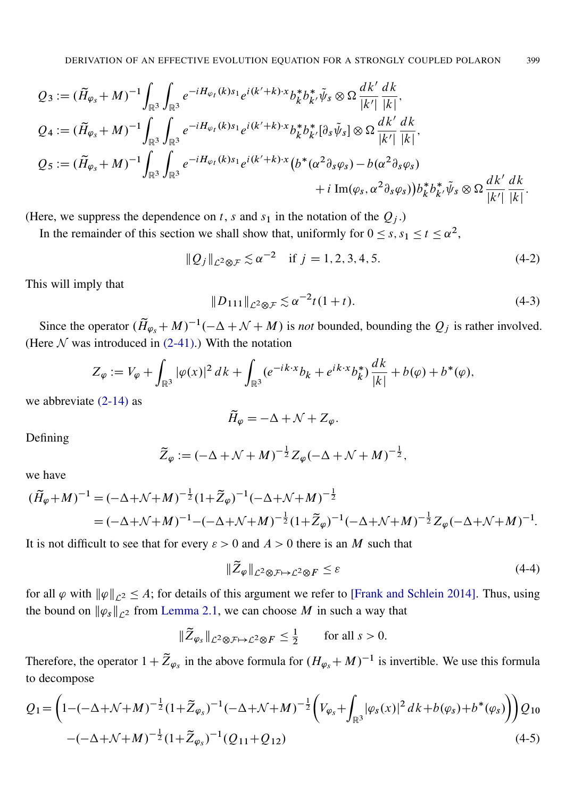$$
Q_{3} := (\tilde{H}_{\varphi_{S}} + M)^{-1} \int_{\mathbb{R}^{3}} \int_{\mathbb{R}^{3}} e^{-iH_{\varphi_{t}}(k)s_{1}} e^{i(k'+k) \cdot x} b_{k}^{*} b_{k'}^{*} \tilde{\psi}_{s} \otimes \Omega \frac{dk'}{|k'|} \frac{dk}{|k|},
$$
  
\n
$$
Q_{4} := (\tilde{H}_{\varphi_{S}} + M)^{-1} \int_{\mathbb{R}^{3}} \int_{\mathbb{R}^{3}} e^{-iH_{\varphi_{t}}(k)s_{1}} e^{i(k'+k) \cdot x} b_{k}^{*} b_{k'}^{*} [\partial_{s} \tilde{\psi}_{s}] \otimes \Omega \frac{dk'}{|k'|} \frac{dk}{|k|},
$$
  
\n
$$
Q_{5} := (\tilde{H}_{\varphi_{S}} + M)^{-1} \int_{\mathbb{R}^{3}} \int_{\mathbb{R}^{3}} e^{-iH_{\varphi_{t}}(k)s_{1}} e^{i(k'+k) \cdot x} (b^{*}(\alpha^{2} \partial_{s} \varphi_{s}) - b(\alpha^{2} \partial_{s} \varphi_{s})) + i \operatorname{Im}(\varphi_{s}, \alpha^{2} \partial_{s} \varphi_{s})) b_{k}^{*} b_{k'}^{*} \tilde{\psi}_{s} \otimes \Omega \frac{dk'}{|k'|} \frac{dk}{|k|}.
$$

(Here, we suppress the dependence on t, s and  $s_1$  in the notation of the  $Q_i$ .)

In the remainder of this section we shall show that, uniformly for  $0 \leq s, s_1 \leq t \leq \alpha^2$ ,

<span id="page-20-3"></span>
$$
\|Q_j\|_{\mathcal{L}^2 \otimes \mathcal{F}} \lesssim \alpha^{-2} \quad \text{if } j = 1, 2, 3, 4, 5. \tag{4-2}
$$

This will imply that

<span id="page-20-2"></span>
$$
||D_{111}||_{\mathcal{L}^2 \otimes \mathcal{F}} \lesssim \alpha^{-2} t (1+t). \tag{4-3}
$$

Since the operator  $(\widetilde{H}_{\varphi_s} + M)^{-1}(-\Delta + \mathcal{N} + M)$  is *not* bounded, bounding the  $Q_j$  is rather involved. (Here  $N$  was introduced in [\(2-41\).](#page-15-1)) With the notation

$$
Z_{\varphi} := V_{\varphi} + \int_{\mathbb{R}^3} |\varphi(x)|^2 \, dk + \int_{\mathbb{R}^3} (e^{-ik \cdot x} b_k + e^{ik \cdot x} b_k^*) \frac{dk}{|k|} + b(\varphi) + b^*(\varphi),
$$

we abbreviate  $(2-14)$  as

$$
\widetilde{H}_{\varphi} = -\Delta + \mathcal{N} + Z_{\varphi}.
$$

Defining

$$
\widetilde{Z}_{\varphi} := (-\Delta + \mathcal{N} + M)^{-\frac{1}{2}} Z_{\varphi} (-\Delta + \mathcal{N} + M)^{-\frac{1}{2}},
$$

we have

$$
(\tilde{H}_{\varphi} + M)^{-1} = (-\Delta + \mathcal{N} + M)^{-\frac{1}{2}} (1 + \tilde{Z}_{\varphi})^{-1} (-\Delta + \mathcal{N} + M)^{-\frac{1}{2}}
$$
  
=  $(-\Delta + \mathcal{N} + M)^{-1} - (-\Delta + \mathcal{N} + M)^{-\frac{1}{2}} (1 + \tilde{Z}_{\varphi})^{-1} (-\Delta + \mathcal{N} + M)^{-\frac{1}{2}} Z_{\varphi} (-\Delta + \mathcal{N} + M)^{-1}.$ 

It is not difficult to see that for every  $\varepsilon > 0$  and  $A > 0$  there is an M such that

<span id="page-20-0"></span>
$$
\|\widetilde{Z}_{\varphi}\|_{\mathcal{L}^2 \otimes \mathcal{F} \mapsto \mathcal{L}^2 \otimes F} \le \varepsilon \tag{4-4}
$$

for all  $\varphi$  with  $\|\varphi\|_{\mathcal{L}^2} \leq A$ ; for details of this argument we refer to [\[Frank and Schlein 2014\]](#page-43-3). Thus, using the bound on  $\|\varphi_{s}\|_{\mathcal{L}^2}$  from [Lemma 2.1,](#page-7-0) we can choose M in such a way that

$$
\|\widetilde{Z}_{\varphi_s}\|_{\mathcal{L}^2\otimes\mathcal{F}\mapsto\mathcal{L}^2\otimes F}\leq\frac{1}{2}\qquad\text{for all }s>0.
$$

<span id="page-20-1"></span>Therefore, the operator  $1 + \tilde{Z}_{\varphi_s}$  in the above formula for  $(H_{\varphi_s} + M)^{-1}$  is invertible. We use this formula to decompose

$$
Q_1 = \left(1 - \left(-\Delta + \mathcal{N} + M\right)^{-\frac{1}{2}}(1 + \tilde{Z}_{\varphi_S})^{-1}(-\Delta + \mathcal{N} + M)^{-\frac{1}{2}}\left(V_{\varphi_S} + \int_{\mathbb{R}^3}|\varphi_S(x)|^2\,dk + b(\varphi_S) + b^*(\varphi_S)\right)\right)Q_{10}
$$
  

$$
- \left(-\Delta + \mathcal{N} + M\right)^{-\frac{1}{2}}(1 + \tilde{Z}_{\varphi_S})^{-1}(Q_{11} + Q_{12})
$$
(4-5)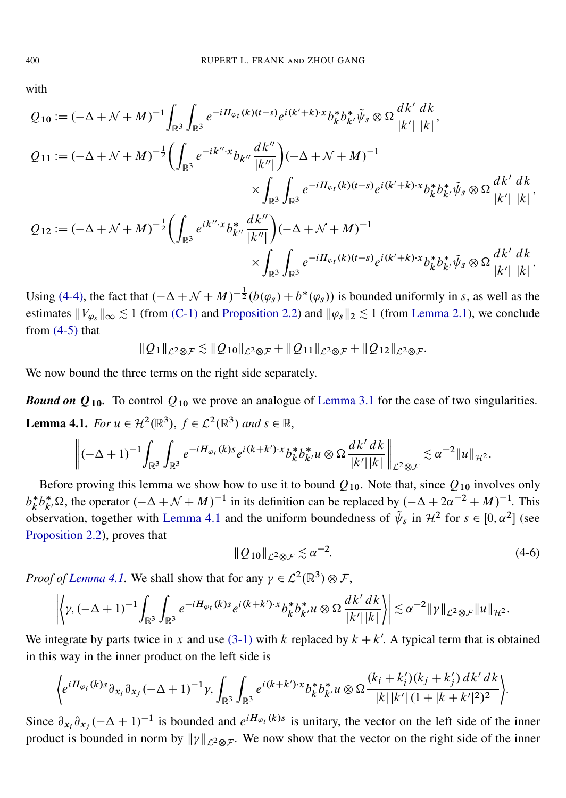with

$$
Q_{10} := (-\Delta + \mathcal{N} + M)^{-1} \int_{\mathbb{R}^3} \int_{\mathbb{R}^3} e^{-iH_{\varphi_t}(k)(t-s)} e^{i(k'+k)\cdot x} b_k^* b_{k'}^* \tilde{\psi}_s \otimes \Omega \frac{dk'}{|k'|} \frac{dk}{|k|},
$$
  
\n
$$
Q_{11} := (-\Delta + \mathcal{N} + M)^{-\frac{1}{2}} \Biggl( \int_{\mathbb{R}^3} e^{-ik''\cdot x} b_{k''} \frac{dk''}{|k''|} \Biggr) (-\Delta + \mathcal{N} + M)^{-1}
$$
  
\n
$$
\times \int_{\mathbb{R}^3} \int_{\mathbb{R}^3} e^{-iH_{\varphi_t}(k)(t-s)} e^{i(k'+k)\cdot x} b_k^* b_{k'}^* \tilde{\psi}_s \otimes \Omega \frac{dk'}{|k'|} \frac{dk}{|k|},
$$

$$
Q_{12} := (-\Delta + \mathcal{N} + M)^{-\frac{1}{2}} \bigg( \int_{\mathbb{R}^3} e^{ik'' \cdot x} b_{k''}^* \frac{dk''}{|k''|} \bigg) (-\Delta + \mathcal{N} + M)^{-1} \times \int_{\mathbb{R}^3} \int_{\mathbb{R}^3} e^{-iH_{\varphi_t}(k)(t-s)} e^{i(k'+k)\cdot x} b_k^* b_{k'}^* \tilde{\psi}_s \otimes \Omega \frac{dk'}{|k'|} \frac{dk}{|k|}.
$$

Using [\(4-4\),](#page-20-0) the fact that  $(-\Delta + \mathcal{N} + M)^{-\frac{1}{2}}(b(\varphi_s) + b^*(\varphi_s))$  is bounded uniformly in s, as well as the estimates  $||V_{\varphi_{S}}||_{\infty} \lesssim 1$  (from [\(C-1\)](#page-36-0) and [Proposition 2.2\)](#page-8-0) and  $||\varphi_{S}||_{2} \lesssim 1$  (from [Lemma 2.1\)](#page-7-0), we conclude from  $(4-5)$  that

$$
\|Q_1\|_{\mathcal{L}^2\otimes\mathcal{F}} \lesssim \|Q_{10}\|_{\mathcal{L}^2\otimes\mathcal{F}} + \|Q_{11}\|_{\mathcal{L}^2\otimes\mathcal{F}} + \|Q_{12}\|_{\mathcal{L}^2\otimes\mathcal{F}}.
$$

We now bound the three terms on the right side separately.

<span id="page-21-0"></span>**Bound on**  $Q_{10}$ **.** To control  $Q_{10}$  we prove an analogue of [Lemma 3.1](#page-16-0) for the case of two singularities. **Lemma 4.1.** *For*  $u \in \mathcal{H}^2(\mathbb{R}^3)$ ,  $f \in \mathcal{L}^2(\mathbb{R}^3)$  and  $s \in \mathbb{R}$ ,

$$
\left\|(-\Delta+1)^{-1}\int_{\mathbb{R}^3}\int_{\mathbb{R}^3}e^{-iH_{\varphi_t}(k)s}e^{i(k+k')\cdot x}b_k^*b_{k'}^*u\otimes\Omega\frac{dk'\,dk}{|k'||k|}\right\|_{\mathcal{L}^2\otimes\mathcal{F}}\lesssim\alpha^{-2}\|u\|_{\mathcal{H}^2}.
$$

Before proving this lemma we show how to use it to bound  $Q_{10}$ . Note that, since  $Q_{10}$  involves only  $b_k^*$  $k^* b^*_{k'} \Omega$ , the operator  $(-\Delta + \mathcal{N} + M)^{-1}$  in its definition can be replaced by  $(-\Delta + 2\alpha^{-2} + M)^{-1}$ . This observation, together with [Lemma 4.1](#page-21-0) and the uniform boundedness of  $\tilde{\psi}_s$  in  $\mathcal{H}^2$  for  $s \in [0, \alpha^2]$  (see [Proposition 2.2\)](#page-8-0), proves that

$$
\|Q_{10}\|_{\mathcal{L}^2 \otimes \mathcal{F}} \lesssim \alpha^{-2}.\tag{4-6}
$$

*Proof of [Lemma 4.1.](#page-21-0)* We shall show that for any  $\gamma \in \mathcal{L}^2(\mathbb{R}^3) \otimes \mathcal{F}$ ,

$$
\left|\left\langle \gamma, (-\Delta+1)^{-1} \int_{\mathbb{R}^3} \int_{\mathbb{R}^3} e^{-iH_{\varphi_t}(k)s} e^{i(k+k')\cdot x} b_k^* b_{k'}^* u \otimes \Omega \frac{dk'\, dk}{|k'||k|} \right\rangle \right| \lesssim \alpha^{-2} \|\gamma\|_{\mathcal{L}^2 \otimes \mathcal{F}} \|u\|_{\mathcal{H}^2}.
$$

We integrate by parts twice in x and use [\(3-1\)](#page-16-1) with k replaced by  $k + k'$ . A typical term that is obtained in this way in the inner product on the left side is

$$
\Big\{ e^{iH_{\varphi_t}(k)s} \partial_{x_i} \partial_{x_j} (-\Delta+1)^{-1} \gamma, \int_{\mathbb{R}^3} \int_{\mathbb{R}^3} e^{i(k+k') \cdot x} b_k^* b_{k'}^* u \otimes \Omega \frac{(k_i + k'_i)(k_j + k'_j) \, dk' \, dk}{|k||k'| \, (1 + |k + k'|^2)^2} \Big\}.
$$

Since  $\partial_{x_i} \partial_{x_j} (-\Delta + 1)^{-1}$  is bounded and  $e^{iH_{\varphi}}(k)s$  is unitary, the vector on the left side of the inner product is bounded in norm by  $\|\gamma\|_{\mathcal{L}^2 \otimes \mathcal{F}}$ . We now show that the vector on the right side of the inner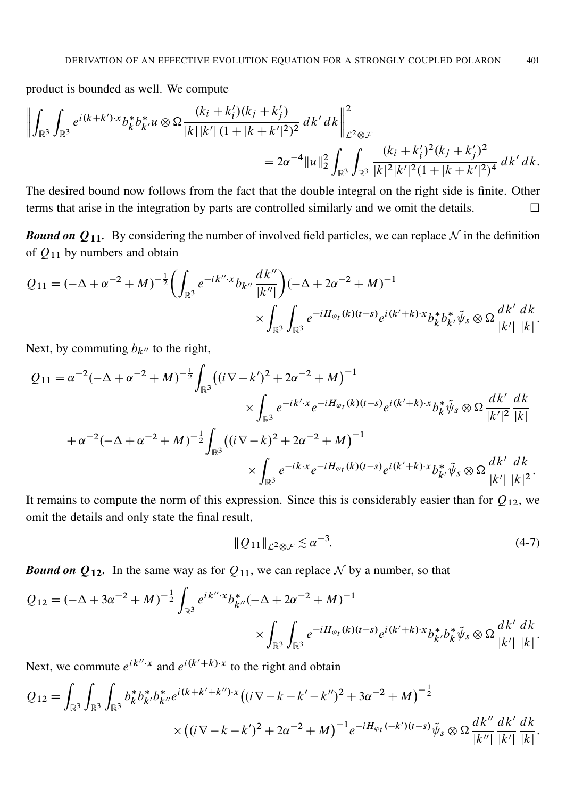product is bounded as well. We compute

$$
\left\| \int_{\mathbb{R}^3} \int_{\mathbb{R}^3} e^{i(k+k') \cdot x} b_k^* b_{k'}^* u \otimes \Omega \frac{(k_i + k'_i)(k_j + k'_j)}{|k||k'| (1 + |k + k'|^2)^2} dk' dk \right\|_{\mathcal{L}^2 \otimes \mathcal{F}}^2
$$
  
=  $2\alpha^{-4} \|u\|_2^2 \int_{\mathbb{R}^3} \int_{\mathbb{R}^3} \frac{(k_i + k'_i)^2 (k_j + k'_j)^2}{|k|^2 |k'|^2 (1 + |k + k'|^2)^4} dk' dk.$ 

The desired bound now follows from the fact that the double integral on the right side is finite. Other terms that arise in the integration by parts are controlled similarly and we omit the details.

*Bound on*  $Q_{11}$ . By considering the number of involved field particles, we can replace  $N$  in the definition of  $Q_{11}$  by numbers and obtain

$$
Q_{11} = (-\Delta + \alpha^{-2} + M)^{-\frac{1}{2}} \left( \int_{\mathbb{R}^3} e^{-ik'' \cdot x} b_{k''} \frac{dk''}{|k''|} \right) (-\Delta + 2\alpha^{-2} + M)^{-1} \times \int_{\mathbb{R}^3} \int_{\mathbb{R}^3} e^{-iH_{\varphi_t}(k)(t-s)} e^{i(k'+k)\cdot x} b_k^* b_{k'}^* \tilde{\psi}_s \otimes \Omega \frac{dk'}{|k'|} \frac{dk}{|k|}.
$$

Next, by commuting  $b_{k}$ <sup>n</sup> to the right,

$$
Q_{11} = \alpha^{-2}(-\Delta + \alpha^{-2} + M)^{-\frac{1}{2}} \int_{\mathbb{R}^3} ((i \nabla - k')^2 + 2\alpha^{-2} + M)^{-1}
$$
  

$$
\times \int_{\mathbb{R}^3} e^{-ik' \cdot x} e^{-iH_{\varphi_t}(k)(t-s)} e^{i(k'+k) \cdot x} b_k^* \tilde{\psi}_s \otimes \Omega \frac{dk'}{|k'|^2} \frac{dk}{|k|}
$$
  

$$
+ \alpha^{-2}(-\Delta + \alpha^{-2} + M)^{-\frac{1}{2}} \int_{\mathbb{R}^3} ((i \nabla - k)^2 + 2\alpha^{-2} + M)^{-1}
$$
  

$$
\times \int_{\mathbb{R}^3} e^{-ik \cdot x} e^{-iH_{\varphi_t}(k)(t-s)} e^{i(k'+k) \cdot x} b_k^* \tilde{\psi}_s \otimes \Omega \frac{dk'}{|k'|} \frac{dk}{|k|^2}.
$$

It remains to compute the norm of this expression. Since this is considerably easier than for  $Q_{12}$ , we omit the details and only state the final result,

$$
||Q_{11}||_{\mathcal{L}^2 \otimes \mathcal{F}} \lesssim \alpha^{-3}.
$$
\n(4-7)

:

*Bound on*  $Q_{12}$ . In the same way as for  $Q_{11}$ , we can replace N by a number, so that

$$
Q_{12} = (-\Delta + 3\alpha^{-2} + M)^{-\frac{1}{2}} \int_{\mathbb{R}^3} e^{ik'' \cdot x} b^*_{k''} (-\Delta + 2\alpha^{-2} + M)^{-1} \times \int_{\mathbb{R}^3} \int_{\mathbb{R}^3} e^{-iH_{\varphi_t}(k)(t-s)} e^{i(k'+k)\cdot x} b^*_{k'} b^*_{k} \tilde{\psi}_s \otimes \Omega \frac{dk'}{|k'|} \frac{dk}{|k|}.
$$

Next, we commute  $e^{ik'' \cdot x}$  and  $e^{i(k'+k)\cdot x}$  to the right and obtain

$$
Q_{12} = \int_{\mathbb{R}^3} \int_{\mathbb{R}^3} b_k^* b_{k'}^* b_{k''}^* e^{i(k+k'+k'') \cdot x} \left( (i \nabla - k - k' - k'')^2 + 3\alpha^{-2} + M \right)^{-\frac{1}{2}} \times \left( (i \nabla - k - k')^2 + 2\alpha^{-2} + M \right)^{-1} e^{-iH_{\varphi_t}(-k')(t-s)} \tilde{\psi}_s \otimes \Omega \frac{dk''}{|k''|} \frac{dk'}{|k'|} \frac{dk'}{|k|}
$$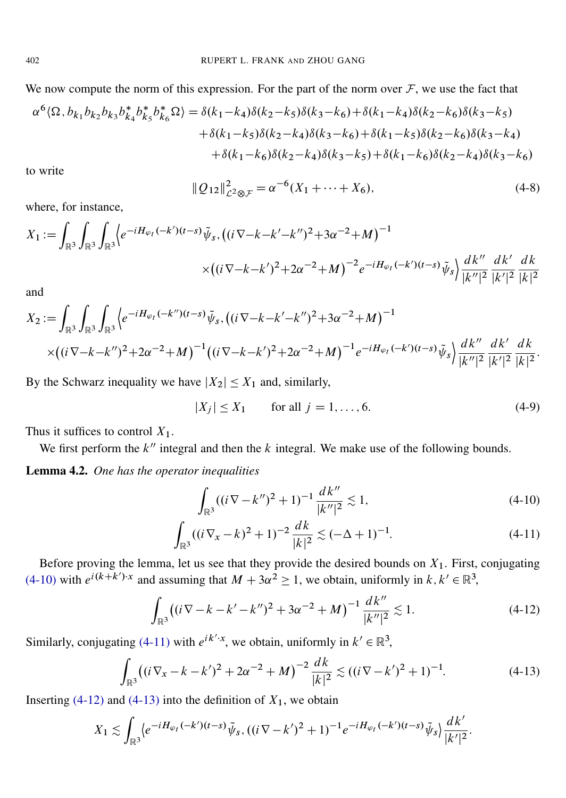We now compute the norm of this expression. For the part of the norm over  $\mathcal{F}$ , we use the fact that

$$
\alpha^{6}\langle\Omega,b_{k_{1}}b_{k_{2}}b_{k_{3}}b_{k_{4}}^{*}b_{k_{5}}^{*}b_{k_{6}}^{*}\Omega\rangle = \delta(k_{1}-k_{4})\delta(k_{2}-k_{5})\delta(k_{3}-k_{6}) + \delta(k_{1}-k_{4})\delta(k_{2}-k_{6})\delta(k_{3}-k_{5})
$$

$$
+\delta(k_{1}-k_{5})\delta(k_{2}-k_{4})\delta(k_{3}-k_{6}) + \delta(k_{1}-k_{5})\delta(k_{2}-k_{6})\delta(k_{3}-k_{4})
$$

$$
+\delta(k_{1}-k_{6})\delta(k_{2}-k_{4})\delta(k_{3}-k_{5}) + \delta(k_{1}-k_{6})\delta(k_{2}-k_{4})\delta(k_{3}-k_{6})
$$

<span id="page-23-4"></span>to write

$$
||Q_{12}||_{\mathcal{L}^{2}\otimes\mathcal{F}}^{2} = \alpha^{-6}(X_{1} + \dots + X_{6}),
$$
\n(4-8)

where, for instance,

$$
X_1 := \int_{\mathbb{R}^3} \int_{\mathbb{R}^3} \int_{\mathbb{R}^3} \left\langle e^{-iH_{\varphi_t}(-k')(t-s)} \tilde{\psi}_s, \left( (i\nabla - k - k' - k'')^2 + 3\alpha^{-2} + M \right)^{-1} \right\rangle \times \left( (i\nabla - k - k')^2 + 2\alpha^{-2} + M \right)^{-2} e^{-iH_{\varphi_t}(-k')(t-s)} \tilde{\psi}_s \right\rangle \frac{dk''}{|k''|^2} \frac{dk'}{|k'|^2} \frac{dk'}{|k|^2}
$$

and

$$
X_2 := \int_{\mathbb{R}^3} \int_{\mathbb{R}^3} \int_{\mathbb{R}^3} \left\langle e^{-iH_{\varphi_t}(-k'') (t-s)} \tilde{\psi}_s, \left( (i \nabla - k - k' - k'')^2 + 3\alpha^{-2} + M \right)^{-1} \right\rangle \\ \times \left( (i \nabla - k - k'')^2 + 2\alpha^{-2} + M \right)^{-1} \left( (i \nabla - k - k')^2 + 2\alpha^{-2} + M \right)^{-1} e^{-iH_{\varphi_t}(-k') (t-s)} \tilde{\psi}_s \right\rangle \frac{dk''}{|k''|^2} \frac{dk'}{|k'|^2} \frac{dk'}{|k'|^2}.
$$

By the Schwarz inequality we have  $|X_2| \leq X_1$  and, similarly,

<span id="page-23-5"></span> $|X_i| \leq X_1$  for all  $j = 1, ..., 6$ . (4-9)

Thus it suffices to control  $X_1$ .

We first perform the  $k''$  integral and then the  $k$  integral. We make use of the following bounds.

<span id="page-23-6"></span>Lemma 4.2. *One has the operator inequalities*

<span id="page-23-2"></span><span id="page-23-1"></span><span id="page-23-0"></span>
$$
\int_{\mathbb{R}^3} ((i\nabla - k'')^2 + 1)^{-1} \frac{dk''}{|k''|^2} \lesssim 1,
$$
\n(4-10)

<span id="page-23-3"></span>
$$
\int_{\mathbb{R}^3} ((i\nabla_x - k)^2 + 1)^{-2} \frac{dk}{|k|^2} \lesssim (-\Delta + 1)^{-1}.
$$
 (4-11)

Before proving the lemma, let us see that they provide the desired bounds on  $X_1$ . First, conjugating [\(4-10\)](#page-23-0) with  $e^{i(k+k')\cdot x}$  and assuming that  $M + 3\alpha^2 \ge 1$ , we obtain, uniformly in  $k, k' \in \mathbb{R}^3$ ,

$$
\int_{\mathbb{R}^3} \left( (i\nabla - k - k' - k'')^2 + 3\alpha^{-2} + M \right)^{-1} \frac{dk''}{|k''|^2} \lesssim 1. \tag{4-12}
$$

Similarly, conjugating [\(4-11\)](#page-23-1) with  $e^{ik' \cdot x}$ , we obtain, uniformly in  $k' \in \mathbb{R}^3$ ,

$$
\int_{\mathbb{R}^3} \left( (i \nabla_x - k - k')^2 + 2\alpha^{-2} + M \right)^{-2} \frac{dk}{|k|^2} \lesssim \left( (i \nabla - k')^2 + 1 \right)^{-1}.
$$
 (4-13)

Inserting [\(4-12\)](#page-23-2) and [\(4-13\)](#page-23-3) into the definition of  $X_1$ , we obtain

$$
X_1 \lesssim \int_{\mathbb{R}^3} \langle e^{-iH_{\varphi_t}(-k')(t-s)} \tilde{\psi}_s, ((i\nabla - k')^2 + 1)^{-1} e^{-iH_{\varphi_t}(-k')(t-s)} \tilde{\psi}_s \rangle \frac{dk'}{|k'|^2}.
$$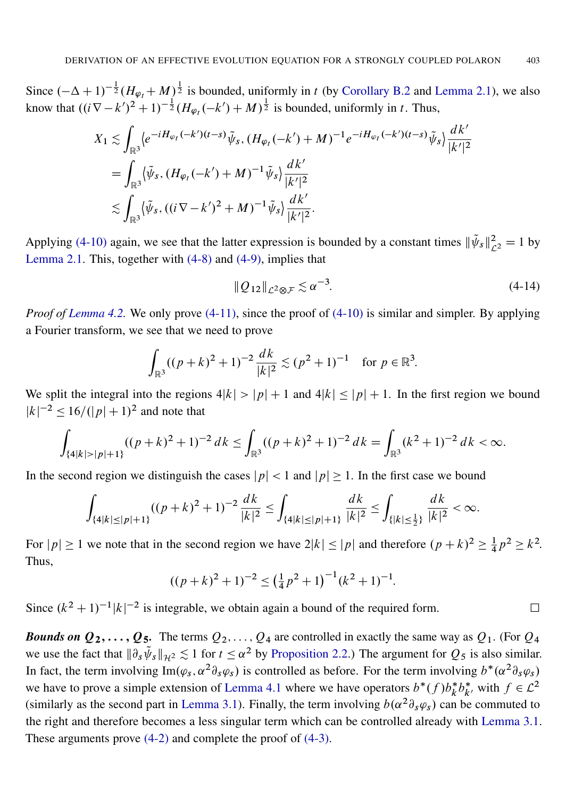Since  $(-\Delta + 1)^{-\frac{1}{2}}(H_{\varphi_t} + M)^{\frac{1}{2}}$  is bounded, uniformly in t (by [Corollary B.2](#page-35-1) and [Lemma 2.1\)](#page-7-0), we also know that  $((i\nabla - k')^2 + 1)^{-\frac{1}{2}} (H_{\varphi_t}(-k') + M)^{\frac{1}{2}}$  is bounded, uniformly in t. Thus,

$$
X_1 \lesssim \int_{\mathbb{R}^3} \langle e^{-iH_{\varphi_t}(-k')(t-s)} \tilde{\psi}_s, (H_{\varphi_t}(-k') + M)^{-1} e^{-iH_{\varphi_t}(-k')(t-s)} \tilde{\psi}_s \rangle \frac{dk'}{|k'|^2}
$$
  
= 
$$
\int_{\mathbb{R}^3} \langle \tilde{\psi}_s, (H_{\varphi_t}(-k') + M)^{-1} \tilde{\psi}_s \rangle \frac{dk'}{|k'|^2}
$$
  

$$
\lesssim \int_{\mathbb{R}^3} \langle \tilde{\psi}_s, ((i\nabla - k')^2 + M)^{-1} \tilde{\psi}_s \rangle \frac{dk'}{|k'|^2}.
$$

Applying [\(4-10\)](#page-23-0) again, we see that the latter expression is bounded by a constant times  $\|\tilde{\psi}_s\|_{\mathcal{L}^2}^2 = 1$  by [Lemma 2.1.](#page-7-0) This, together with [\(4-8\)](#page-23-4) and [\(4-9\),](#page-23-5) implies that

$$
||Q_{12}||_{\mathcal{L}^2 \otimes \mathcal{F}} \lesssim \alpha^{-3}.
$$
\n(4-14)

*Proof of [Lemma 4.2.](#page-23-6)* We only prove  $(4-11)$ , since the proof of  $(4-10)$  is similar and simpler. By applying a Fourier transform, we see that we need to prove

$$
\int_{\mathbb{R}^3} ((p+k)^2 + 1)^{-2} \frac{dk}{|k|^2} \lesssim (p^2 + 1)^{-1} \quad \text{for } p \in \mathbb{R}^3.
$$

We split the integral into the regions  $4|k| > |p| + 1$  and  $4|k| \le |p| + 1$ . In the first region we bound  $|k|^{-2} \le 16/(|p|+1)^2$  and note that

$$
\int_{\{4|k|>|p|+1\}} ((p+k)^2+1)^{-2} dk \le \int_{\mathbb{R}^3} ((p+k)^2+1)^{-2} dk = \int_{\mathbb{R}^3} (k^2+1)^{-2} dk < \infty.
$$

In the second region we distinguish the cases  $|p| < 1$  and  $|p| \ge 1$ . In the first case we bound

$$
\int_{\{4|k|\leq|p|+1\}} ((p+k)^2+1)^{-2} \frac{dk}{|k|^2} \leq \int_{\{4|k|\leq|p|+1\}} \frac{dk}{|k|^2} \leq \int_{\{|k|\leq\frac{1}{2}\}} \frac{dk}{|k|^2} < \infty.
$$

For  $|p| \ge 1$  we note that in the second region we have  $2|k| \le |p|$  and therefore  $(p + k)^2 \ge \frac{1}{4}$  $\frac{1}{4}p^2 \ge k^2$ . Thus,

$$
((p+k)^2+1)^{-2} \le (\frac{1}{4}p^2+1)^{-1}(k^2+1)^{-1}.
$$

Since  $(k^2 + 1)^{-1} |k|^{-2}$  is integrable, we obtain again a bound of the required form.

*Bounds on*  $Q_2, \ldots, Q_5$ . The terms  $Q_2, \ldots, Q_4$  are controlled in exactly the same way as  $Q_1$ . (For  $Q_4$ we use the fact that  $\|\partial_s \tilde{\psi}_s\|_{\mathcal{H}^2} \lesssim 1$  for  $t \leq \alpha^2$  by [Proposition 2.2.](#page-8-0)) The argument for  $Q_5$  is also similar. In fact, the term involving  $\text{Im}(\varphi_s, \alpha^2 \partial_s \varphi_s)$  is controlled as before. For the term involving  $b^*(\alpha^2 \partial_s \varphi_s)$ we have to prove a simple extension of [Lemma 4.1](#page-21-0) where we have operators  $b^*(f) b_k^* b_{k'}^*$  with  $f \in L^2$ (similarly as the second part in [Lemma 3.1\)](#page-16-0). Finally, the term involving  $b(\alpha^2 \partial_s \varphi_s)$  can be commuted to the right and therefore becomes a less singular term which can be controlled already with [Lemma 3.1.](#page-16-0) These arguments prove [\(4-2\)](#page-20-2) and complete the proof of [\(4-3\).](#page-20-3)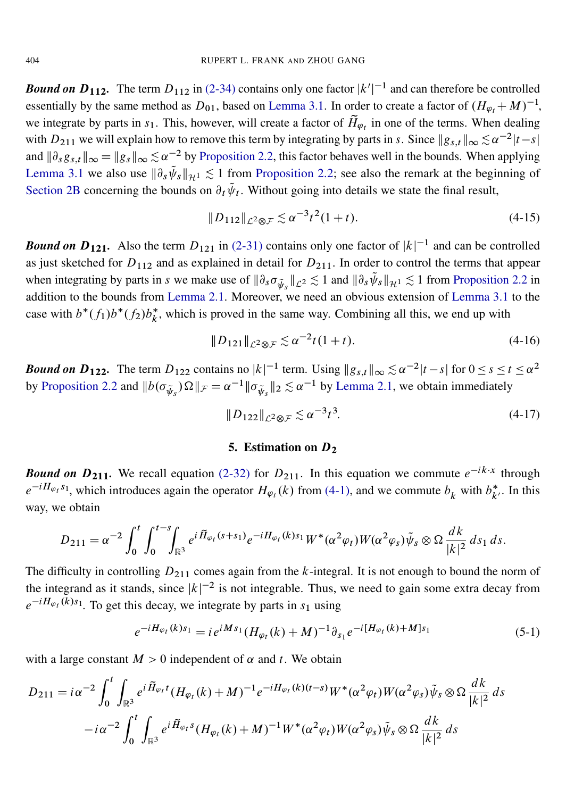*Bound on*  $D_{112}$ . The term  $D_{112}$  in [\(2-34\)](#page-13-3) contains only one factor  $|k'|^{-1}$  and can therefore be controlled essentially by the same method as  $D_{01}$ , based on [Lemma 3.1.](#page-16-0) In order to create a factor of  $(H_{\varphi_t} + M)^{-1}$ , we integrate by parts in  $s_1$ . This, however, will create a factor of  $\tilde{H}_{\varphi_t}$  in one of the terms. When dealing with  $D_{211}$  we will explain how to remove this term by integrating by parts in s. Since  $||g_{s,t}||_{\infty} \lesssim \alpha^{-2}|t-s|$ and  $\|\partial_s g_{s,t}\|_{\infty} = \|g_s\|_{\infty} \lesssim \alpha^{-2}$  by [Proposition 2.2,](#page-8-0) this factor behaves well in the bounds. When applying [Lemma 3.1](#page-16-0) we also use  $\|\partial_s \tilde{\psi}_s\|_{\mathcal{H}^1} \lesssim 1$  from [Proposition 2.2;](#page-8-0) see also the remark at the beginning of [Section 2B](#page-8-6) concerning the bounds on  $\partial_t \tilde{\psi}_t$ . Without going into details we state the final result,

$$
||D_{112}||_{\mathcal{L}^2 \otimes \mathcal{F}} \lesssim \alpha^{-3} t^2 (1+t). \tag{4-15}
$$

*Bound on*  $D_{121}$ . Also the term  $D_{121}$  in [\(2-31\)](#page-13-4) contains only one factor of  $|k|^{-1}$  and can be controlled as just sketched for  $D_{112}$  and as explained in detail for  $D_{211}$ . In order to control the terms that appear when integrating by parts in s we make use of  $\|\partial_s \sigma_{\tilde{\psi}_s}\|_{\mathcal{L}^2} \lesssim 1$  and  $\|\partial_s \tilde{\psi}_s\|_{\mathcal{H}^1} \lesssim 1$  from [Proposition 2.2](#page-8-0) in addition to the bounds from [Lemma 2.1.](#page-7-0) Moreover, we need an obvious extension of [Lemma 3.1](#page-16-0) to the case with  $b^*(f_1)b^*(f_2)b_k^*$ , which is proved in the same way. Combining all this, we end up with

$$
||D_{121}||_{\mathcal{L}^2 \otimes \mathcal{F}} \lesssim \alpha^{-2} t (1+t). \tag{4-16}
$$

**Bound on D<sub>122</sub>.** The term  $D_{122}$  contains no  $|k|^{-1}$  term. Using  $||g_{s,t}||_{\infty} \lesssim \alpha^{-2}|t-s|$  for  $0 \le s \le t \le \alpha^2$ by [Proposition 2.2](#page-8-0) and  $||b(\sigma_{\tilde{\psi}_s})\Omega||_{\mathcal{F}} = \alpha^{-1} ||\sigma_{\tilde{\psi}_s}||_2 \lesssim \alpha^{-1}$  by [Lemma 2.1,](#page-7-0) we obtain immediately

$$
||D_{122}||_{\mathcal{L}^2 \otimes \mathcal{F}} \lesssim \alpha^{-3} t^3. \tag{4-17}
$$

#### <span id="page-25-1"></span>5. Estimation on  $D_2$

<span id="page-25-0"></span>**Bound on**  $D_{211}$ **.** We recall equation [\(2-32\)](#page-13-5) for  $D_{211}$ . In this equation we commute  $e^{-ik \cdot x}$  through  $e^{-iH_{\varphi_t} s_1}$ , which introduces again the operator  $H_{\varphi_t}(k)$  from [\(4-1\),](#page-18-1) and we commute  $b_k$  with  $b_{k'}^*$ . In this way, we obtain

$$
D_{211} = \alpha^{-2} \int_0^t \int_0^{t-s} \int_{\mathbb{R}^3} e^{i \widetilde{H}_{\varphi_t}(s+s_1)} e^{-i H_{\varphi_t}(k)s_1} W^*(\alpha^2 \varphi_t) W(\alpha^2 \varphi_s) \widetilde{\psi}_s \otimes \Omega \frac{dk}{|k|^2} ds_1 ds.
$$

The difficulty in controlling  $D_{211}$  comes again from the k-integral. It is not enough to bound the norm of the integrand as it stands, since  $|k|^{-2}$  is not integrable. Thus, we need to gain some extra decay from  $e^{-iH_{\varphi_t}(k)s_1}$ . To get this decay, we integrate by parts in  $s_1$  using

$$
e^{-iH_{\varphi_t}(k)s_1} = i e^{iMs_1} (H_{\varphi_t}(k) + M)^{-1} \partial_{s_1} e^{-i[H_{\varphi_t}(k) + M]s_1}
$$
\n(5-1)

with a large constant  $M > 0$  independent of  $\alpha$  and t. We obtain

$$
D_{211} = i\alpha^{-2} \int_0^t \int_{\mathbb{R}^3} e^{i \tilde{H}_{\varphi_t} t} (H_{\varphi_t}(k) + M)^{-1} e^{-i H_{\varphi_t}(k)(t-s)} W^*(\alpha^2 \varphi_t) W(\alpha^2 \varphi_s) \tilde{\psi}_s \otimes \Omega \frac{dk}{|k|^2} ds
$$
  

$$
-i\alpha^{-2} \int_0^t \int_{\mathbb{R}^3} e^{i \tilde{H}_{\varphi_t} s} (H_{\varphi_t}(k) + M)^{-1} W^*(\alpha^2 \varphi_t) W(\alpha^2 \varphi_s) \tilde{\psi}_s \otimes \Omega \frac{dk}{|k|^2} ds
$$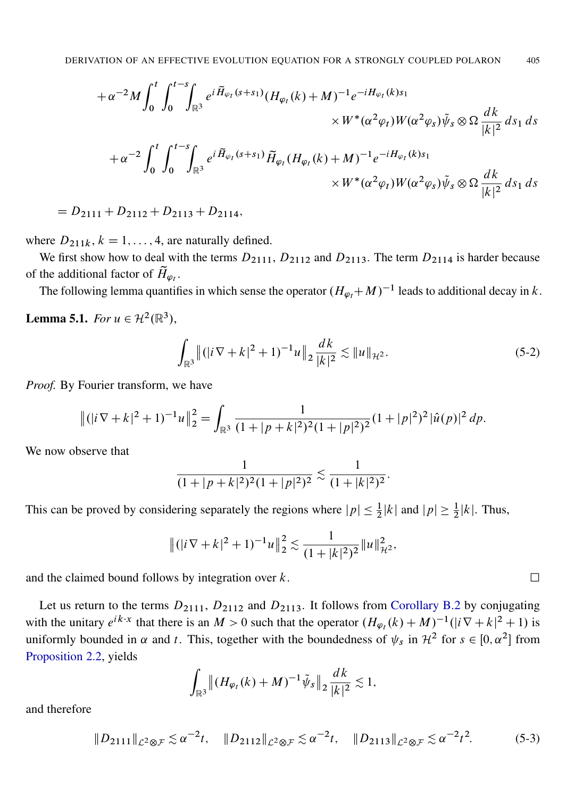$$
+ \alpha^{-2} M \int_0^t \int_0^{t-s} \int_{\mathbb{R}^3} e^{i \tilde{H}_{\varphi_t}(s+s_1)} (H_{\varphi_t}(k) + M)^{-1} e^{-i H_{\varphi_t}(k) s_1}
$$
  

$$
\times W^*(\alpha^2 \varphi_t) W(\alpha^2 \varphi_s) \tilde{\psi}_s \otimes \Omega \frac{dk}{|k|^2} ds_1 ds
$$
  

$$
+ \alpha^{-2} \int_0^t \int_0^{t-s} \int_{\mathbb{R}^3} e^{i \tilde{H}_{\varphi_t}(s+s_1)} \tilde{H}_{\varphi_t}(H_{\varphi_t}(k) + M)^{-1} e^{-i H_{\varphi_t}(k) s_1}
$$
  

$$
\times W^*(\alpha^2 \varphi_t) W(\alpha^2 \varphi_s) \tilde{\psi}_s \otimes \Omega \frac{dk}{|k|^2} ds_1 ds
$$

 $= D_{2111} + D_{2112} + D_{2113} + D_{2114},$ 

where  $D_{211k}$ ,  $k = 1, ..., 4$ , are naturally defined.

We first show how to deal with the terms  $D_{2111}$ ,  $D_{2112}$  and  $D_{2113}$ . The term  $D_{2114}$  is harder because of the additional factor of  $\widetilde{H}_{\varphi_t}$ .

The following lemma quantifies in which sense the operator  $(H_{\varphi_t} + M)^{-1}$  leads to additional decay in k.

<span id="page-26-0"></span>**Lemma 5.1.** *For*  $u \in \mathcal{H}^2(\mathbb{R}^3)$ ,

$$
\int_{\mathbb{R}^3} \left\| (|i \nabla + k|^2 + 1)^{-1} u \right\|_2 \frac{dk}{|k|^2} \lesssim \|u\|_{\mathcal{H}^2}.
$$
 (5-2)

*Proof.* By Fourier transform, we have

$$
\left\|(|i\nabla+k|^2+1)^{-1}u\right\|_2^2 = \int_{\mathbb{R}^3} \frac{1}{(1+|p+k|^2)^2(1+|p|^2)^2}(1+|p|^2)^2|\hat{u}(p)|^2 dp.
$$

We now observe that

$$
\frac{1}{(1+|p+k|^2)^2(1+|p|^2)^2} \lesssim \frac{1}{(1+|k|^2)^2}.
$$

This can be proved by considering separately the regions where  $|p| \leq \frac{1}{2}|k|$  and  $|p| \geq \frac{1}{2}|k|$ . Thus,

$$
\|( |i \nabla + k|^2 + 1)^{-1} u \|_2^2 \lesssim \frac{1}{(1 + |k|^2)^2} \| u \|_{\mathcal{H}^2}^2,
$$

and the claimed bound follows by integration over  $k$ .

Let us return to the terms  $D_{2111}$ ,  $D_{2112}$  and  $D_{2113}$ . It follows from [Corollary B.2](#page-35-1) by conjugating with the unitary  $e^{ik \cdot x}$  that there is an  $M > 0$  such that the operator  $(H_{\varphi_t}(k) + M)^{-1}(|i \nabla + k|^2 + 1)$  is uniformly bounded in  $\alpha$  and t. This, together with the boundedness of  $\psi_s$  in  $\mathcal{H}^2$  for  $s \in [0, \alpha^2]$  from [Proposition 2.2,](#page-8-0) yields

$$
\int_{\mathbb{R}^3} \|(H_{\varphi_t}(k) + M)^{-1} \tilde{\psi}_s\|_2 \frac{dk}{|k|^2} \lesssim 1,
$$

and therefore

<span id="page-26-1"></span>
$$
||D_{2111}||_{\mathcal{L}^2 \otimes \mathcal{F}} \lesssim \alpha^{-2}t, \quad ||D_{2112}||_{\mathcal{L}^2 \otimes \mathcal{F}} \lesssim \alpha^{-2}t, \quad ||D_{2113}||_{\mathcal{L}^2 \otimes \mathcal{F}} \lesssim \alpha^{-2}t^2. \tag{5-3}
$$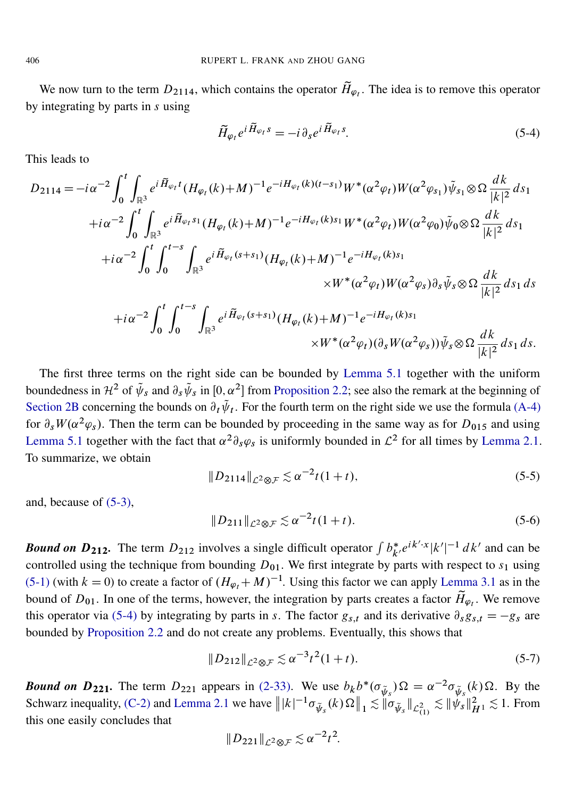We now turn to the term  $D_{2114}$ , which contains the operator  $\tilde{H}_{\varphi_l}$ . The idea is to remove this operator by integrating by parts in s using

<span id="page-27-0"></span>
$$
\widetilde{H}_{\varphi_t} e^{i \widetilde{H}_{\varphi_t} s} = -i \partial_s e^{i \widetilde{H}_{\varphi_t} s}.
$$
\n(5-4)

This leads to

$$
D_{2114} = -i\alpha^{-2} \int_{0}^{t} \int_{\mathbb{R}^{3}} e^{i \tilde{H}_{\varphi_{t}} t} (H_{\varphi_{t}}(k) + M)^{-1} e^{-i H_{\varphi_{t}}(k)(t-s_{1})} W^{*}(\alpha^{2} \varphi_{t}) W(\alpha^{2} \varphi_{s_{1}}) \tilde{\psi}_{s_{1}} \otimes \Omega \frac{dk}{|k|^{2}} ds_{1}
$$
  
+ $i\alpha^{-2} \int_{0}^{t} \int_{\mathbb{R}^{3}} e^{i \tilde{H}_{\varphi_{t}} s_{1}} (H_{\varphi_{t}}(k) + M)^{-1} e^{-i H_{\varphi_{t}}(k) s_{1}} W^{*}(\alpha^{2} \varphi_{t}) W(\alpha^{2} \varphi_{0}) \tilde{\psi}_{0} \otimes \Omega \frac{dk}{|k|^{2}} ds_{1}$   
+ $i\alpha^{-2} \int_{0}^{t} \int_{0}^{t-s} \int_{\mathbb{R}^{3}} e^{i \tilde{H}_{\varphi_{t}}(s+s_{1})} (H_{\varphi_{t}}(k) + M)^{-1} e^{-i H_{\varphi_{t}}(k) s_{1}}$   
+ $i\alpha^{-2} \int_{0}^{t} \int_{0}^{t-s} \int_{\mathbb{R}^{3}} e^{i \tilde{H}_{\varphi_{t}}(s+s_{1})} (H_{\varphi_{t}}(k) + M)^{-1} e^{-i H_{\varphi_{t}}(k) s_{1}}$   
+ $i\alpha^{-2} \int_{0}^{t} \int_{0}^{t-s} \int_{\mathbb{R}^{3}} e^{i \tilde{H}_{\varphi_{t}}(s+s_{1})} (H_{\varphi_{t}}(k) + M)^{-1} e^{-i H_{\varphi_{t}}(k) s_{1}}$   
+ $W^{*}(\alpha^{2} \varphi_{t}) (\partial_{s} W(\alpha^{2} \varphi_{s})) \tilde{\psi}_{s} \otimes \Omega \frac{dk}{|k|^{2}} ds_{1} ds.$ 

The first three terms on the right side can be bounded by [Lemma 5.1](#page-26-0) together with the uniform boundedness in  $\mathcal{H}^2$  of  $\tilde{\psi}_s$  and  $\partial_s \tilde{\psi}_s$  in  $[0, \alpha^2]$  from [Proposition 2.2;](#page-8-0) see also the remark at the beginning of [Section 2B](#page-8-6) concerning the bounds on  $\partial_t \tilde{\psi}_t$ . For the fourth term on the right side we use the formula [\(A-4\)](#page-33-1) for  $\partial_s W(\alpha^2 \varphi_s)$ . Then the term can be bounded by proceeding in the same way as for  $D_{015}$  and using [Lemma 5.1](#page-26-0) together with the fact that  $\alpha^2 \partial_s \varphi_s$  is uniformly bounded in  $\mathcal{L}^2$  for all times by [Lemma 2.1.](#page-7-0) To summarize, we obtain

$$
||D_{2114}||_{\mathcal{L}^2 \otimes \mathcal{F}} \lesssim \alpha^{-2} t (1+t), \tag{5-5}
$$

and, because of [\(5-3\),](#page-26-1)

$$
||D_{211}||_{\mathcal{L}^2 \otimes \mathcal{F}} \lesssim \alpha^{-2} t (1+t). \tag{5-6}
$$

*Bound on*  $D_{212}$ . The term  $D_{212}$  involves a single difficult operator  $\int b_{k'}^* e^{ik' \cdot x} |k'|^{-1} dk'$  and can be controlled using the technique from bounding  $D_{01}$ . We first integrate by parts with respect to  $s_1$  using [\(5-1\)](#page-25-1) (with  $k = 0$ ) to create a factor of  $(H_{\varphi_t} + M)^{-1}$ . Using this factor we can apply [Lemma 3.1](#page-16-0) as in the bound of  $D_{01}$ . In one of the terms, however, the integration by parts creates a factor  $\widetilde{H}_{\varphi_t}$ . We remove this operator via [\(5-4\)](#page-27-0) by integrating by parts in s. The factor  $g_{s,t}$  and its derivative  $\partial_s g_{s,t} = -g_s$  are bounded by [Proposition 2.2](#page-8-0) and do not create any problems. Eventually, this shows that

$$
||D_{212}||_{\mathcal{L}^2 \otimes \mathcal{F}} \lesssim \alpha^{-3} t^2 (1+t). \tag{5-7}
$$

**Bound on**  $D_{221}$ **.** The term  $D_{221}$  appears in [\(2-33\).](#page-13-6) We use  $b_k b^*(\sigma_{\tilde{\psi}_s})\Omega = \alpha^{-2} \sigma_{\tilde{\psi}_s}(k) \Omega$ . By the Schwarz inequality, [\(C-2\)](#page-36-1) and [Lemma 2.1](#page-7-0) we have  $||k|^{-1} \sigma_{\tilde{\psi}_s}(k) \Omega||_1 \lesssim \|\sigma_{\tilde{\psi}_s}\|_{\mathcal{L}_{(1)}^2} \lesssim \|\tilde{\psi}_s\|_{H^1}^2 \lesssim 1$ . From this one easily concludes that

$$
||D_{221}||_{\mathcal{L}^2\otimes\mathcal{F}}\lesssim\alpha^{-2}t^2.
$$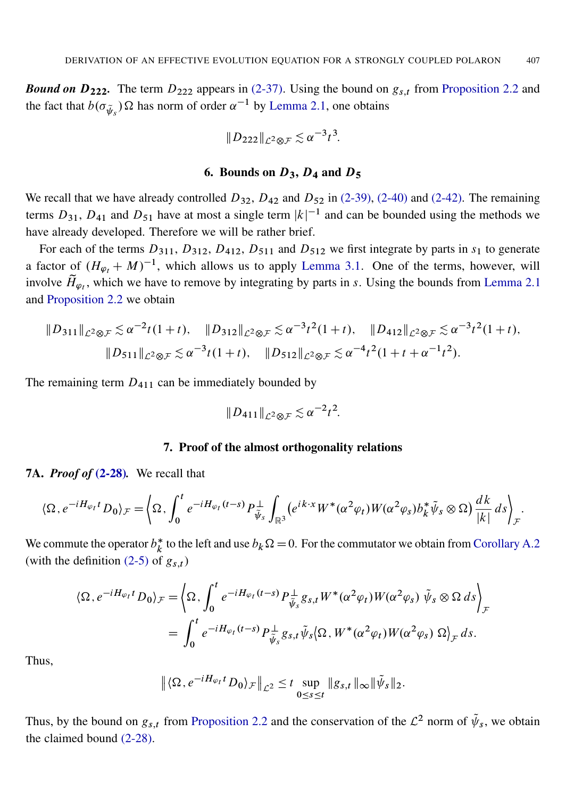**Bound on**  $D_{222}$ **.** The term  $D_{222}$  appears in [\(2-37\).](#page-13-7) Using the bound on  $g_{s,t}$  from [Proposition 2.2](#page-8-0) and the fact that  $b(\sigma_{\tilde{\psi}_s}) \Omega$  has norm of order  $\alpha^{-1}$  by [Lemma 2.1,](#page-7-0) one obtains

$$
||D_{222}||_{\mathcal{L}^2\otimes\mathcal{F}}\lesssim\alpha^{-3}t^3.
$$

## 6. Bounds on  $D_3$ ,  $D_4$  and  $D_5$

<span id="page-28-0"></span>We recall that we have already controlled  $D_{32}$ ,  $D_{42}$  and  $D_{52}$  in [\(2-39\),](#page-14-0) [\(2-40\)](#page-14-1) and [\(2-42\).](#page-15-2) The remaining terms  $D_{31}$ ,  $D_{41}$  and  $D_{51}$  have at most a single term  $|k|^{-1}$  and can be bounded using the methods we have already developed. Therefore we will be rather brief.

For each of the terms  $D_{311}$ ,  $D_{312}$ ,  $D_{412}$ ,  $D_{511}$  and  $D_{512}$  we first integrate by parts in  $s_1$  to generate a factor of  $(H_{\varphi_t} + M)^{-1}$ , which allows us to apply [Lemma 3.1.](#page-16-0) One of the terms, however, will involve  $\tilde{H}_{\varphi_t}$ , which we have to remove by integrating by parts in s. Using the bounds from [Lemma 2.1](#page-7-0) and [Proposition 2.2](#page-8-0) we obtain

$$
||D_{311}||_{\mathcal{L}^{2}\otimes\mathcal{F}} \lesssim \alpha^{-2}t(1+t), \quad ||D_{312}||_{\mathcal{L}^{2}\otimes\mathcal{F}} \lesssim \alpha^{-3}t^{2}(1+t), \quad ||D_{412}||_{\mathcal{L}^{2}\otimes\mathcal{F}} \lesssim \alpha^{-3}t^{2}(1+t),
$$
  

$$
||D_{511}||_{\mathcal{L}^{2}\otimes\mathcal{F}} \lesssim \alpha^{-3}t(1+t), \quad ||D_{512}||_{\mathcal{L}^{2}\otimes\mathcal{F}} \lesssim \alpha^{-4}t^{2}(1+t+\alpha^{-1}t^{2}).
$$

The remaining term  $D_{411}$  can be immediately bounded by

$$
||D_{411}||_{\mathcal{L}^2\otimes\mathcal{F}}\lesssim\alpha^{-2}t^2.
$$

## 7. Proof of the almost orthogonality relations

<span id="page-28-1"></span>7A. *Proof of* [\(2-28\)](#page-11-4)*.* We recall that

$$
\langle \Omega, e^{-iH_{\varphi_t}t} D_0 \rangle_{\mathcal{F}} = \langle \Omega, \int_0^t e^{-iH_{\varphi_t}(t-s)} P^{\perp}_{\widetilde{\psi}_s} \int_{\mathbb{R}^3} (e^{ik \cdot x} W^*(\alpha^2 \varphi_t) W(\alpha^2 \varphi_s) b_k^* \widetilde{\psi}_s \otimes \Omega) \frac{dk}{|k|} ds \rangle_{\mathcal{F}}.
$$

We commute the operator  $b_k^*$  $k<sub>k</sub>$  to the left and use  $b_k \Omega = 0$ . For the commutator we obtain from [Corollary A.2](#page-33-2) (with the definition  $(2-5)$  of  $g_{s,t}$ )

$$
\langle \Omega, e^{-iH_{\varphi_l}t} D_0 \rangle_{\mathcal{F}} = \left\langle \Omega, \int_0^t e^{-iH_{\varphi_l}(t-s)} P^{\perp}_{\tilde{\psi}_s} g_{s,t} W^*(\alpha^2 \varphi_t) W(\alpha^2 \varphi_s) \tilde{\psi}_s \otimes \Omega \, ds \right\rangle_{\mathcal{F}}
$$
  
= 
$$
\int_0^t e^{-iH_{\varphi_l}(t-s)} P^{\perp}_{\tilde{\psi}_s} g_{s,t} \tilde{\psi}_s \langle \Omega, W^*(\alpha^2 \varphi_t) W(\alpha^2 \varphi_s) \Omega \rangle_{\mathcal{F}} ds.
$$

Thus,

$$
\left\| \langle \Omega, e^{-iH_{\varphi_t}t} D_0 \rangle_{\mathcal{F}} \right\|_{\mathcal{L}^2} \leq t \sup_{0 \leq s \leq t} \|g_{s,t}\|_{\infty} \|\tilde{\psi}_s\|_2.
$$

Thus, by the bound on  $g_{s,t}$  from [Proposition 2.2](#page-8-0) and the conservation of the  $\mathcal{L}^2$  norm of  $\tilde{\psi}_s$ , we obtain the claimed bound [\(2-28\).](#page-11-4)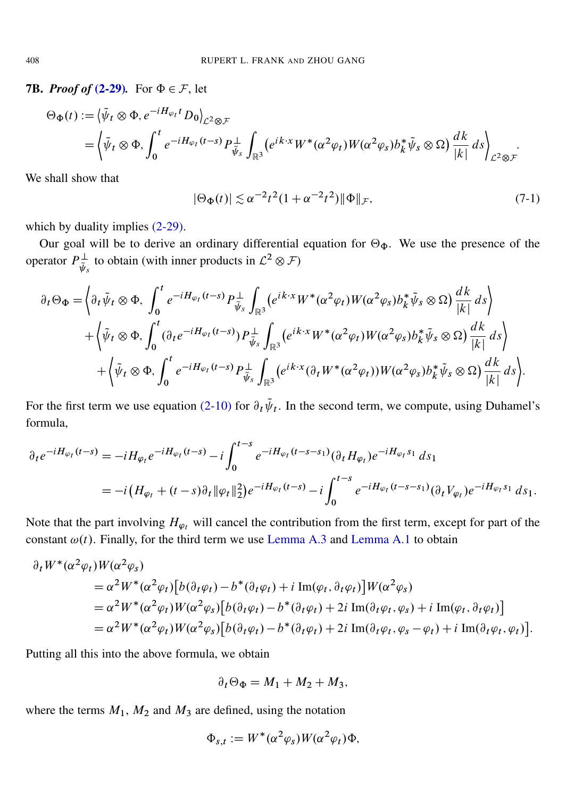<span id="page-29-0"></span>**7B.** *Proof of* [\(2-29\)](#page-11-5). For  $\Phi \in \mathcal{F}$ , let

$$
\Theta_{\Phi}(t) := \left\langle \tilde{\psi}_t \otimes \Phi, e^{-iH_{\varphi_t}t} D_0 \right\rangle_{\mathcal{L}^2 \otimes \mathcal{F}} \n= \left\langle \tilde{\psi}_t \otimes \Phi, \int_0^t e^{-iH_{\varphi_t}(t-s)} P_{\tilde{\psi}_s}^{\perp} \int_{\mathbb{R}^3} (e^{ik \cdot x} W^*(\alpha^2 \varphi_t) W(\alpha^2 \varphi_s) b_k^* \tilde{\psi}_s \otimes \Omega) \frac{dk}{|k|} ds \right\}_{\mathcal{L}^2 \otimes \mathcal{F}}.
$$

We shall show that

<span id="page-29-1"></span>
$$
|\Theta_{\Phi}(t)| \lesssim \alpha^{-2} t^2 (1 + \alpha^{-2} t^2) ||\Phi||_{\mathcal{F}},\tag{7-1}
$$

which by duality implies  $(2-29)$ .

Our goal will be to derive an ordinary differential equation for  $\Theta_{\Phi}$ . We use the presence of the operator  $P_{\tilde{\lambda}}^{\perp}$  $\psi_{\psi_s}^{\perp}$  to obtain (with inner products in  $\mathcal{L}^2 \otimes \mathcal{F}$ )

$$
\partial_t \Theta_{\Phi} = \left\langle \partial_t \tilde{\psi}_t \otimes \Phi, \int_0^t e^{-iH_{\varphi_t}(t-s)} P^{\perp}_{\tilde{\psi}_s} \int_{\mathbb{R}^3} (e^{ik \cdot x} W^* (\alpha^2 \varphi_t) W(\alpha^2 \varphi_s) b_k^* \tilde{\psi}_s \otimes \Omega) \frac{dk}{|k|} ds \right\rangle + \left\langle \tilde{\psi}_t \otimes \Phi, \int_0^t (\partial_t e^{-iH_{\varphi_t}(t-s)}) P^{\perp}_{\tilde{\psi}_s} \int_{\mathbb{R}^3} (e^{ik \cdot x} W^* (\alpha^2 \varphi_t) W(\alpha^2 \varphi_s) b_k^* \tilde{\psi}_s \otimes \Omega) \frac{dk}{|k|} ds \right\rangle + \left\langle \tilde{\psi}_t \otimes \Phi, \int_0^t e^{-iH_{\varphi_t}(t-s)} P^{\perp}_{\tilde{\psi}_s} \int_{\mathbb{R}^3} (e^{ik \cdot x} (\partial_t W^* (\alpha^2 \varphi_t)) W(\alpha^2 \varphi_s) b_k^* \tilde{\psi}_s \otimes \Omega) \frac{dk}{|k|} ds \right\rangle.
$$

For the first term we use equation [\(2-10\)](#page-8-1) for  $\partial_t \tilde{\psi}_t$ . In the second term, we compute, using Duhamel's formula,

$$
\partial_t e^{-iH_{\varphi_t}(t-s)} = -iH_{\varphi_t}e^{-iH_{\varphi_t}(t-s)} - i\int_0^{t-s} e^{-iH_{\varphi_t}(t-s-s_1)}(\partial_t H_{\varphi_t})e^{-iH_{\varphi_t}s_1} ds_1
$$
  
= 
$$
-i(H_{\varphi_t} + (t-s)\partial_t \|\varphi_t\|_2^2)e^{-iH_{\varphi_t}(t-s)} - i\int_0^{t-s} e^{-iH_{\varphi_t}(t-s-s_1)}(\partial_t V_{\varphi_t})e^{-iH_{\varphi_t}s_1} ds_1.
$$

Note that the part involving  $H_{\varphi_t}$  will cancel the contribution from the first term, except for part of the constant  $\omega(t)$ . Finally, for the third term we use [Lemma A.3](#page-33-3) and [Lemma A.1](#page-33-0) to obtain

$$
\partial_t W^*(\alpha^2 \varphi_t) W(\alpha^2 \varphi_s)
$$
  
=  $\alpha^2 W^*(\alpha^2 \varphi_t) [b(\partial_t \varphi_t) - b^*(\partial_t \varphi_t) + i \operatorname{Im}(\varphi_t, \partial_t \varphi_t)] W(\alpha^2 \varphi_s)$   
=  $\alpha^2 W^*(\alpha^2 \varphi_t) W(\alpha^2 \varphi_s) [b(\partial_t \varphi_t) - b^*(\partial_t \varphi_t) + 2i \operatorname{Im}(\partial_t \varphi_t, \varphi_s) + i \operatorname{Im}(\varphi_t, \partial_t \varphi_t)]$   
=  $\alpha^2 W^*(\alpha^2 \varphi_t) W(\alpha^2 \varphi_s) [b(\partial_t \varphi_t) - b^*(\partial_t \varphi_t) + 2i \operatorname{Im}(\partial_t \varphi_t, \varphi_s - \varphi_t) + i \operatorname{Im}(\partial_t \varphi_t, \varphi_t)].$ 

Putting all this into the above formula, we obtain

$$
\partial_t \Theta_{\Phi} = M_1 + M_2 + M_3,
$$

where the terms  $M_1$ ,  $M_2$  and  $M_3$  are defined, using the notation

$$
\Phi_{s,t} := W^*(\alpha^2 \varphi_s) W(\alpha^2 \varphi_t) \Phi,
$$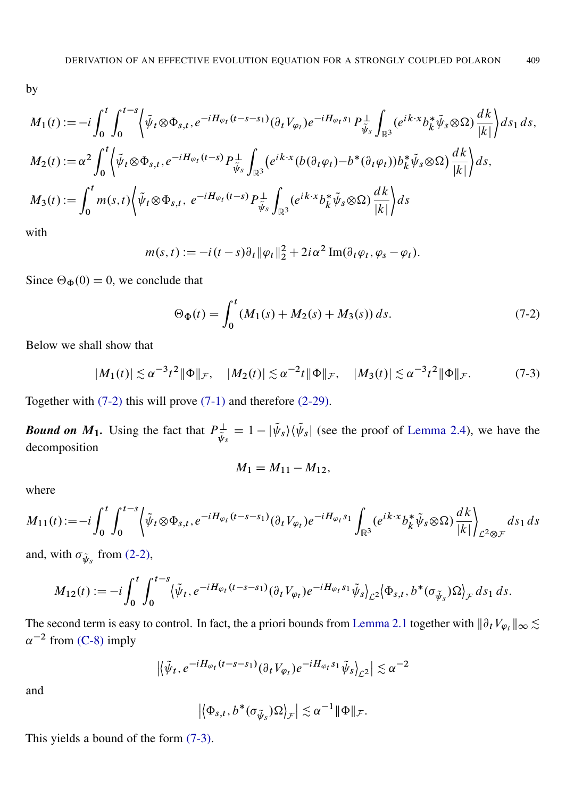by

$$
M_1(t) := -i \int_0^t \int_0^{t-s} \left\langle \tilde{\psi}_t \otimes \Phi_{s,t}, e^{-iH_{\varphi_t}(t-s-s_1)} (\partial_t V_{\varphi_t}) e^{-iH_{\varphi_t}s_1} P_{\tilde{\psi}_s}^{\perp} \int_{\mathbb{R}^3} (e^{ik \cdot x} b_k^* \tilde{\psi}_s \otimes \Omega) \frac{dk}{|k|} \right\rangle ds_1 ds,
$$
  
\n
$$
M_2(t) := \alpha^2 \int_0^t \left\langle \tilde{\psi}_t \otimes \Phi_{s,t}, e^{-iH_{\varphi_t}(t-s)} P_{\tilde{\psi}_s}^{\perp} \int_{\mathbb{R}^3} (e^{ik \cdot x} (b(\partial_t \varphi_t) - b^* (\partial_t \varphi_t)) b_k^* \tilde{\psi}_s \otimes \Omega) \frac{dk}{|k|} \right\rangle ds,
$$
  
\n
$$
M_3(t) := \int_0^t m(s,t) \left\langle \tilde{\psi}_t \otimes \Phi_{s,t}, e^{-iH_{\varphi_t}(t-s)} P_{\tilde{\psi}_s}^{\perp} \int_{\mathbb{R}^3} (e^{ik \cdot x} b_k^* \tilde{\psi}_s \otimes \Omega) \frac{dk}{|k|} \right\rangle ds
$$

with

$$
m(s,t) := -i(t-s)\partial_t \|\varphi_t\|_2^2 + 2i\alpha^2 \operatorname{Im}(\partial_t \varphi_t, \varphi_s - \varphi_t).
$$

Since  $\Theta_{\Phi}(0) = 0$ , we conclude that

<span id="page-30-1"></span><span id="page-30-0"></span>
$$
\Theta_{\Phi}(t) = \int_0^t (M_1(s) + M_2(s) + M_3(s)) ds. \tag{7-2}
$$

Below we shall show that

$$
|M_1(t)| \lesssim \alpha^{-3} t^2 \|\Phi\|_{\mathcal{F}}, \quad |M_2(t)| \lesssim \alpha^{-2} t \|\Phi\|_{\mathcal{F}}, \quad |M_3(t)| \lesssim \alpha^{-3} t^2 \|\Phi\|_{\mathcal{F}}.
$$
 (7-3)

Together with [\(7-2\)](#page-30-0) this will prove [\(7-1\)](#page-29-1) and therefore [\(2-29\).](#page-11-5)

*Bound on*  $M_1$ . Using the fact that  $P_{\tilde{J}_L}^{\perp}$  $\psi_{\tilde{\psi}_s}^{\perp} = 1 - |\tilde{\psi}_s\rangle \langle \tilde{\psi}_s|$  (see the proof of [Lemma 2.4\)](#page-9-2), we have the decomposition

$$
M_1 = M_{11} - M_{12},
$$

where

$$
M_{11}(t) := -i \int_0^t \int_0^{t-s} \left\langle \tilde{\psi}_t \otimes \Phi_{s,t}, e^{-iH_{\varphi_t}(t-s-s_1)} (\partial_t V_{\varphi_t}) e^{-iH_{\varphi_t}s_1} \int_{\mathbb{R}^3} (e^{ik \cdot x} b_k^* \tilde{\psi}_s \otimes \Omega) \frac{dk}{|k|} \right\}_{\mathcal{L}^2 \otimes \mathcal{F}} ds_1 ds
$$

and, with  $\sigma_{\tilde{\psi}_s}$  from [\(2-2\),](#page-7-1)

$$
M_{12}(t) := -i \int_0^t \int_0^{t-s} \langle \tilde{\psi}_t, e^{-iH_{\varphi_t}(t-s-s_1)}(\partial_t V_{\varphi_t})e^{-iH_{\varphi_t}s_1}\tilde{\psi}_s\rangle_{\mathcal{L}^2} \langle \Phi_{s,t}, b^*(\sigma_{\tilde{\psi}_s})\Omega\rangle_{\mathcal{F}} ds_1 ds.
$$

The second term is easy to control. In fact, the a priori bounds from [Lemma 2.1](#page-7-0) together with  $\|\partial_t V_{\varphi_t}\|_\infty \lesssim$  $\alpha^{-2}$  from [\(C-8\)](#page-39-0) imply

$$
\left| \left\langle \tilde{\psi}_t, e^{-iH_{\varphi_t}(t-s-s_1)}(\partial_t V_{\varphi_t})e^{-iH_{\varphi_t}s_1}\tilde{\psi}_s \right\rangle_{\mathcal{L}^2} \right| \lesssim \alpha^{-2}
$$

and

$$
\left| \left\langle \Phi_{s,t}, b^*(\sigma_{\tilde{\psi}_s}) \Omega \right\rangle_{\mathcal{F}} \right| \lesssim \alpha^{-1} \|\Phi\|_{\mathcal{F}}.
$$

This yields a bound of the form [\(7-3\).](#page-30-1)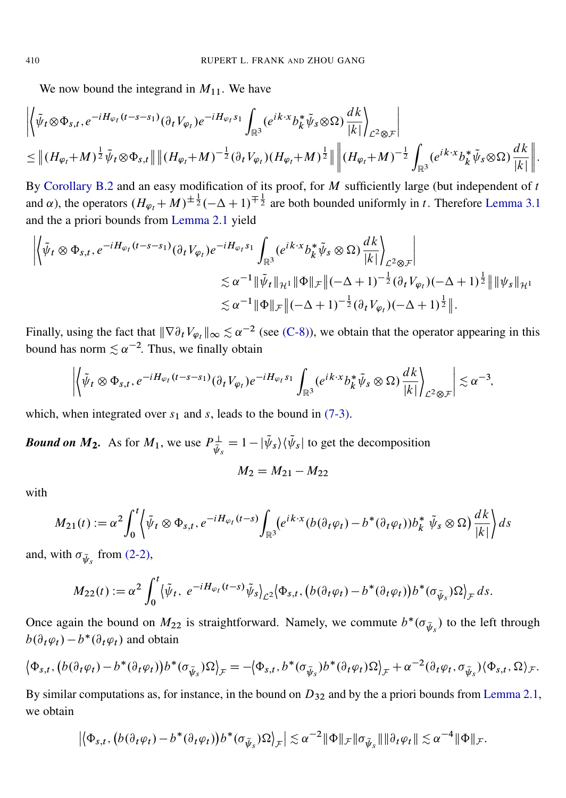We now bound the integrand in  $M_{11}$ . We have

$$
\left\| \left\langle \tilde{\psi}_t \otimes \Phi_{s,t}, e^{-iH_{\varphi_t}(t-s-s_1)} (\partial_t V_{\varphi_t}) e^{-iH_{\varphi_t} s_1} \int_{\mathbb{R}^3} (e^{ik \cdot x} b_k^* \tilde{\psi}_s \otimes \Omega) \frac{dk}{|k|} \right\|_{\mathcal{L}^2 \otimes \mathcal{F}} \right\|
$$
  
\n
$$
\leq \left\| (H_{\varphi_t} + M)^{\frac{1}{2}} \tilde{\psi}_t \otimes \Phi_{s,t} \right\| \left\| (H_{\varphi_t} + M)^{-\frac{1}{2}} (\partial_t V_{\varphi_t}) (H_{\varphi_t} + M)^{\frac{1}{2}} \right\| \left\| (H_{\varphi_t} + M)^{-\frac{1}{2}} \int_{\mathbb{R}^3} (e^{ik \cdot x} b_k^* \tilde{\psi}_s \otimes \Omega) \frac{dk}{|k|} \right\|.
$$

By [Corollary B.2](#page-35-1) and an easy modification of its proof, for  $M$  sufficiently large (but independent of  $t$ and  $\alpha$ ), the operators  $(H_{\varphi_t} + M)^{\pm \frac{1}{2}}(-\Delta + 1)^{\mp \frac{1}{2}}$  are both bounded uniformly in t. Therefore [Lemma 3.1](#page-16-0) and the a priori bounds from [Lemma 2.1](#page-7-0) yield

$$
\left\| \left\langle \tilde{\psi}_t \otimes \Phi_{s,t}, e^{-iH_{\varphi_t}(t-s-s_1)} (\partial_t V_{\varphi_t}) e^{-iH_{\varphi_t} s_1} \int_{\mathbb{R}^3} (e^{ik \cdot x} b_k^* \tilde{\psi}_s \otimes \Omega) \frac{dk}{|k|} \right\|_{\mathcal{L}^2 \otimes \mathcal{F}} \right\|
$$
  

$$
\lesssim \alpha^{-1} \|\tilde{\psi}_t\|_{\mathcal{H}^1} \|\Phi\|_{\mathcal{F}} \|( -\Delta + 1)^{-\frac{1}{2}} (\partial_t V_{\varphi_t}) (-\Delta + 1)^{\frac{1}{2}} \|\|\psi_s\|_{\mathcal{H}^1}
$$
  

$$
\lesssim \alpha^{-1} \|\Phi\|_{\mathcal{F}} \|( -\Delta + 1)^{-\frac{1}{2}} (\partial_t V_{\varphi_t}) (-\Delta + 1)^{\frac{1}{2}} \|.
$$

Finally, using the fact that  $\|\nabla \partial_t V_{\varphi_t}\|_{\infty} \lesssim \alpha^{-2}$  (see [\(C-8\)\)](#page-39-0), we obtain that the operator appearing in this bound has norm  $\leq \alpha^{-2}$ . Thus, we finally obtain

$$
\left| \left\langle \tilde{\psi}_t \otimes \Phi_{s,t}, e^{-iH_{\varphi_t}(t-s-s_1)}(\partial_t V_{\varphi_t})e^{-iH_{\varphi_t}s_1} \int_{\mathbb{R}^3} (e^{ik \cdot x} b_k^* \tilde{\psi}_s \otimes \Omega) \frac{dk}{|k|} \right\rangle_{\mathcal{L}^2 \otimes \mathcal{F}} \right| \lesssim \alpha^{-3},
$$

which, when integrated over  $s_1$  and s, leads to the bound in [\(7-3\).](#page-30-1)

*Bound on*  $M_2$ . As for  $M_1$ , we use  $P_{\tilde{J}_2}^{\perp}$  $\psi_{\tilde{\psi}_s}^{\perp} = 1 - |\tilde{\psi}_s\rangle \langle \tilde{\psi}_s|$  to get the decomposition

$$
M_2 = M_{21} - M_{22}
$$

with

$$
M_{21}(t) := \alpha^2 \int_0^t \left\langle \tilde{\psi}_t \otimes \Phi_{s,t}, e^{-iH_{\varphi_t}(t-s)} \int_{\mathbb{R}^3} (e^{ik \cdot x} (b(\partial_t \varphi_t) - b^*(\partial_t \varphi_t)) b_k^* \tilde{\psi}_s \otimes \Omega) \frac{dk}{|k|} \right\rangle ds
$$

and, with  $\sigma_{\tilde{\psi}_s}$  from [\(2-2\),](#page-7-1)

$$
M_{22}(t) := \alpha^2 \int_0^t \langle \tilde{\psi}_t, e^{-iH_{\varphi_t}(t-s)} \tilde{\psi}_s \rangle_{\mathcal{L}^2} \langle \Phi_{s,t}, (b(\partial_t \varphi_t) - b^*(\partial_t \varphi_t))b^*(\sigma_{\tilde{\psi}_s})\Omega \rangle_{\mathcal{F}} ds.
$$

Once again the bound on  $M_{22}$  is straightforward. Namely, we commute  $b^*(\sigma_{\tilde{\psi}_s})$  to the left through  $b(\partial_t \varphi_t) - b^*(\partial_t \varphi_t)$  and obtain

$$
\left\langle \Phi_{s,t}, \left( b(\partial_t \varphi_t) - b^*(\partial_t \varphi_t) \right) b^*(\sigma_{\tilde{\psi}_s}) \Omega \right\rangle_{\mathcal{F}} = -\left\langle \Phi_{s,t}, b^*(\sigma_{\tilde{\psi}_s}) b^*(\partial_t \varphi_t) \Omega \right\rangle_{\mathcal{F}} + \alpha^{-2} (\partial_t \varphi_t, \sigma_{\tilde{\psi}_s}) \left\langle \Phi_{s,t}, \Omega \right\rangle_{\mathcal{F}}.
$$

By similar computations as, for instance, in the bound on  $D_{32}$  and by the a priori bounds from [Lemma 2.1,](#page-7-0) we obtain

$$
\left| \left\langle \Phi_{s,t} , \left( b(\partial_t \varphi_t) - b^*(\partial_t \varphi_t) \right) b^*(\sigma_{\widetilde{\psi}_s}) \Omega \right\rangle_{\mathcal{F}} \right| \lesssim \alpha^{-2} \|\Phi\|_{\mathcal{F}} \|\sigma_{\widetilde{\psi}_s}\| \|\partial_t \varphi_t\| \lesssim \alpha^{-4} \|\Phi\|_{\mathcal{F}}.
$$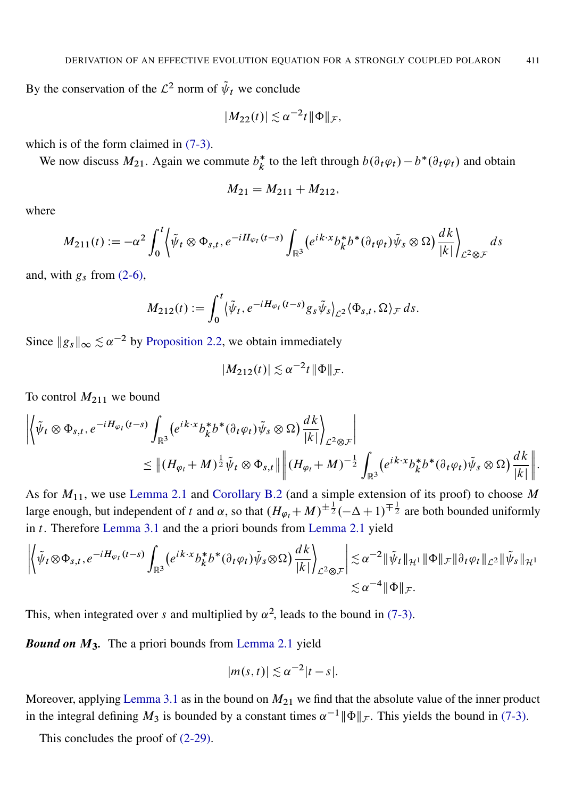By the conservation of the  $\mathcal{L}^2$  norm of  $\tilde{\psi}_t$  we conclude

$$
|M_{22}(t)| \lesssim \alpha^{-2} t ||\Phi||_{\mathcal{F}},
$$

which is of the form claimed in  $(7-3)$ .

We now discuss  $M_{21}$ . Again we commute  $b_k^*$ \* to the left through  $b(\partial_t \varphi_t) - b^*(\partial_t \varphi_t)$  and obtain

$$
M_{21} = M_{211} + M_{212},
$$

where

$$
M_{211}(t) := -\alpha^2 \int_0^t \left\langle \tilde{\psi}_t \otimes \Phi_{s,t}, e^{-iH_{\varphi_t}(t-s)} \int_{\mathbb{R}^3} \left( e^{ik \cdot x} b_k^* b^* (\partial_t \varphi_t) \tilde{\psi}_s \otimes \Omega \right) \frac{dk}{|k|} \right\}_{\mathcal{L}^2 \otimes \mathcal{F}} ds
$$

and, with  $g_s$  from [\(2-6\),](#page-8-7)

$$
M_{212}(t) := \int_0^t \langle \tilde{\psi}_t, e^{-iH_{\varphi_t}(t-s)} g_s \tilde{\psi}_s \rangle_{\mathcal{L}^2} \langle \Phi_{s,t}, \Omega \rangle_{\mathcal{F}} ds.
$$

Since  $||g_s||_{\infty} \lesssim \alpha^{-2}$  by [Proposition 2.2,](#page-8-0) we obtain immediately

$$
|M_{212}(t)| \lesssim \alpha^{-2} t \|\Phi\|_{\mathcal{F}}.
$$

To control  $M_{211}$  we bound

$$
\left\| \left\langle \tilde{\psi}_t \otimes \Phi_{s,t}, e^{-iH_{\varphi_t}(t-s)} \int_{\mathbb{R}^3} \left( e^{ik \cdot x} b_k^* b^* (\partial_t \varphi_t) \tilde{\psi}_s \otimes \Omega \right) \frac{dk}{|k|} \right\|_{\mathcal{L}^2 \otimes \mathcal{F}} \right\|
$$
  

$$
\leq \left\| (H_{\varphi_t} + M)^{\frac{1}{2}} \tilde{\psi}_t \otimes \Phi_{s,t} \right\| \left\| (H_{\varphi_t} + M)^{-\frac{1}{2}} \int_{\mathbb{R}^3} \left( e^{ik \cdot x} b_k^* b^* (\partial_t \varphi_t) \tilde{\psi}_s \otimes \Omega \right) \frac{dk}{|k|} \right\|.
$$

As for  $M_{11}$ , we use [Lemma 2.1](#page-7-0) and [Corollary B.2](#page-35-1) (and a simple extension of its proof) to choose M large enough, but independent of t and  $\alpha$ , so that  $(H_{\varphi_t} + M)^{\pm \frac{1}{2}}(-\Delta + 1)^{\mp \frac{1}{2}}$  are both bounded uniformly in t. Therefore [Lemma 3.1](#page-16-0) and the a priori bounds from [Lemma 2.1](#page-7-0) yield

$$
\left\| \left\langle \tilde{\psi}_t \otimes \Phi_{s,t}, e^{-iH_{\varphi_t}(t-s)} \int_{\mathbb{R}^3} \left( e^{ik \cdot x} b_k^* b^* (\partial_t \varphi_t) \tilde{\psi}_s \otimes \Omega \right) \frac{dk}{|k|} \right\|_{\mathcal{L}^2 \otimes \mathcal{F}} \right\| \lesssim \alpha^{-2} \|\tilde{\psi}_t\|_{\mathcal{H}^1} \|\Phi\|_{\mathcal{F}} \|\partial_t \varphi_t\|_{\mathcal{L}^2} \|\tilde{\psi}_s\|_{\mathcal{H}^1} \lesssim \alpha^{-4} \|\Phi\|_{\mathcal{F}}.
$$

This, when integrated over s and multiplied by  $\alpha^2$ , leads to the bound in [\(7-3\).](#page-30-1)

*Bound on* M3*.* The a priori bounds from [Lemma 2.1](#page-7-0) yield

$$
|m(s,t)| \lesssim \alpha^{-2}|t-s|.
$$

Moreover, applying [Lemma 3.1](#page-16-0) as in the bound on  $M_{21}$  we find that the absolute value of the inner product in the integral defining  $M_3$  is bounded by a constant times  $\alpha^{-1} ||\Phi||_{\mathcal{F}}$ . This yields the bound in [\(7-3\).](#page-30-1)

This concludes the proof of [\(2-29\).](#page-11-5)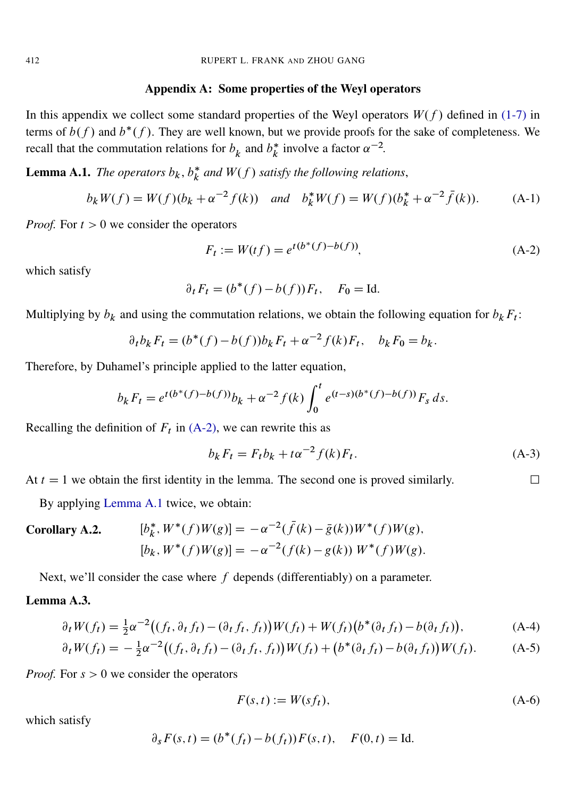#### Appendix A: Some properties of the Weyl operators

In this appendix we collect some standard properties of the Weyl operators  $W(f)$  defined in [\(1-7\)](#page-1-3) in terms of  $b(f)$  and  $b^*(f)$ . They are well known, but we provide proofs for the sake of completeness. We recall that the commutation relations for  $b_k$  and  $b_k^*$  $\int_{k}^{*}$  involve a factor  $\alpha^{-2}$ .

<span id="page-33-0"></span>**Lemma A.1.** *The operators*  $b_k$ ,  $b_k^*$  $\frac{k}{k}$  and  $W(f)$  satisfy the following relations,

$$
b_k W(f) = W(f)(b_k + \alpha^{-2} f(k)) \quad \text{and} \quad b_k^* W(f) = W(f)(b_k^* + \alpha^{-2} \bar{f}(k)). \tag{A-1}
$$

*Proof.* For  $t > 0$  we consider the operators

<span id="page-33-4"></span>
$$
F_t := W(tf) = e^{t(b^*(f) - b(f))},
$$
\n(A-2)

which satisfy

$$
\partial_t F_t = (b^*(f) - b(f))F_t, \quad F_0 = \text{Id}.
$$

Multiplying by  $b_k$  and using the commutation relations, we obtain the following equation for  $b_k F_t$ :

$$
\partial_t b_k F_t = (b^*(f) - b(f))b_k F_t + \alpha^{-2} f(k) F_t, \quad b_k F_0 = b_k.
$$

Therefore, by Duhamel's principle applied to the latter equation,

$$
b_k F_t = e^{t(b^*(f) - b(f))} b_k + \alpha^{-2} f(k) \int_0^t e^{(t-s)(b^*(f) - b(f))} F_s ds.
$$

Recalling the definition of  $F_t$  in [\(A-2\),](#page-33-4) we can rewrite this as

$$
b_k F_t = F_t b_k + t \alpha^{-2} f(k) F_t.
$$
 (A-3)

At  $t = 1$  we obtain the first identity in the lemma. The second one is proved similarly.

By applying [Lemma A.1](#page-33-0) twice, we obtain:

<span id="page-33-2"></span>Corollary A.2. 
$$
[b_k^*, W^*(f)W(g)] = -\alpha^{-2}(\bar{f}(k) - \bar{g}(k))W^*(f)W(g),
$$

$$
[b_k, W^*(f)W(g)] = -\alpha^{-2}(f(k) - g(k))W^*(f)W(g).
$$

Next, we'll consider the case where  $f$  depends (differentiably) on a parameter.

## <span id="page-33-3"></span>Lemma A.3.

$$
\partial_t W(f_t) = \frac{1}{2} \alpha^{-2} \big( (f_t, \partial_t f_t) - (\partial_t f_t, f_t) \big) W(f_t) + W(f_t) \big( b^*(\partial_t f_t) - b(\partial_t f_t) \big), \tag{A-4}
$$

$$
\partial_t W(f_t) = -\frac{1}{2} \alpha^{-2} \big( (f_t, \partial_t f_t) - (\partial_t f_t, f_t) \big) W(f_t) + \big( b^* (\partial_t f_t) - b(\partial_t f_t) \big) W(f_t). \tag{A-5}
$$

*Proof.* For  $s > 0$  we consider the operators

<span id="page-33-1"></span>
$$
F(s,t) := W(st_t),\tag{A-6}
$$

which satisfy

$$
\partial_s F(s, t) = (b^*(f_t) - b(f_t))F(s, t), \quad F(0, t) = \text{Id}.
$$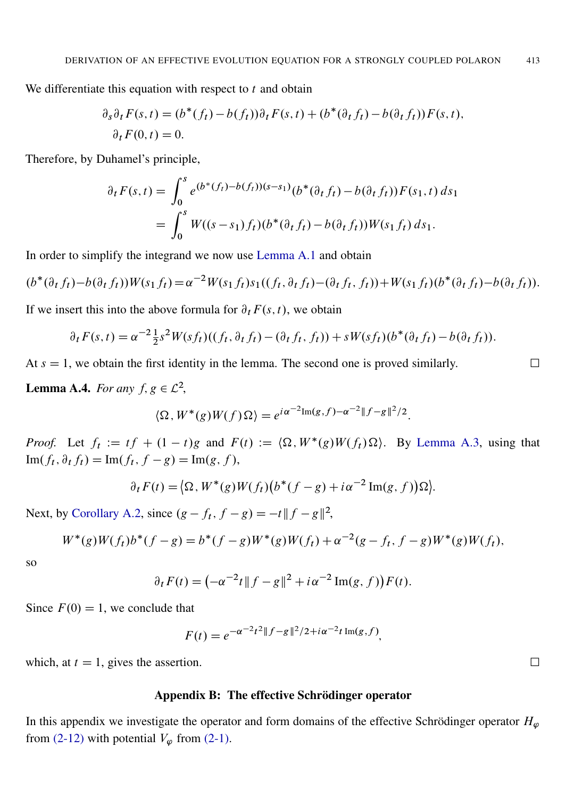We differentiate this equation with respect to  $t$  and obtain

$$
\partial_s \partial_t F(s,t) = (b^*(f_t) - b(f_t)) \partial_t F(s,t) + (b^*(\partial_t f_t) - b(\partial_t f_t)) F(s,t),
$$
  

$$
\partial_t F(0,t) = 0.
$$

Therefore, by Duhamel's principle,

$$
\partial_t F(s,t) = \int_0^s e^{(b^*(f_t) - b(f_t))(s-s_1)} (b^*(\partial_t f_t) - b(\partial_t f_t)) F(s_1, t) ds_1
$$
  
= 
$$
\int_0^s W((s-s_1) f_t) (b^*(\partial_t f_t) - b(\partial_t f_t)) W(s_1 f_t) ds_1.
$$

In order to simplify the integrand we now use [Lemma A.1](#page-33-0) and obtain

$$
(b^*(\partial_t f_t) - b(\partial_t f_t))W(s_1 f_t) = \alpha^{-2}W(s_1 f_t)s_1((f_t, \partial_t f_t) - (\partial_t f_t, f_t)) + W(s_1 f_t)(b^*(\partial_t f_t) - b(\partial_t f_t)).
$$

If we insert this into the above formula for  $\partial_t F(s, t)$ , we obtain

$$
\partial_t F(s,t) = \alpha^{-2} \frac{1}{2} s^2 W(st_t) ((f_t, \partial_t f_t) - (\partial_t f_t, f_t)) + s W(st_t) (\delta^*(\partial_t f_t) - b(\partial_t f_t)).
$$

At  $s = 1$ , we obtain the first identity in the lemma. The second one is proved similarly.

<span id="page-34-1"></span>**Lemma A.4.** *For any*  $f, g \in \mathcal{L}^2$ ,

$$
\langle \Omega, W^*(g)W(f)\Omega\rangle = e^{i\alpha^{-2}\text{Im}(g,f)-\alpha^{-2}\|f-g\|^2/2}.
$$

*Proof.* Let  $f_t := tf + (1-t)g$  and  $F(t) := \langle \Omega, W^*(g)W(f_t)\Omega \rangle$ . By [Lemma A.3,](#page-33-3) using that  $\text{Im}(f_t, \partial_t f_t) = \text{Im}(f_t, f - g) = \text{Im}(g, f),$ 

$$
\partial_t F(t) = \langle \Omega, W^*(g)W(f_t)(b^*(f-g) + i\alpha^{-2} \operatorname{Im}(g, f))\Omega \rangle.
$$

Next, by [Corollary A.2,](#page-33-2) since  $(g - f_t, f - g) = -t ||f - g||^2$ ,

$$
W^*(g)W(f_t)b^*(f-g) = b^*(f-g)W^*(g)W(f_t) + \alpha^{-2}(g-f_t, f-g)W^*(g)W(f_t),
$$

so

$$
\partial_t F(t) = \left(-\alpha^{-2}t \|f - g\|^2 + i\alpha^{-2} \operatorname{Im}(g, f)\right) F(t).
$$

Since  $F(0) = 1$ , we conclude that

$$
F(t) = e^{-\alpha^{-2}t^2||f-g||^2/2 + i\alpha^{-2}t \operatorname{Im}(g,f)},
$$

which, at  $t = 1$ , gives the assertion.

## Appendix B: The effective Schrödinger operator

<span id="page-34-0"></span>In this appendix we investigate the operator and form domains of the effective Schrödinger operator  $H_{\varphi}$ from [\(2-12\)](#page-8-8) with potential  $V_{\varphi}$  from [\(2-1\).](#page-7-2)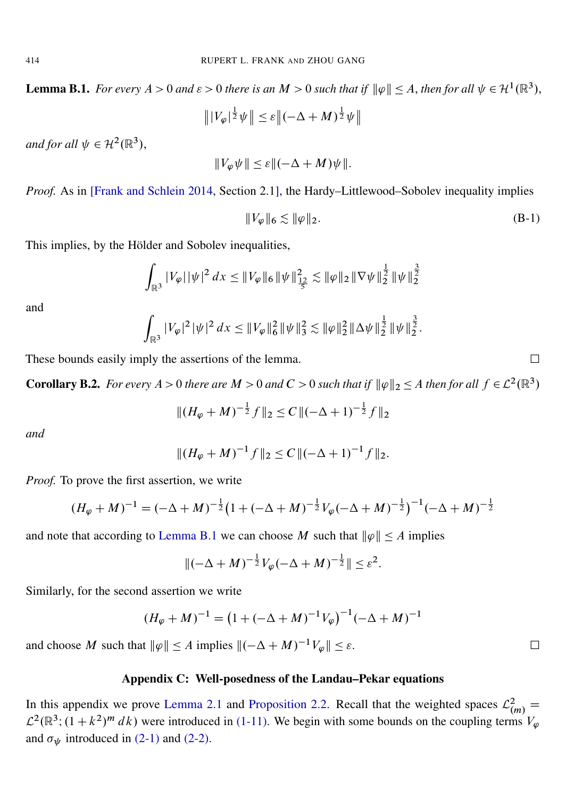**Lemma B.1.** For every  $A > 0$  and  $\varepsilon > 0$  there is an  $M > 0$  such that if  $\|\varphi\| \leq A$ , then for all  $\psi \in H^1(\mathbb{R}^3)$ ,

$$
\left\| |V_{\varphi}|^{\frac{1}{2}} \psi \right\| \leq \varepsilon \left\| (-\Delta + M)^{\frac{1}{2}} \psi \right\|
$$

and for all  $\psi \in H^2(\mathbb{R}^3)$ ,

$$
||V_{\varphi}\psi|| \leq \varepsilon ||(-\Delta + M)\psi||.
$$

*Proof.* As in [\[Frank and Schlein 2014,](#page-43-3) Section 2.1], the Hardy–Littlewood–Sobolev inequality implies

$$
||V_{\varphi}||_6 \lesssim ||\varphi||_2. \tag{B-1}
$$

:

This implies, by the Hölder and Sobolev inequalities,

$$
\int_{\mathbb{R}^3} |V_{\varphi}| |\psi|^2 dx \leq \|V_{\varphi}\|_6 \|\psi\|_{\frac{1}{5}}^2 \lesssim \|\varphi\|_2 \|\nabla \psi\|_2^{\frac{1}{2}} \|\psi\|_2^{\frac{3}{2}}
$$

and

$$
\int_{\mathbb{R}^3} |V_{\varphi}|^2 |\psi|^2 dx \leq \|V_{\varphi}\|_6^2 \|\psi\|_3^2 \lesssim \|\varphi\|_2^2 \|\Delta\psi\|_2^{\frac{1}{2}} \|\psi\|_2^{\frac{3}{2}}
$$

These bounds easily imply the assertions of the lemma.

<span id="page-35-1"></span>**Corollary B.2.** For every  $A > 0$  there are  $M > 0$  and  $C > 0$  such that if  $\|\varphi\|_2 \leq A$  then for all  $f \in L^2(\mathbb{R}^3)$ 

$$
||(H_{\varphi} + M)^{-\frac{1}{2}}f||_2 \le C ||(-\Delta + 1)^{-\frac{1}{2}}f||_2
$$

*and*

$$
||(H_{\varphi} + M)^{-1}f||_2 \le C ||(-\Delta + 1)^{-1}f||_2.
$$

*Proof.* To prove the first assertion, we write

$$
(H_{\varphi} + M)^{-1} = (-\Delta + M)^{-\frac{1}{2}} (1 + (-\Delta + M)^{-\frac{1}{2}} V_{\varphi} (-\Delta + M)^{-\frac{1}{2}})^{-1} (-\Delta + M)^{-\frac{1}{2}}
$$

and note that according to [Lemma B.1](#page-34-0) we can choose M such that  $\|\varphi\| \leq A$  implies

$$
\|(-\Delta + M)^{-\frac{1}{2}}V_{\varphi}(-\Delta + M)^{-\frac{1}{2}}\| \leq \varepsilon^2.
$$

Similarly, for the second assertion we write

$$
(H_{\varphi} + M)^{-1} = (1 + (-\Delta + M)^{-1}V_{\varphi})^{-1}(-\Delta + M)^{-1}
$$

and choose M such that  $\|\varphi\| \le A$  implies  $\|(-\Delta + M)^{-1}V_{\varphi}\| \le \varepsilon$ .

#### Appendix C: Well-posedness of the Landau–Pekar equations

<span id="page-35-0"></span>In this appendix we prove [Lemma 2.1](#page-7-0) and [Proposition 2.2.](#page-8-0) Recall that the weighted spaces  $\mathcal{L}^2_{(m)} =$  $\mathcal{L}^2(\mathbb{R}^3; (1+k^2)^m dk)$  were introduced in [\(1-11\).](#page-2-2) We begin with some bounds on the coupling terms  $V_{\varphi}$ and  $\sigma_{\psi}$  introduced in [\(2-1\)](#page-7-2) and [\(2-2\).](#page-7-1)

<span id="page-35-2"></span>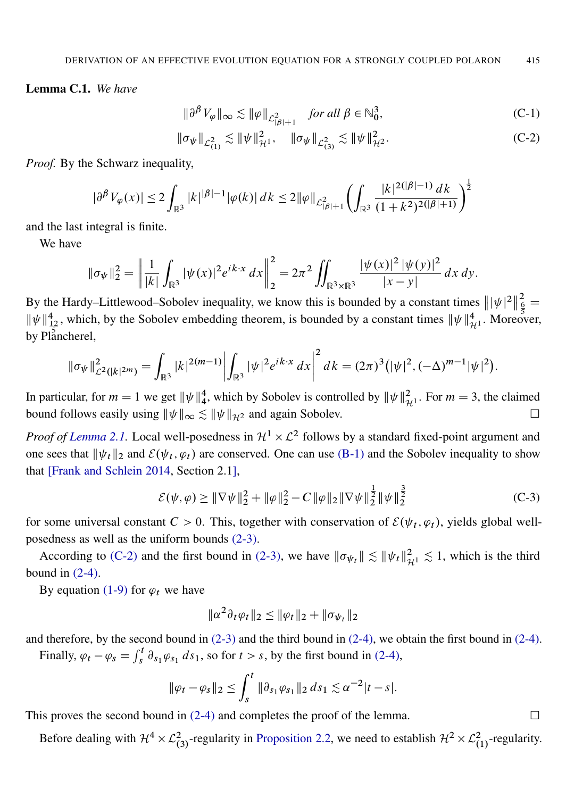Lemma C.1. *We have*

<span id="page-36-1"></span><span id="page-36-0"></span>
$$
\|\partial^{\beta} V_{\varphi}\|_{\infty} \lesssim \|\varphi\|_{\mathcal{L}^{2}_{|\beta|+1}} \quad \text{for all } \beta \in \mathbb{N}^{3}_{0},
$$
 (C-1)

$$
\|\sigma_{\psi}\|_{\mathcal{L}_{(1)}^2} \lesssim \|\psi\|_{\mathcal{H}^1}^2, \quad \|\sigma_{\psi}\|_{\mathcal{L}_{(3)}^2} \lesssim \|\psi\|_{\mathcal{H}^2}^2. \tag{C-2}
$$

*Proof.* By the Schwarz inequality,

$$
|\partial^{\beta}V_{\varphi}(x)| \le 2 \int_{\mathbb{R}^3} |k|^{|\beta|-1} |\varphi(k)| \, dk \le 2 \|\varphi\|_{\mathcal{L}^2_{|\beta|+1}} \left( \int_{\mathbb{R}^3} \frac{|k|^{2(|\beta|-1)} \, dk}{(1+k^2)^{2(|\beta|+1)}} \right)^{\frac{1}{2}}
$$

and the last integral is finite.

We have

$$
\|\sigma_{\psi}\|_{2}^{2} = \left\|\frac{1}{|k|}\int_{\mathbb{R}^{3}}|\psi(x)|^{2}e^{ik\cdot x} dx\right\|_{2}^{2} = 2\pi^{2} \iint_{\mathbb{R}^{3}\times\mathbb{R}^{3}}\frac{|\psi(x)|^{2}|\psi(y)|^{2}}{|x-y|} dx dy.
$$

By the Hardy–Littlewood–Sobolev inequality, we know this is bounded by a constant times  $\|\psi|^2\|$  $\frac{2}{6}$  =  $\|\psi\|_{\frac{12}{12}}^4$ , which, by the Sobolev embedding theorem, is bounded by a constant times  $\|\psi\|_{\mathcal{H}^1}^4$ . Moreover, by Plancherel,

$$
\|\sigma_{\psi}\|_{\mathcal{L}^{2}(|k|^{2m})}^{2} = \int_{\mathbb{R}^{3}} |k|^{2(m-1)} \left| \int_{\mathbb{R}^{3}} |\psi|^{2} e^{ik \cdot x} dx \right|^{2} dk = (2\pi)^{3} (|\psi|^{2}, (-\Delta)^{m-1} |\psi|^{2}).
$$

In particular, for  $m = 1$  we get  $\|\psi\|_4^4$ , which by Sobolev is controlled by  $\|\psi\|_{\mathcal{H}^1}^2$ . For  $m = 3$ , the claimed bound follows easily using  $\|\psi\|_{\infty} \lesssim \|\psi\|_{\mathcal{H}^2}$  and again Sobolev.

*Proof of Lemma 2.1*. Local well-posedness in  $H^1 \times L^2$  follows by a standard fixed-point argument and one sees that  $\|\psi_t\|_2$  and  $\mathcal{E}(\psi_t, \varphi_t)$  are conserved. One can use [\(B-1\)](#page-35-2) and the Sobolev inequality to show that [\[Frank and Schlein 2014,](#page-43-3) Section 2.1],

$$
\mathcal{E}(\psi,\varphi) \ge \|\nabla\psi\|_2^2 + \|\varphi\|_2^2 - C\|\varphi\|_2 \|\nabla\psi\|_2^{\frac{1}{2}} \|\psi\|_2^{\frac{3}{2}}
$$
 (C-3)

for some universal constant  $C > 0$ . This, together with conservation of  $\mathcal{E}(\psi_t, \varphi_t)$ , yields global wellposedness as well as the uniform bounds [\(2-3\).](#page-7-3)

According to [\(C-2\)](#page-36-1) and the first bound in [\(2-3\),](#page-7-3) we have  $\|\sigma_{\psi_t}\| \lesssim \|\psi_t\|_{\mathcal{H}^1}^2 \lesssim 1$ , which is the third bound in  $(2-4)$ .

By equation [\(1-9\)](#page-1-1) for  $\varphi_t$  we have

$$
\|\alpha^2\partial_t\varphi_t\|_2 \le \|\varphi_t\|_2 + \|\sigma_{\psi_t}\|_2
$$

and therefore, by the second bound in [\(2-3\)](#page-7-3) and the third bound in [\(2-4\),](#page-7-4) we obtain the first bound in [\(2-4\).](#page-7-4) Finally,  $\varphi_t - \varphi_s = \int_s^t \partial_{s_1} \varphi_{s_1} ds_1$ , so for  $t > s$ , by the first bound in [\(2-4\),](#page-7-4)

$$
\|\varphi_t - \varphi_s\|_2 \le \int_s^t \|\partial_{s_1}\varphi_{s_1}\|_2 \, ds_1 \lesssim \alpha^{-2}|t-s|.
$$

This proves the second bound in  $(2-4)$  and completes the proof of the lemma.

<span id="page-36-2"></span>Before dealing with  $\mathcal{H}^4 \times \mathcal{L}_{(3)}^2$ -regularity in [Proposition 2.2,](#page-8-0) we need to establish  $\mathcal{H}^2 \times \mathcal{L}_{(1)}^2$ -regularity.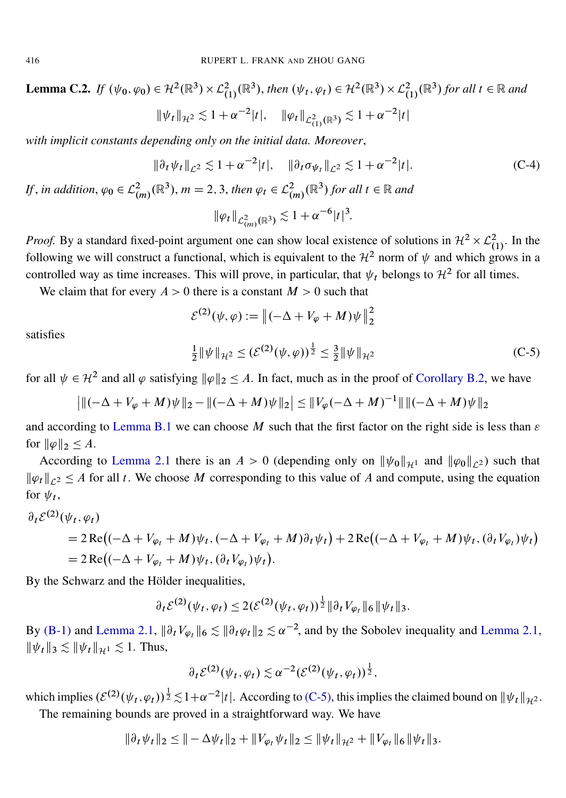**Lemma C.2.** If  $(\psi_0, \varphi_0) \in \mathcal{H}^2(\mathbb{R}^3) \times \mathcal{L}^2_{(1)}(\mathbb{R}^3)$ , then  $(\psi_t, \varphi_t) \in \mathcal{H}^2(\mathbb{R}^3) \times \mathcal{L}^2_{(1)}(\mathbb{R}^3)$  for all  $t \in \mathbb{R}$  and  $\|\psi_t\|_{\mathcal{H}^2} \lesssim 1 + \alpha^{-2} |t|, \quad \|\varphi_t\|_{\mathcal{L}^2_{(1)}(\mathbb{R}^3)} \lesssim 1 + \alpha^{-2} |t|$ 

*with implicit constants depending only on the initial data. Moreover*,

$$
\|\partial_t \psi_t\|_{\mathcal{L}^2} \lesssim 1 + \alpha^{-2} |t|, \quad \|\partial_t \sigma_{\psi_t}\|_{\mathcal{L}^2} \lesssim 1 + \alpha^{-2} |t|.
$$
 (C-4)

*If*, *in addition*,  $\varphi_0 \in L^2_{(m)}(\mathbb{R}^3)$ ,  $m = 2, 3$ , *then*  $\varphi_t \in L^2_{(m)}(\mathbb{R}^3)$  for all  $t \in \mathbb{R}$  and

<span id="page-37-1"></span>
$$
\|\varphi_t\|_{\mathcal{L}^2_{(m)}(\mathbb{R}^3)} \lesssim 1 + \alpha^{-6} |t|^3.
$$

*Proof.* By a standard fixed-point argument one can show local existence of solutions in  $\mathcal{H}^2 \times \mathcal{L}^2_{(1)}$ . In the following we will construct a functional, which is equivalent to the  $\mathcal{H}^2$  norm of  $\psi$  and which grows in a controlled way as time increases. This will prove, in particular, that  $\psi_t$  belongs to  $\mathcal{H}^2$  for all times.

We claim that for every  $A > 0$  there is a constant  $M > 0$  such that

$$
\mathcal{E}^{(2)}(\psi,\varphi) := \|(-\Delta + V_{\varphi} + M)\psi\|_2^2
$$
  

$$
\frac{1}{2} \|\psi\|_{\mathcal{H}^2} \le (\mathcal{E}^{(2)}(\psi,\varphi))^{\frac{1}{2}} \le \frac{3}{2} \|\psi\|_{\mathcal{H}^2}
$$
 (C-5)

<span id="page-37-0"></span>satisfies

for all 
$$
\psi \in \mathcal{H}^2
$$
 and all  $\varphi$  satisfying  $\|\varphi\|_2 \leq A$ . In fact, much as in the proof of Corollary B.2, we have

$$
\left| \| (-\Delta + V_{\varphi} + M) \psi \|_2 - \| (-\Delta + M) \psi \|_2 \right| \leq \| V_{\varphi}(-\Delta + M)^{-1} \| \| (-\Delta + M) \psi \|_2
$$

and according to [Lemma B.1](#page-34-0) we can choose M such that the first factor on the right side is less than  $\varepsilon$ for  $\|\varphi\|_2 \leq A$ .

According to [Lemma 2.1](#page-7-0) there is an  $A > 0$  (depending only on  $\|\psi_0\|_{H^1}$  and  $\|\varphi_0\|_{L^2}$ ) such that  $\|\varphi_t\|_{\ell^2} \leq A$  for all t. We choose M corresponding to this value of A and compute, using the equation for  $\psi_t$ ,

$$
\partial_t \mathcal{E}^{(2)}(\psi_t, \varphi_t)
$$
  
= 2 Re $\left((-\Delta + V_{\varphi_t} + M)\psi_t, (-\Delta + V_{\varphi_t} + M)\partial_t \psi_t\right) + 2 Re\left((-\Delta + V_{\varphi_t} + M)\psi_t, (\partial_t V_{\varphi_t})\psi_t\right)$   
= 2 Re $\left((-\Delta + V_{\varphi_t} + M)\psi_t, (\partial_t V_{\varphi_t})\psi_t\right)$ .

By the Schwarz and the Hölder inequalities,

$$
\partial_t \mathcal{E}^{(2)}(\psi_t, \varphi_t) \leq 2(\mathcal{E}^{(2)}(\psi_t, \varphi_t))^{\frac{1}{2}} \|\partial_t V_{\varphi_t}\|_6 \|\psi_t\|_3.
$$

By [\(B-1\)](#page-35-2) and [Lemma 2.1,](#page-7-0)  $\|\partial_t V_{\varphi_t}\|_6 \lesssim \|\partial_t \varphi_t\|_2 \lesssim \alpha^{-2}$ , and by the Sobolev inequality and Lemma 2.1,  $\|\psi_t\|_3 \lesssim \|\psi_t\|_{\mathcal{H}^1} \lesssim 1.$  Thus,

$$
\partial_t \mathcal{E}^{(2)}(\psi_t, \varphi_t) \lesssim \alpha^{-2} (\mathcal{E}^{(2)}(\psi_t, \varphi_t))^{\frac{1}{2}},
$$

which implies  $(\mathcal{E}^{(2)}(\psi_t, \varphi_t))^{\frac{1}{2}} \lesssim 1 + \alpha^{-2} |t|$ . According to [\(C-5\),](#page-37-0) this implies the claimed bound on  $||\psi_t||_{\mathcal{H}^2}$ . The remaining bounds are proved in a straightforward way. We have

$$
\|\partial_t \psi_t\|_2 \leq \|\theta - \Delta \psi_t\|_2 + \|V_{\varphi_t} \psi_t\|_2 \leq \|\psi_t\|_{\mathcal{H}^2} + \|V_{\varphi_t}\|_6 \|\psi_t\|_3.
$$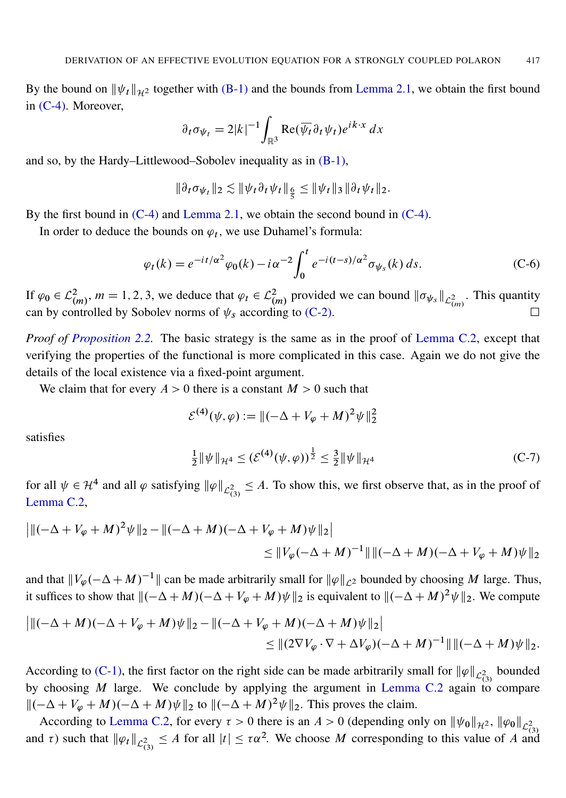By the bound on  $\|\psi_t\|_{\mathcal{H}^2}$  together with [\(B-1\)](#page-35-2) and the bounds from [Lemma 2.1,](#page-7-0) we obtain the first bound in [\(C-4\).](#page-37-1) Moreover,

$$
\partial_t \sigma_{\psi_t} = 2|k|^{-1} \int_{\mathbb{R}^3} \text{Re}(\overline{\psi_t} \partial_t \psi_t) e^{ik \cdot x} dx
$$

and so, by the Hardy–Littlewood–Sobolev inequality as in [\(B-1\),](#page-35-2)

$$
\|\partial_t \sigma_{\psi_t}\|_2 \lesssim \|\psi_t \partial_t \psi_t\|_{\frac{\epsilon}{\overline{S}}} \le \|\psi_t\|_3 \|\partial_t \psi_t\|_2.
$$

By the first bound in [\(C-4\)](#page-37-1) and [Lemma 2.1,](#page-7-0) we obtain the second bound in [\(C-4\).](#page-37-1)

In order to deduce the bounds on  $\varphi_t$ , we use Duhamel's formula:

$$
\varphi_t(k) = e^{-it/\alpha^2} \varphi_0(k) - i \alpha^{-2} \int_0^t e^{-i(t-s)/\alpha^2} \sigma_{\psi_s}(k) ds.
$$
 (C-6)

If  $\varphi_0 \in L^2_{(m)}$ ,  $m = 1, 2, 3$ , we deduce that  $\varphi_t \in L^2_{(m)}$  provided we can bound  $\|\sigma_{\psi_s}\|_{L^2_{(m)}}$ . This quantity can by controlled by Sobolev norms of  $\psi_s$  according to [\(C-2\).](#page-36-1)

*Proof of [Proposition 2.2.](#page-8-0)* The basic strategy is the same as in the proof of [Lemma C.2,](#page-36-2) except that verifying the properties of the functional is more complicated in this case. Again we do not give the details of the local existence via a fixed-point argument.

We claim that for every  $A > 0$  there is a constant  $M > 0$  such that

$$
\mathcal{E}^{(4)}(\psi,\varphi) := \|(-\Delta + V_{\varphi} + M)^2 \psi\|_2^2
$$

<span id="page-38-0"></span>satisfies

$$
\frac{1}{2} \|\psi\|_{\mathcal{H}^4} \le (\mathcal{E}^{(4)}(\psi,\varphi))^{\frac{1}{2}} \le \frac{3}{2} \|\psi\|_{\mathcal{H}^4}
$$
 (C-7)

for all  $\psi \in H^4$  and all  $\varphi$  satisfying  $\|\varphi\|_{\mathcal{L}_{(3)}^2} \leq A$ . To show this, we first observe that, as in the proof of [Lemma C.2,](#page-36-2)

$$
\left| \| ( -\Delta + V_{\varphi} + M )^2 \psi \|_2 - \| ( -\Delta + M ) ( -\Delta + V_{\varphi} + M ) \psi \|_2 \right|
$$
  

$$
\leq \| V_{\varphi} ( -\Delta + M )^{-1} \| \| ( -\Delta + M ) ( -\Delta + V_{\varphi} + M ) \psi \|_2
$$

and that  $||V_{\varphi}(-\Delta + M)^{-1}||$  can be made arbitrarily small for  $||\varphi||_{\mathcal{L}^2}$  bounded by choosing M large. Thus, it suffices to show that  $\|(-\Delta + M)(-\Delta + V_{\varphi} + M)\psi\|_2$  is equivalent to  $\|(-\Delta + M)^2 \psi\|_2$ . We compute

$$
\|((-\Delta + M)(-\Delta + V_{\varphi} + M)\psi\|_2 - \|(-\Delta + V_{\varphi} + M)(-\Delta + M)\psi\|_2)
$$
  
\n
$$
\leq \|(2\nabla V_{\varphi} \cdot \nabla + \Delta V_{\varphi})(-\Delta + M)^{-1}\| \|(-\Delta + M)\psi\|_2.
$$

According to [\(C-1\),](#page-36-0) the first factor on the right side can be made arbitrarily small for  $\|\varphi\|_{\mathcal{L}_{(3)}^2}$  bounded by choosing  $M$  large. We conclude by applying the argument in [Lemma C.2](#page-36-2) again to compare  $\|(-\Delta + V_{\varphi} + M)(-\Delta + M)\psi\|_2$  to  $\|(-\Delta + M)^2\psi\|_2$ . This proves the claim.

According to [Lemma C.2,](#page-36-2) for every  $\tau > 0$  there is an  $A > 0$  (depending only on  $\|\psi_0\|_{\mathcal{H}^2}$ ,  $\|\varphi_0\|_{\mathcal{L}_{(3)}^2}$ and  $\tau$ ) such that  $\|\varphi_t\|_{\mathcal{L}_{(3)}^2} \leq A$  for all  $|t| \leq \tau \alpha^2$ . We choose M corresponding to this value of A and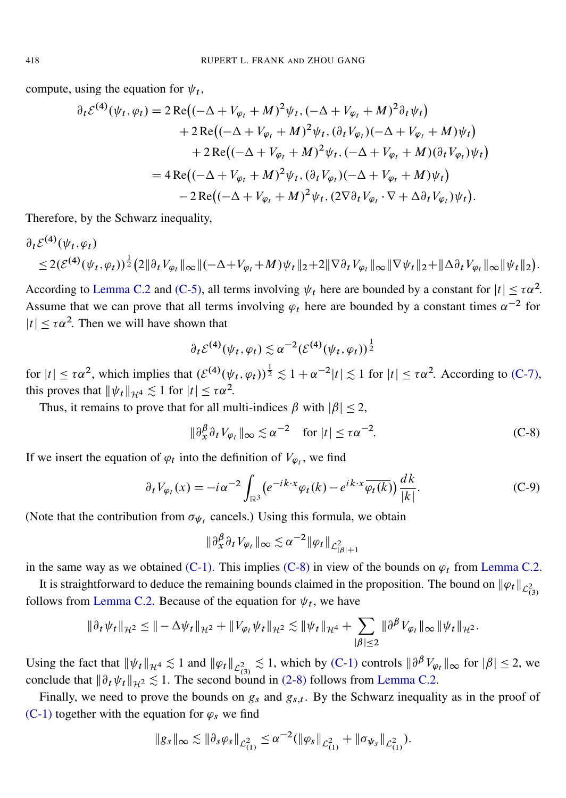compute, using the equation for  $\psi_t$ ,

$$
\partial_t \mathcal{E}^{(4)}(\psi_t, \varphi_t) = 2 \operatorname{Re} \big( (-\Delta + V_{\varphi_t} + M)^2 \psi_t, (-\Delta + V_{\varphi_t} + M)^2 \partial_t \psi_t \big) \n+ 2 \operatorname{Re} \big( (-\Delta + V_{\varphi_t} + M)^2 \psi_t, (\partial_t V_{\varphi_t}) (-\Delta + V_{\varphi_t} + M) \psi_t \big) \n+ 2 \operatorname{Re} \big( (-\Delta + V_{\varphi_t} + M)^2 \psi_t, (-\Delta + V_{\varphi_t} + M) (\partial_t V_{\varphi_t}) \psi_t \big) \n= 4 \operatorname{Re} \big( (-\Delta + V_{\varphi_t} + M)^2 \psi_t, (\partial_t V_{\varphi_t}) (-\Delta + V_{\varphi_t} + M) \psi_t \big) \n- 2 \operatorname{Re} \big( (-\Delta + V_{\varphi_t} + M)^2 \psi_t, (2 \nabla \partial_t V_{\varphi_t} \cdot \nabla + \Delta \partial_t V_{\varphi_t}) \psi_t \big).
$$

Therefore, by the Schwarz inequality,

$$
\partial_t \mathcal{E}^{(4)}(\psi_t, \varphi_t) \leq 2(\mathcal{E}^{(4)}(\psi_t, \varphi_t))^{\frac{1}{2}} (2 \|\partial_t V_{\varphi_t}\|_{\infty} \|(-\Delta + V_{\varphi_t} + M)\psi_t\|_2 + 2 \|\nabla \partial_t V_{\varphi_t}\|_{\infty} \|\nabla \psi_t\|_2 + \|\Delta \partial_t V_{\varphi_t}\|_{\infty} \|\psi_t\|_2).
$$

According to [Lemma C.2](#page-36-2) and [\(C-5\),](#page-37-0) all terms involving  $\psi_t$  here are bounded by a constant for  $|t| \leq \tau \alpha^2$ . Assume that we can prove that all terms involving  $\varphi_t$  here are bounded by a constant times  $\alpha^{-2}$  for  $|t| \leq \tau \alpha^2$ . Then we will have shown that

$$
\partial_t \mathcal{E}^{(4)}(\psi_t, \varphi_t) \lesssim \alpha^{-2} (\mathcal{E}^{(4)}(\psi_t, \varphi_t))^{\frac{1}{2}}
$$

for  $|t| \leq \tau \alpha^2$ , which implies that  $(\mathcal{E}^{(4)}(\psi_t, \varphi_t))^{\frac{1}{2}} \lesssim 1 + \alpha^{-2}|t| \lesssim 1$  for  $|t| \leq \tau \alpha^2$ . According to [\(C-7\),](#page-38-0) this proves that  $\|\psi_t\|_{\mathcal{H}^4} \lesssim 1$  for  $|t| \leq \tau \alpha^2$ .

Thus, it remains to prove that for all multi-indices  $\beta$  with  $|\beta| \leq 2$ ,

<span id="page-39-0"></span>
$$
\|\partial_x^{\beta}\partial_t V_{\varphi_t}\|_{\infty} \lesssim \alpha^{-2} \quad \text{for } |t| \le \tau \alpha^{-2}.
$$
 (C-8)

If we insert the equation of  $\varphi_t$  into the definition of  $V_{\varphi_t}$ , we find

$$
\partial_t V_{\varphi_t}(x) = -i\alpha^{-2} \int_{\mathbb{R}^3} \left( e^{-ik \cdot x} \varphi_t(k) - e^{ik \cdot x} \overline{\varphi_t(k)} \right) \frac{dk}{|k|}.
$$
 (C-9)

(Note that the contribution from  $\sigma_{\psi_t}$  cancels.) Using this formula, we obtain

$$
\|\partial_x^{\beta}\partial_t V_{\varphi_t}\|_{\infty} \lesssim \alpha^{-2} \|\varphi_t\|_{\mathcal{L}^2_{|\beta|+1}}
$$

in the same way as we obtained [\(C-1\).](#page-36-0) This implies [\(C-8\)](#page-39-0) in view of the bounds on  $\varphi_t$  from [Lemma C.2.](#page-36-2)

It is straightforward to deduce the remaining bounds claimed in the proposition. The bound on  $\|\varphi_t\|_{\mathcal{L}_{(3)}^2}$ follows from [Lemma C.2.](#page-36-2) Because of the equation for  $\psi_t$ , we have

$$
\|\partial_t \psi_t\|_{\mathcal{H}^2} \leq \|\theta - \Delta \psi_t\|_{\mathcal{H}^2} + \|V_{\varphi_t} \psi_t\|_{\mathcal{H}^2} \lesssim \|\psi_t\|_{\mathcal{H}^4} + \sum_{|\beta| \leq 2} \|\partial^\beta V_{\varphi_t}\|_{\infty} \|\psi_t\|_{\mathcal{H}^2}.
$$

Using the fact that  $\|\psi_t\|_{\mathcal{H}^4} \lesssim 1$  and  $\|\varphi_t\|_{\mathcal{L}_{(3)}^2} \lesssim 1$ , which by [\(C-1\)](#page-36-0) controls  $\|\partial^\beta V_{\varphi_t}\|_{\infty}$  for  $|\beta| \le 2$ , we conclude that  $\|\partial_t \psi_t\|_{\mathcal{H}^2} \lesssim 1$ . The second bound in [\(2-8\)](#page-8-9) follows from [Lemma C.2.](#page-36-2)

Finally, we need to prove the bounds on  $g_s$  and  $g_{s,t}$ . By the Schwarz inequality as in the proof of [\(C-1\)](#page-36-0) together with the equation for  $\varphi_s$  we find

$$
\|g_s\|_{\infty} \lesssim \|\partial_s \varphi_s\|_{\mathcal{L}_{(1)}^2} \leq \alpha^{-2} (\|\varphi_s\|_{\mathcal{L}_{(1)}^2} + \|\sigma_{\psi_s}\|_{\mathcal{L}_{(1)}^2}).
$$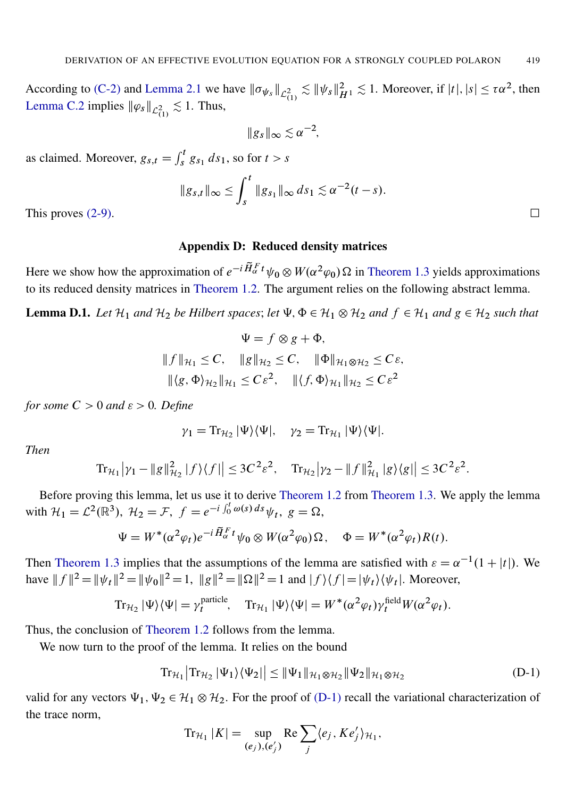According to [\(C-2\)](#page-36-1) and [Lemma 2.1](#page-7-0) we have  $\|\sigma_{\psi_s}\|_{\mathcal{L}_{(1)}^2} \lesssim \|\psi_s\|_{H^1}^2 \lesssim 1$ . Moreover, if  $|t|, |s| \leq \tau \alpha^2$ , then [Lemma C.2](#page-36-2) implies  $\|\varphi_s\|_{\mathcal{L}_{(1)}^2} \lesssim 1$ . Thus,

$$
||g_s||_{\infty} \lesssim \alpha^{-2},
$$

as claimed. Moreover,  $g_{s,t} = \int_s^t g_{s_1} ds_1$ , so for  $t > s$ 

$$
||g_{s,t}||_{\infty} \le \int_s^t ||g_{s_1}||_{\infty} ds_1 \lesssim \alpha^{-2}(t-s).
$$
 This proves (2-9).

#### Appendix D: Reduced density matrices

<span id="page-40-0"></span>Here we show how the approximation of  $e^{-i\tilde{H}_{\alpha}^F t}\psi_0 \otimes W(\alpha^2\varphi_0) \Omega$  in [Theorem 1.3](#page-3-1) yields approximations to its reduced density matrices in [Theorem 1.2.](#page-2-1) The argument relies on the following abstract lemma.

**Lemma D.1.** Let  $\mathcal{H}_1$  and  $\mathcal{H}_2$  be Hilbert spaces; let  $\Psi$ ,  $\Phi \in \mathcal{H}_1 \otimes \mathcal{H}_2$  and  $f \in \mathcal{H}_1$  and  $g \in \mathcal{H}_2$  such that

$$
\Psi = f \otimes g + \Phi,
$$
  
\n
$$
\|f\|_{\mathcal{H}_1} \leq C, \quad \|g\|_{\mathcal{H}_2} \leq C, \quad \|\Phi\|_{\mathcal{H}_1 \otimes \mathcal{H}_2} \leq C\varepsilon,
$$
  
\n
$$
\|\langle g, \Phi \rangle_{\mathcal{H}_2}\|_{\mathcal{H}_1} \leq C\varepsilon^2, \quad \|\langle f, \Phi \rangle_{\mathcal{H}_1}\|_{\mathcal{H}_2} \leq C\varepsilon^2
$$

*for some*  $C > 0$  *and*  $\varepsilon > 0$ *. Define* 

$$
\gamma_1 = \mathrm{Tr}_{\mathcal{H}_2} |\Psi\rangle\langle\Psi|, \quad \gamma_2 = \mathrm{Tr}_{\mathcal{H}_1} |\Psi\rangle\langle\Psi|.
$$

*Then*

$$
\text{Tr}_{\mathcal{H}_1} |\gamma_1 - \|g\|_{\mathcal{H}_2}^2 |f\rangle\langle f| \leq 3C^2 \varepsilon^2, \quad \text{Tr}_{\mathcal{H}_2} |\gamma_2 - \|f\|_{\mathcal{H}_1}^2 |g\rangle\langle g| \leq 3C^2 \varepsilon^2.
$$

Before proving this lemma, let us use it to derive [Theorem 1.2](#page-2-1) from [Theorem 1.3.](#page-3-1) We apply the lemma with  $\mathcal{H}_1 = \mathcal{L}^2(\mathbb{R}^3)$ ,  $\mathcal{H}_2 = \mathcal{F}$ ,  $f = e^{-i \int_0^t \omega(s) ds} \psi_t$ ,  $g = \Omega$ ,

$$
\Psi = W^*(\alpha^2 \varphi_t) e^{-i \widetilde{H}_\alpha^F t} \psi_0 \otimes W(\alpha^2 \varphi_0) \Omega, \quad \Phi = W^*(\alpha^2 \varphi_t) R(t).
$$

Then [Theorem 1.3](#page-3-1) implies that the assumptions of the lemma are satisfied with  $\varepsilon = \alpha^{-1}(1 + |t|)$ . We have  $|| f ||^2 = || \psi_t ||^2 = || \psi_0 ||^2 = 1$ ,  $||g||^2 = ||\Omega||^2 = 1$  and  $|f\rangle \langle f| = |\psi_t\rangle \langle \psi_t|$ . Moreover,

$$
\operatorname{Tr}_{\mathcal{H}_2} |\Psi\rangle \langle \Psi| = \gamma_t^{\text{particle}}, \quad \operatorname{Tr}_{\mathcal{H}_1} |\Psi\rangle \langle \Psi| = W^* (\alpha^2 \varphi_t) \gamma_t^{\text{field}} W(\alpha^2 \varphi_t).
$$

Thus, the conclusion of [Theorem 1.2](#page-2-1) follows from the lemma.

We now turn to the proof of the lemma. It relies on the bound

$$
Tr_{\mathcal{H}_1} |Tr_{\mathcal{H}_2} |\Psi_1\rangle \langle \Psi_2| \leq \|\Psi_1\|_{\mathcal{H}_1 \otimes \mathcal{H}_2} \|\Psi_2\|_{\mathcal{H}_1 \otimes \mathcal{H}_2}
$$
\n(D-1)

valid for any vectors  $\Psi_1, \Psi_2 \in \mathcal{H}_1 \otimes \mathcal{H}_2$ . For the proof of [\(D-1\)](#page-40-1) recall the variational characterization of the trace norm,

<span id="page-40-1"></span>
$$
\operatorname{Tr}_{\mathcal{H}_1}|K| = \sup_{(e_j), (e'_j)} \operatorname{Re} \sum_j \langle e_j, K e'_j \rangle_{\mathcal{H}_1},
$$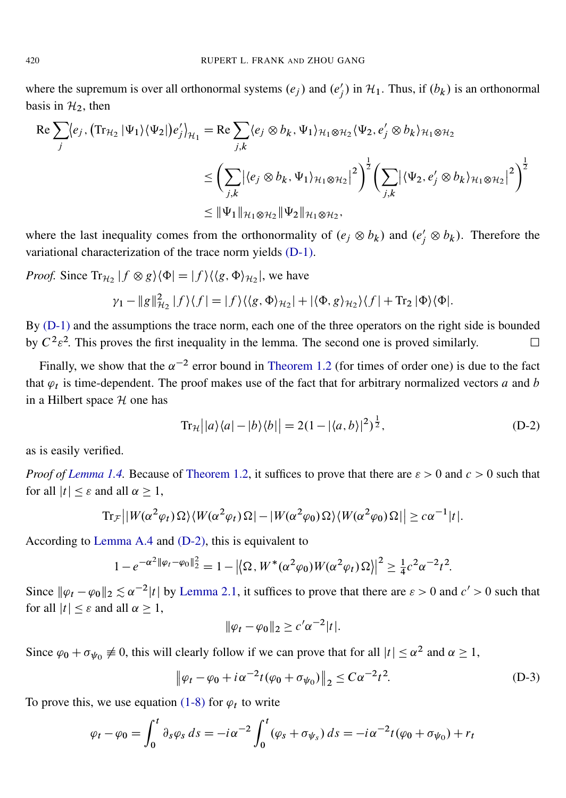where the supremum is over all orthonormal systems  $(e_j)$  and  $(e'_j)$  in  $H_1$ . Thus, if  $(b_k)$  is an orthonormal basis in  $H_2$ , then

$$
\operatorname{Re} \sum_{j} \langle e_j, \left( \operatorname{Tr}_{\mathcal{H}_2} |\Psi_1 \rangle \langle \Psi_2 | \right) e'_j \rangle_{\mathcal{H}_1} = \operatorname{Re} \sum_{j,k} \langle e_j \otimes b_k, \Psi_1 \rangle_{\mathcal{H}_1 \otimes \mathcal{H}_2} \langle \Psi_2, e'_j \otimes b_k \rangle_{\mathcal{H}_1 \otimes \mathcal{H}_2}
$$
\n
$$
\leq \left( \sum_{j,k} |\langle e_j \otimes b_k, \Psi_1 \rangle_{\mathcal{H}_1 \otimes \mathcal{H}_2} |^2 \right)^{\frac{1}{2}} \left( \sum_{j,k} |\langle \Psi_2, e'_j \otimes b_k \rangle_{\mathcal{H}_1 \otimes \mathcal{H}_2} |^2 \right)^{\frac{1}{2}}
$$
\n
$$
\leq ||\Psi_1||_{\mathcal{H}_1 \otimes \mathcal{H}_2} ||\Psi_2||_{\mathcal{H}_1 \otimes \mathcal{H}_2},
$$

where the last inequality comes from the orthonormality of  $(e_j \otimes b_k)$  and  $(e'_j \otimes b_k)$ . Therefore the variational characterization of the trace norm yields [\(D-1\).](#page-40-1)

*Proof.* Since  $\text{Tr}_{\mathcal{H}_2} | f \otimes g \rangle \langle \Phi | = | f \rangle \langle \langle g, \Phi \rangle_{\mathcal{H}_2} |$ , we have

$$
\gamma_1 - ||g||_{\mathcal{H}_2}^2 |f\rangle\langle f| = |f\rangle\langle\langle g, \Phi\rangle_{\mathcal{H}_2}| + |\langle \Phi, g\rangle_{\mathcal{H}_2}\rangle\langle f| + \text{Tr}_2 |\Phi\rangle\langle\Phi|.
$$

By [\(D-1\)](#page-40-1) and the assumptions the trace norm, each one of the three operators on the right side is bounded by  $C^2 \varepsilon^2$ . This proves the first inequality in the lemma. The second one is proved similarly.

Finally, we show that the  $\alpha^{-2}$  error bound in [Theorem 1.2](#page-2-1) (for times of order one) is due to the fact that  $\varphi_t$  is time-dependent. The proof makes use of the fact that for arbitrary normalized vectors a and b in a Hilbert space  $H$  one has

<span id="page-41-0"></span>
$$
Tr_{\mathcal{H}}\left|a\right\rangle\langle a|-|b\rangle\langle b|\right| = 2(1-|\langle a,b\rangle|^2)^{\frac{1}{2}},\tag{D-2}
$$

as is easily verified.

*Proof of [Lemma 1.4.](#page-5-0)* Because of [Theorem 1.2,](#page-2-1) it suffices to prove that there are  $\varepsilon > 0$  and  $c > 0$  such that for all  $|t| < \varepsilon$  and all  $\alpha > 1$ ,

$$
\mathrm{Tr}_{\mathcal{F}}\left|\left|W(\alpha^2\varphi_t)\,\Omega\right\rangle\langle W(\alpha^2\varphi_t)\,\Omega\right| - \left|W(\alpha^2\varphi_0)\,\Omega\right\rangle\langle W(\alpha^2\varphi_0)\,\Omega\right|\right| \geq c\,\alpha^{-1}|t|.
$$

According to [Lemma A.4](#page-34-1) and [\(D-2\),](#page-41-0) this is equivalent to

$$
1 - e^{-\alpha^2 \|\varphi_t - \varphi_0\|_2^2} = 1 - \left| \langle \Omega, W^*(\alpha^2 \varphi_0) W(\alpha^2 \varphi_t) \Omega \rangle \right|^2 \ge \frac{1}{4} c^2 \alpha^{-2} t^2.
$$

Since  $\|\varphi_t - \varphi_0\|_2 \lesssim \alpha^{-2}|t|$  by [Lemma 2.1,](#page-7-0) it suffices to prove that there are  $\varepsilon > 0$  and  $c' > 0$  such that for all  $|t| \leq \varepsilon$  and all  $\alpha \geq 1$ ,

<span id="page-41-1"></span>
$$
\|\varphi_t - \varphi_0\|_2 \ge c'\alpha^{-2}|t|.
$$

Since  $\varphi_0 + \sigma_{\psi_0} \neq 0$ , this will clearly follow if we can prove that for all  $|t| \le \alpha^2$  and  $\alpha \ge 1$ ,

$$
\|\varphi_t - \varphi_0 + i\alpha^{-2}t(\varphi_0 + \sigma_{\psi_0})\|_2 \le C\alpha^{-2}t^2.
$$
 (D-3)

To prove this, we use equation [\(1-8\)](#page-1-0) for  $\varphi_t$  to write

$$
\varphi_t - \varphi_0 = \int_0^t \partial_s \varphi_s \, ds = -i \alpha^{-2} \int_0^t (\varphi_s + \sigma_{\psi_s}) \, ds = -i \alpha^{-2} t (\varphi_0 + \sigma_{\psi_0}) + r_t
$$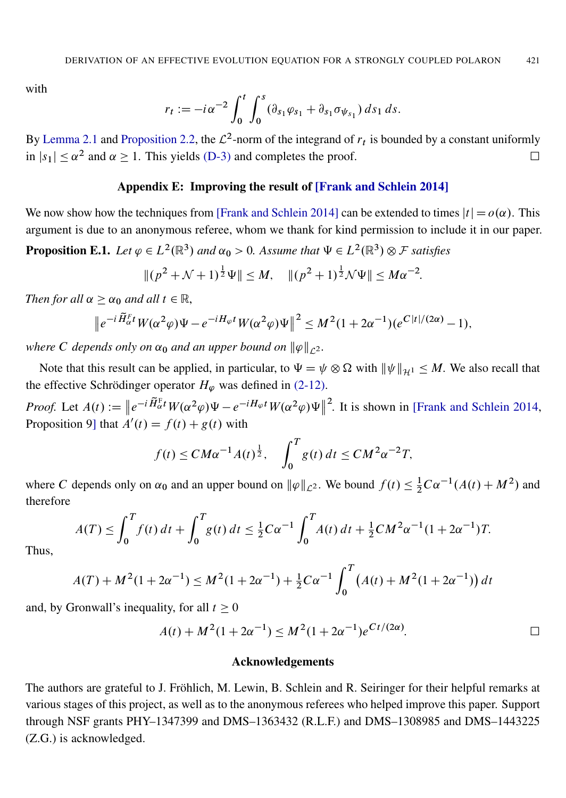with

$$
r_t := -i \alpha^{-2} \int_0^t \int_0^s (\partial_{s_1} \varphi_{s_1} + \partial_{s_1} \sigma_{\psi_{s_1}}) ds_1 ds.
$$

By [Lemma 2.1](#page-7-0) and [Proposition 2.2,](#page-8-0) the  $\mathcal{L}^2$ -norm of the integrand of  $r_t$  is bounded by a constant uniformly in  $|s_1| \le \alpha^2$  and  $\alpha \ge 1$ . This yields [\(D-3\)](#page-41-1) and completes the proof.

#### Appendix E: Improving the result of [\[Frank and Schlein 2014\]](#page-43-3)

<span id="page-42-0"></span>We now show how the techniques from [\[Frank and Schlein 2014\]](#page-43-3) can be extended to times  $|t| = o(\alpha)$ . This argument is due to an anonymous referee, whom we thank for kind permission to include it in our paper.

**Proposition E.1.** Let  $\varphi \in L^2(\mathbb{R}^3)$  and  $\alpha_0 > 0$ . Assume that  $\Psi \in L^2(\mathbb{R}^3) \otimes \mathcal{F}$  satisfies

$$
\|(p^2 + \mathcal{N} + 1)^{\frac{1}{2}}\Psi\| \le M, \quad \|(p^2 + 1)^{\frac{1}{2}}\mathcal{N}\Psi\| \le M\alpha^{-2}.
$$

*Then for all*  $\alpha \geq \alpha_0$  *and all*  $t \in \mathbb{R}$ ,

$$
\left\|e^{-i\widetilde{H}_{\alpha}^F t}W(\alpha^2\varphi)\Psi - e^{-iH_{\varphi}t}W(\alpha^2\varphi)\Psi\right\|^2 \leq M^2(1+2\alpha^{-1})(e^{C|t|/(2\alpha)}-1),
$$

*where C* depends only on  $\alpha_0$  *and an upper bound on*  $\|\varphi\|_{\mathcal{L}^2}$ *.* 

Note that this result can be applied, in particular, to  $\Psi = \psi \otimes \Omega$  with  $\|\psi\|_{\mathcal{H}^1} \leq M$ . We also recall that the effective Schrödinger operator  $H_{\varphi}$  was defined in [\(2-12\).](#page-8-8)

*Proof.* Let  $A(t) := \|e^{-i\widetilde{H}_{\alpha}^{\text{F}}}W(\alpha^2\varphi)\Psi - e^{-iH_{\varphi}t}W(\alpha^2\varphi)\Psi\|$ <sup>2</sup>. It is shown in [\[Frank and Schlein 2014,](#page-43-3) Proposition 9] that  $\mathring{A}'(t) = f(t) + g(t)$  with

$$
f(t) \le CM\alpha^{-1}A(t)^{\frac{1}{2}}, \quad \int_0^T g(t) dt \le CM^2\alpha^{-2}T,
$$

where C depends only on  $\alpha_0$  and an upper bound on  $\|\varphi\|_{\mathcal{L}^2}$ . We bound  $f(t) \leq \frac{1}{2}$  $\frac{1}{2}C\alpha^{-1}(A(t) + M^2)$  and therefore

$$
A(T) \le \int_0^T f(t) dt + \int_0^T g(t) dt \le \frac{1}{2} C \alpha^{-1} \int_0^T A(t) dt + \frac{1}{2} C M^2 \alpha^{-1} (1 + 2\alpha^{-1}) T.
$$

Thus,

$$
A(T) + M^{2}(1 + 2\alpha^{-1}) \le M^{2}(1 + 2\alpha^{-1}) + \frac{1}{2}C\alpha^{-1} \int_{0}^{T} (A(t) + M^{2}(1 + 2\alpha^{-1})) dt
$$

and, by Gronwall's inequality, for all  $t \geq 0$ 

$$
A(t) + M^{2}(1 + 2\alpha^{-1}) \leq M^{2}(1 + 2\alpha^{-1})e^{Ct/(2\alpha)}.
$$

## Acknowledgements

The authors are grateful to J. Fröhlich, M. Lewin, B. Schlein and R. Seiringer for their helpful remarks at various stages of this project, as well as to the anonymous referees who helped improve this paper. Support through NSF grants PHY–1347399 and DMS–1363432 (R.L.F.) and DMS–1308985 and DMS–1443225 (Z.G.) is acknowledged.